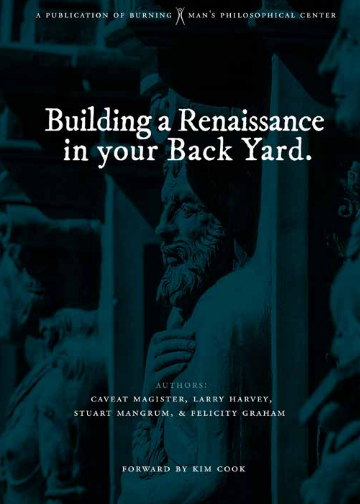A PUBLICATION OF BURNING X MAN'S PHILOSOPHICAL CENTER

# Building a Renaissance<br>in your Back Yard.

**ARTHORS:** 

CAVEAT MAGISTER, LARRY HARVEY, STUART MANGRUM, & FELICITY GRAHAM

**FORWARD BY KIM COOK**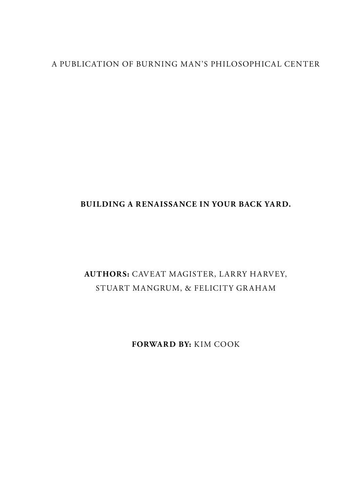#### A PUBLICATION OF BURNING MAN'S PHILOSOPHICAL CENTER

#### **BUILDING A RENAISSANCE IN YOUR BACK YARD.**

#### **AUTHORS:** CAVEAT MAGISTER, LARRY HARVEY, STUART MANGRUM, & FELICITY GRAHAM

**FORWARD BY:** KIM COOK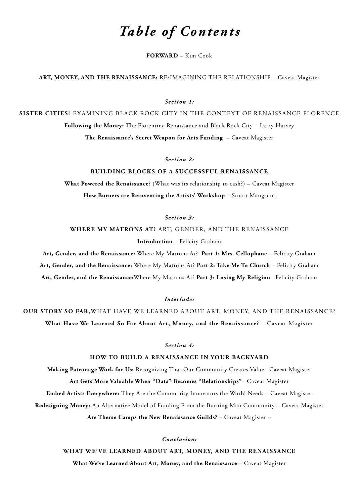## *Table of Contents*

**[FORWARD](#page-3-0)** – Kim Cook

**[ART, MONEY, AND THE RENAISSANCE:](#page-5-0)** RE-IMAGINING THE RELATIONSHIP – Caveat Magister

*[Section 1:](#page-12-0)*

**SISTER CITIES?** [EXAMINING BLACK ROCK CITY IN THE CONTEXT OF RENAISSANCE FLORENCE](#page-12-0) **Following the Money:** [The Florentine Renaissance and Black Rock City](#page-13-0) – Larry Harvey **[The Renaissance's \\$ecret Weapon for Arts Funding](#page-18-0)** – Caveat Magister

*[Section 2:](#page-26-0)*

**[BUILDING BLOCKS OF A SUCCESSFUL RENAISSANCE](#page-26-0)**

**What Powered the Renaissance?** [\(What was its relationship to cash?\) – Caveat Magister](#page-27-0) **How Burners are Reinventing the Artists' Workshop** - Stuart Mangrum

*[Section 3:](#page-41-0)*

**WHERE MY MATRONS AT?** [ART, GENDER, AND THE RENAISSANCE](#page-41-0)

**Introduction** [– Felicity Graham](#page-42-0)

**[Art, Gender, and the Renaissance:](#page-45-0)** Where My Matrons At? **Part 1: Mrs. Cellophane** – Felicity Graham **[Art, Gender, and the Renaissance:](#page-53-0)** Where My Matrons At? **Part 2: Take Me To Church** – Felicity Graham **Art, [Gender, and the Renaissance:](#page-65-0)**Where My Matrons At? **Part 3: Losing My Religion**– Felicity Graham

*[Interlude:](#page-78-0)*

**OUR STORY SO FAR,**[WHAT HAVE WE LEARNED ABOUT ART, MONEY, AND THE RENAISSANCE?](#page-78-0) **[What Have We Learned So Far About Art, Money, and the Renaissance?](#page-79-0)** – Caveat Magister

*[Section 4:](#page-83-0)*

**[HOW TO BUILD A RENAISSANCE IN YOUR BACKYARD](#page-83-0)**

**Making Patronage Work for Us:** [Recognizing That Our Community Creates Value– Caveat Magister](#page-84-0)

**[Art Gets More Valuable When "Data" Becomes "Relationships"](#page-92-0)**– Caveat Magister **Embed Artists Everywhere:** [They Are the Community Innovators the World Needs](#page-96-0) – Caveat Magister **Redesigning Money:** [An Alternative Model of Funding From the Burning Man Community – Caveat Magister](#page-105-0)

**[Are Theme Camps the New Renaissance Guilds?](#page-109-0)** – Caveat Magister –

*[Conclusion:](#page-114-0)*

**[WHAT WE'VE LEARNED ABOUT ART, MONEY, AND THE RENAISSANCE](#page-114-0) [What We've Learned About Art, Money, and the Renaissance](#page-115-0)** – Caveat Magister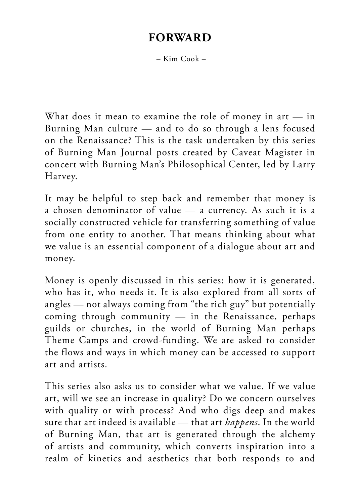#### **FORWARD**

– Kim Cook –

<span id="page-3-0"></span>What does it mean to examine the role of money in art — in Burning Man culture — and to do so through a lens focused on the Renaissance? This is the task undertaken by this series of Burning Man Journal posts created by Caveat Magister in concert with Burning Man's Philosophical Center, led by Larry Harvey.

It may be helpful to step back and remember that money is a chosen denominator of value — a currency. As such it is a socially constructed vehicle for transferring something of value from one entity to another. That means thinking about what we value is an essential component of a dialogue about art and money.

Money is openly discussed in this series: how it is generated, who has it, who needs it. It is also explored from all sorts of angles — not always coming from "the rich guy" but potentially coming through community — in the Renaissance, perhaps guilds or churches, in the world of Burning Man perhaps Theme Camps and crowd-funding. We are asked to consider the flows and ways in which money can be accessed to support art and artists.

This series also asks us to consider what we value. If we value art, will we see an increase in quality? Do we concern ourselves with quality or with process? And who digs deep and makes sure that art indeed is available — that art *happens*. In the world of Burning Man, that art is generated through the alchemy of artists and community, which converts inspiration into a realm of kinetics and aesthetics that both responds to and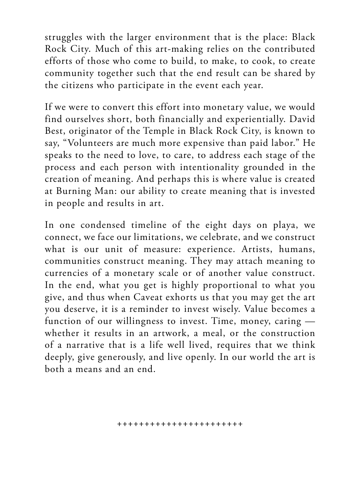struggles with the larger environment that is the place: Black Rock City. Much of this art-making relies on the contributed efforts of those who come to build, to make, to cook, to create community together such that the end result can be shared by the citizens who participate in the event each year.

If we were to convert this effort into monetary value, we would find ourselves short, both financially and experientially. David Best, originator of the Temple in Black Rock City, is known to say, "Volunteers are much more expensive than paid labor." He speaks to the need to love, to care, to address each stage of the process and each person with intentionality grounded in the creation of meaning. And perhaps this is where value is created at Burning Man: our ability to create meaning that is invested in people and results in art.

In one condensed timeline of the eight days on playa, we connect, we face our limitations, we celebrate, and we construct what is our unit of measure: experience. Artists, humans, communities construct meaning. They may attach meaning to currencies of a monetary scale or of another value construct. In the end, what you get is highly proportional to what you give, and thus when Caveat exhorts us that you may get the art you deserve, it is a reminder to invest wisely. Value becomes a function of our willingness to invest. Time, money, caring whether it results in an artwork, a meal, or the construction of a narrative that is a life well lived, requires that we think deeply, give generously, and live openly. In our world the art is both a means and an end.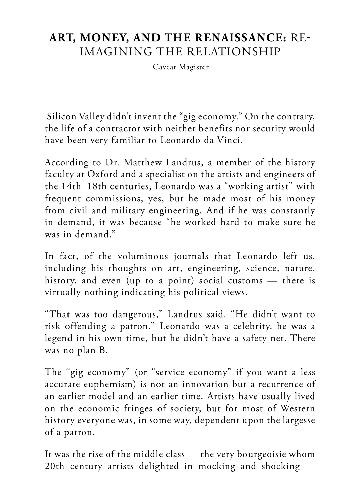#### <span id="page-5-0"></span>**ART, MONEY, AND THE RENAISSANCE:** RE-IMAGINING THE RELATIONSHIP

– Caveat Magister –

 Silicon Valley didn't invent the "gig economy." On the contrary, the life of a contractor with neither benefits nor security would have been very familiar to Leonardo da Vinci.

According to Dr. Matthew Landrus, a member of the history faculty at Oxford and a specialist on the artists and engineers of the 14th–18th centuries, Leonardo was a "working artist" with frequent commissions, yes, but he made most of his money from civil and military engineering. And if he was constantly in demand, it was because "he worked hard to make sure he was in demand."

In fact, of the voluminous journals that Leonardo left us, including his thoughts on art, engineering, science, nature, history, and even (up to a point) social customs — there is virtually nothing indicating his political views.

"That was too dangerous," Landrus said. "He didn't want to risk offending a patron." Leonardo was a celebrity, he was a legend in his own time, but he didn't have a safety net. There was no plan B.

The "gig economy" (or "service economy" if you want a less accurate euphemism) is not an innovation but a recurrence of an earlier model and an earlier time. Artists have usually lived on the economic fringes of society, but for most of Western history everyone was, in some way, dependent upon the largesse of a patron.

It was the rise of the middle class — the very bourgeoisie whom 20th century artists delighted in mocking and shocking —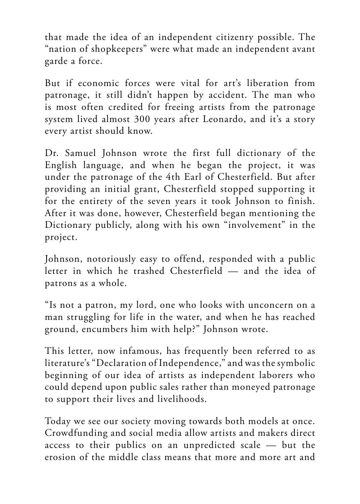that made the idea of an independent citizenry possible. The "nation of shopkeepers" were what made an independent avant garde a force.

But if economic forces were vital for art's liberation from patronage, it still didn't happen by accident. The man who is most often credited for freeing artists from the patronage system lived almost 300 years after Leonardo, and it's a story every artist should know.

Dr. Samuel Johnson wrote the first full dictionary of the English language, and when he began the project, it was under the patronage of the 4th Earl of Chesterfield. But after providing an initial grant, Chesterfield stopped supporting it for the entirety of the seven years it took Johnson to finish. After it was done, however, Chesterfield began mentioning the Dictionary publicly, along with his own "involvement" in the project.

Johnson, notoriously easy to offend, responded with a public letter in which he trashed Chesterfield — and the idea of patrons as a whole.

"Is not a patron, my lord, one who looks with unconcern on a man struggling for life in the water, and when he has reached ground, encumbers him with help?" Johnson wrote.

This letter, now infamous, has frequently been referred to as literature's "Declaration of Independence," and was the symbolic beginning of our idea of artists as independent laborers who could depend upon public sales rather than moneyed patronage to support their lives and livelihoods.

Today we see our society moving towards both models at once. Crowdfunding and social media allow artists and makers direct access to their publics on an unpredicted scale — but the erosion of the middle class means that more and more art and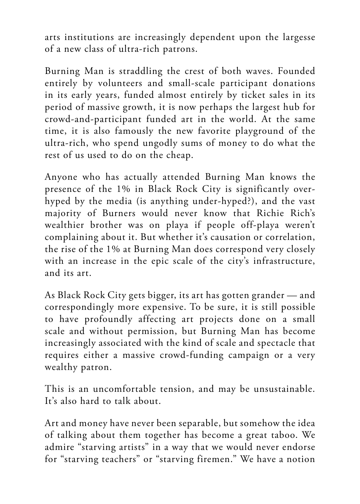arts institutions are increasingly dependent upon the largesse of a new class of ultra-rich patrons.

Burning Man is straddling the crest of both waves. Founded entirely by volunteers and small-scale participant donations in its early years, funded almost entirely by ticket sales in its period of massive growth, it is now perhaps the largest hub for crowd-and-participant funded art in the world. At the same time, it is also famously the new favorite playground of the ultra-rich, who spend ungodly sums of money to do what the rest of us used to do on the cheap.

Anyone who has actually attended Burning Man knows the presence of the 1% in Black Rock City is significantly overhyped by the media (is anything under-hyped?), and the vast majority of Burners would never know that Richie Rich's wealthier brother was on playa if people off-playa weren't complaining about it. But whether it's causation or correlation, the rise of the 1% at Burning Man does correspond very closely with an increase in the epic scale of the city's infrastructure, and its art.

As Black Rock City gets bigger, its art has gotten grander — and correspondingly more expensive. To be sure, it is still possible to have profoundly affecting art projects done on a small scale and without permission, but Burning Man has become increasingly associated with the kind of scale and spectacle that requires either a massive crowd-funding campaign or a very wealthy patron.

This is an uncomfortable tension, and may be unsustainable. It's also hard to talk about.

Art and money have never been separable, but somehow the idea of talking about them together has become a great taboo. We admire "starving artists" in a way that we would never endorse for "starving teachers" or "starving firemen." We have a notion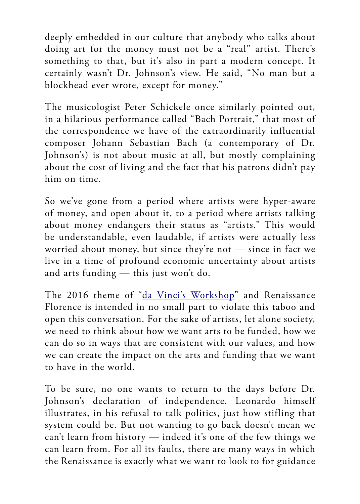deeply embedded in our culture that anybody who talks about doing art for the money must not be a "real" artist. There's something to that, but it's also in part a modern concept. It certainly wasn't Dr. Johnson's view. He said, "No man but a blockhead ever wrote, except for money."

The musicologist Peter Schickele once similarly pointed out, in a hilarious performance called "Bach Portrait," that most of the correspondence we have of the extraordinarily influential composer Johann Sebastian Bach (a contemporary of Dr. Johnson's) is not about music at all, but mostly complaining about the cost of living and the fact that his patrons didn't pay him on time.

So we've gone from a period where artists were hyper-aware of money, and open about it, to a period where artists talking about money endangers their status as "artists." This would be understandable, even laudable, if artists were actually less worried about money, but since they're not — since in fact we live in a time of profound economic uncertainty about artists and arts funding — this just won't do.

The 2016 theme of ["da Vinci's Workshop](http://journal.burningman.org/2015/10/burning-man-arts/brc-art/burning-man-2016-da-vincis-workshop/)" and Renaissance Florence is intended in no small part to violate this taboo and open this conversation. For the sake of artists, let alone society, we need to think about how we want arts to be funded, how we can do so in ways that are consistent with our values, and how we can create the impact on the arts and funding that we want to have in the world.

To be sure, no one wants to return to the days before Dr. Johnson's declaration of independence. Leonardo himself illustrates, in his refusal to talk politics, just how stifling that system could be. But not wanting to go back doesn't mean we can't learn from history — indeed it's one of the few things we can learn from. For all its faults, there are many ways in which the Renaissance is exactly what we want to look to for guidance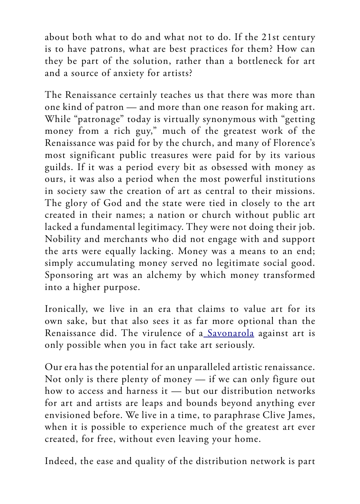about both what to do and what not to do. If the 21st century is to have patrons, what are best practices for them? How can they be part of the solution, rather than a bottleneck for art and a source of anxiety for artists?

The Renaissance certainly teaches us that there was more than one kind of patron — and more than one reason for making art. While "patronage" today is virtually synonymous with "getting money from a rich guy," much of the greatest work of the Renaissance was paid for by the church, and many of Florence's most significant public treasures were paid for by its various guilds. If it was a period every bit as obsessed with money as ours, it was also a period when the most powerful institutions in society saw the creation of art as central to their missions. The glory of God and the state were tied in closely to the art created in their names; a nation or church without public art lacked a fundamental legitimacy. They were not doing their job. Nobility and merchants who did not engage with and support the arts were equally lacking. Money was a means to an end; simply accumulating money served no legitimate social good. Sponsoring art was an alchemy by which money transformed into a higher purpose.

Ironically, we live in an era that claims to value art for its own sake, but that also sees it as far more optional than the Renaissance did. The virulence of a [Savonarola](https://journal.burningman.org/2016/03/opinion/shenanigans/youre-doing-it-wrong-stop-burning-your-art-and-start-burning-your-art/) against art is only possible when you in fact take art seriously.

Our era has the potential for an unparalleled artistic renaissance. Not only is there plenty of money — if we can only figure out how to access and harness it — but our distribution networks for art and artists are leaps and bounds beyond anything ever envisioned before. We live in a time, to paraphrase Clive James, when it is possible to experience much of the greatest art ever created, for free, without even leaving your home.

Indeed, the ease and quality of the distribution network is part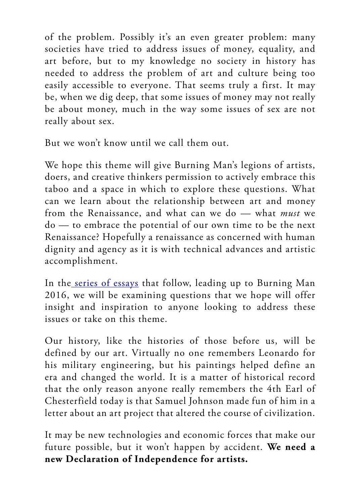of the problem. Possibly it's an even greater problem: many societies have tried to address issues of money, equality, and art before, but to my knowledge no society in history has needed to address the problem of art and culture being too easily accessible to everyone. That seems truly a first. It may be, when we dig deep, that some issues of money may not really be about money, much in the way some issues of sex are not really about sex.

But we won't know until we call them out.

We hope this theme will give Burning Man's legions of artists, doers, and creative thinkers permission to actively embrace this taboo and a space in which to explore these questions. What can we learn about the relationship between art and money from the Renaissance, and what can we do — what *must* we do — to embrace the potential of our own time to be the next Renaissance? Hopefully a renaissance as concerned with human dignity and agency as it is with technical advances and artistic accomplishment.

In the [series of essays](https://journal.burningman.org/renaissance/) that follow, leading up to Burning Man 2016, we will be examining questions that we hope will offer insight and inspiration to anyone looking to address these issues or take on this theme.

Our history, like the histories of those before us, will be defined by our art. Virtually no one remembers Leonardo for his military engineering, but his paintings helped define an era and changed the world. It is a matter of historical record that the only reason anyone really remembers the 4th Earl of Chesterfield today is that Samuel Johnson made fun of him in a letter about an art project that altered the course of civilization.

It may be new technologies and economic forces that make our future possible, but it won't happen by accident. **We need a new Declaration of Independence for artists.**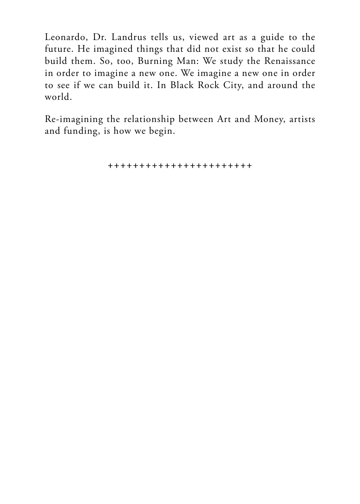Leonardo, Dr. Landrus tells us, viewed art as a guide to the future. He imagined things that did not exist so that he could build them. So, too, Burning Man: We study the Renaissance in order to imagine a new one. We imagine a new one in order to see if we can build it. In Black Rock City, and around the world.

Re-imagining the relationship between Art and Money, artists and funding, is how we begin.

+++++++++++++++++++++++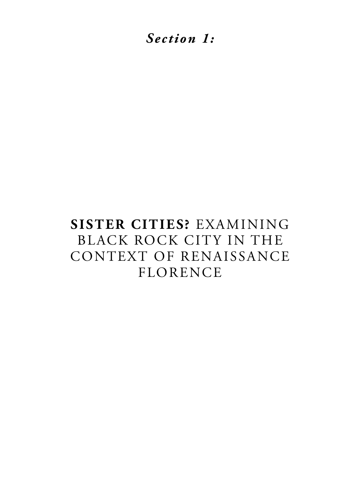<span id="page-12-0"></span>*Section 1:*

## **SISTER CITIES?** EXAMINING BLACK ROCK CITY IN THE CONTEXT OF RENAISSANCE FLORENCE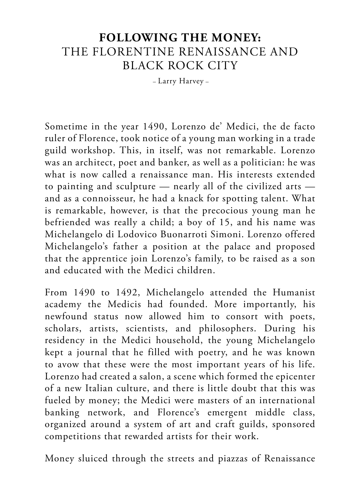#### <span id="page-13-0"></span>**FOLLOWING THE MONEY:** THE FLORENTINE RENAISSANCE AND BLACK ROCK CITY

– Larry Harvey –

Sometime in the year 1490, Lorenzo de' Medici, the de facto ruler of Florence, took notice of a young man working in a trade guild workshop. This, in itself, was not remarkable. Lorenzo was an architect, poet and banker, as well as a politician: he was what is now called a renaissance man. His interests extended to painting and sculpture — nearly all of the civilized arts and as a connoisseur, he had a knack for spotting talent. What is remarkable, however, is that the precocious young man he befriended was really a child; a boy of 15, and his name was Michelangelo di Lodovico Buonarroti Simoni. Lorenzo offered Michelangelo's father a position at the palace and proposed that the apprentice join Lorenzo's family, to be raised as a son and educated with the Medici children.

From 1490 to 1492, Michelangelo attended the Humanist academy the Medicis had founded. More importantly, his newfound status now allowed him to consort with poets, scholars, artists, scientists, and philosophers. During his residency in the Medici household, the young Michelangelo kept a journal that he filled with poetry, and he was known to avow that these were the most important years of his life. Lorenzo had created a salon, a scene which formed the epicenter of a new Italian culture, and there is little doubt that this was fueled by money; the Medici were masters of an international banking network, and Florence's emergent middle class, organized around a system of art and craft guilds, sponsored competitions that rewarded artists for their work.

Money sluiced through the streets and piazzas of Renaissance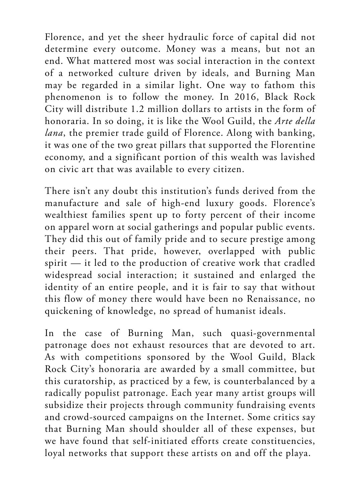Florence, and yet the sheer hydraulic force of capital did not determine every outcome. Money was a means, but not an end. What mattered most was social interaction in the context of a networked culture driven by ideals, and Burning Man may be regarded in a similar light. One way to fathom this phenomenon is to follow the money. In 2016, Black Rock City will distribute 1.2 million dollars to artists in the form of honoraria. In so doing, it is like the Wool Guild, the *Arte della lana*, the premier trade guild of Florence. Along with banking, it was one of the two great pillars that supported the Florentine economy, and a significant portion of this wealth was lavished on civic art that was available to every citizen.

There isn't any doubt this institution's funds derived from the manufacture and sale of high-end luxury goods. Florence's wealthiest families spent up to forty percent of their income on apparel worn at social gatherings and popular public events. They did this out of family pride and to secure prestige among their peers. That pride, however, overlapped with public spirit — it led to the production of creative work that cradled widespread social interaction; it sustained and enlarged the identity of an entire people, and it is fair to say that without this flow of money there would have been no Renaissance, no quickening of knowledge, no spread of humanist ideals.

In the case of Burning Man, such quasi-governmental patronage does not exhaust resources that are devoted to art. As with competitions sponsored by the Wool Guild, Black Rock City's honoraria are awarded by a small committee, but this curatorship, as practiced by a few, is counterbalanced by a radically populist patronage. Each year many artist groups will subsidize their projects through community fundraising events and crowd-sourced campaigns on the Internet. Some critics say that Burning Man should shoulder all of these expenses, but we have found that self-initiated efforts create constituencies, loyal networks that support these artists on and off the playa.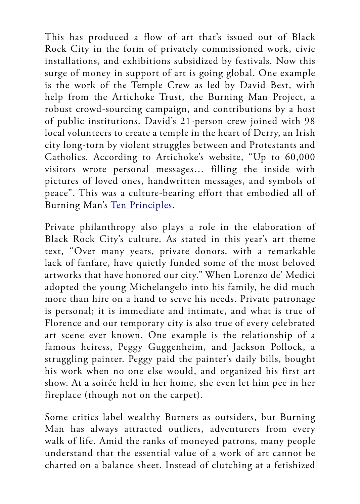This has produced a flow of art that's issued out of Black Rock City in the form of privately commissioned work, civic installations, and exhibitions subsidized by festivals. Now this surge of money in support of art is going global. One example is the work of the Temple Crew as led by David Best, with help from the Artichoke Trust, the Burning Man Project, a robust crowd-sourcing campaign, and contributions by a host of public institutions. David's 21-person crew joined with 98 local volunteers to create a temple in the heart of Derry, an Irish city long-torn by violent struggles between and Protestants and Catholics. According to Artichoke's website, "Up to 60,000 visitors wrote personal messages… filling the inside with pictures of loved ones, handwritten messages, and symbols of peace". This was a culture-bearing effort that embodied all of Burning Man's [Ten Principles](https://burningman.org/culture/philosophical-center/10-principles/).

Private philanthropy also plays a role in the elaboration of Black Rock City's culture. As stated in this year's art theme text, "Over many years, private donors, with a remarkable lack of fanfare, have quietly funded some of the most beloved artworks that have honored our city." When Lorenzo de' Medici adopted the young Michelangelo into his family, he did much more than hire on a hand to serve his needs. Private patronage is personal; it is immediate and intimate, and what is true of Florence and our temporary city is also true of every celebrated art scene ever known. One example is the relationship of a famous heiress, Peggy Guggenheim, and Jackson Pollock, a struggling painter. Peggy paid the painter's daily bills, bought his work when no one else would, and organized his first art show. At a soirée held in her home, she even let him pee in her fireplace (though not on the carpet).

Some critics label wealthy Burners as outsiders, but Burning Man has always attracted outliers, adventurers from every walk of life. Amid the ranks of moneyed patrons, many people understand that the essential value of a work of art cannot be charted on a balance sheet. Instead of clutching at a fetishized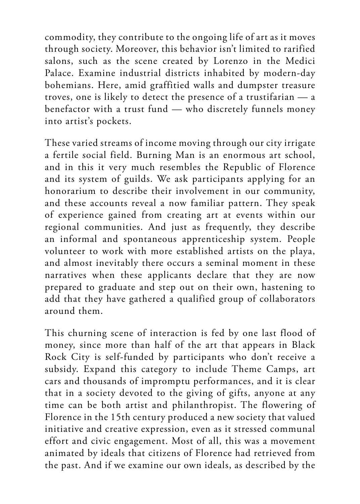commodity, they contribute to the ongoing life of art as it moves through society. Moreover, this behavior isn't limited to rarified salons, such as the scene created by Lorenzo in the Medici Palace. Examine industrial districts inhabited by modern-day bohemians. Here, amid graffitied walls and dumpster treasure troves, one is likely to detect the presence of a trustifarian — a benefactor with a trust fund — who discretely funnels money into artist's pockets.

These varied streams of income moving through our city irrigate a fertile social field. Burning Man is an enormous art school, and in this it very much resembles the Republic of Florence and its system of guilds. We ask participants applying for an honorarium to describe their involvement in our community, and these accounts reveal a now familiar pattern. They speak of experience gained from creating art at events within our regional communities. And just as frequently, they describe an informal and spontaneous apprenticeship system. People volunteer to work with more established artists on the playa, and almost inevitably there occurs a seminal moment in these narratives when these applicants declare that they are now prepared to graduate and step out on their own, hastening to add that they have gathered a qualified group of collaborators around them.

This churning scene of interaction is fed by one last flood of money, since more than half of the art that appears in Black Rock City is self-funded by participants who don't receive a subsidy. Expand this category to include Theme Camps, art cars and thousands of impromptu performances, and it is clear that in a society devoted to the giving of gifts, anyone at any time can be both artist and philanthropist. The flowering of Florence in the 15th century produced a new society that valued initiative and creative expression, even as it stressed communal effort and civic engagement. Most of all, this was a movement animated by ideals that citizens of Florence had retrieved from the past. And if we examine our own ideals, as described by the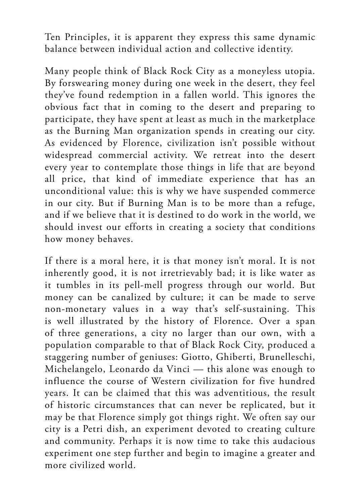Ten Principles, it is apparent they express this same dynamic balance between individual action and collective identity.

Many people think of Black Rock City as a moneyless utopia. By forswearing money during one week in the desert, they feel they've found redemption in a fallen world. This ignores the obvious fact that in coming to the desert and preparing to participate, they have spent at least as much in the marketplace as the Burning Man organization spends in creating our city. As evidenced by Florence, civilization isn't possible without widespread commercial activity. We retreat into the desert every year to contemplate those things in life that are beyond all price, that kind of immediate experience that has an unconditional value: this is why we have suspended commerce in our city. But if Burning Man is to be more than a refuge, and if we believe that it is destined to do work in the world, we should invest our efforts in creating a society that conditions how money behaves.

If there is a moral here, it is that money isn't moral. It is not inherently good, it is not irretrievably bad; it is like water as it tumbles in its pell-mell progress through our world. But money can be canalized by culture; it can be made to serve non-monetary values in a way that's self-sustaining. This is well illustrated by the history of Florence. Over a span of three generations, a city no larger than our own, with a population comparable to that of Black Rock City, produced a staggering number of geniuses: Giotto, Ghiberti, Brunelleschi, Michelangelo, Leonardo da Vinci — this alone was enough to influence the course of Western civilization for five hundred years. It can be claimed that this was adventitious, the result of historic circumstances that can never be replicated, but it may be that Florence simply got things right. We often say our city is a Petri dish, an experiment devoted to creating culture and community. Perhaps it is now time to take this audacious experiment one step further and begin to imagine a greater and more civilized world.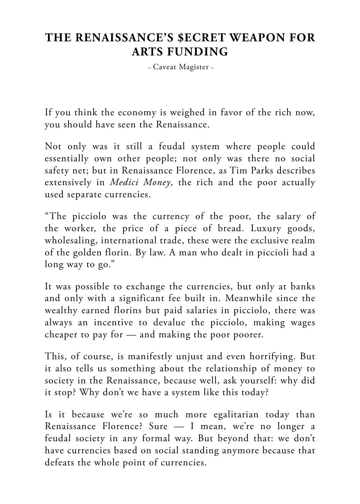## <span id="page-18-0"></span>**THE RENAISSANCE'S \$ECRET WEAPON FOR ARTS FUNDING**

– Caveat Magister –

If you think the economy is weighed in favor of the rich now, you should have seen the Renaissance.

Not only was it still a feudal system where people could essentially own other people; not only was there no social safety net; but in Renaissance Florence, as Tim Parks describes extensively in *Medici Money*, the rich and the poor actually used separate currencies.

"The picciolo was the currency of the poor, the salary of the worker, the price of a piece of bread. Luxury goods, wholesaling, international trade, these were the exclusive realm of the golden florin. By law. A man who dealt in piccioli had a long way to go."

It was possible to exchange the currencies, but only at banks and only with a significant fee built in. Meanwhile since the wealthy earned florins but paid salaries in picciolo, there was always an incentive to devalue the picciolo, making wages cheaper to pay for — and making the poor poorer.

This, of course, is manifestly unjust and even horrifying. But it also tells us something about the relationship of money to society in the Renaissance, because well, ask yourself: why did it stop? Why don't we have a system like this today?

Is it because we're so much more egalitarian today than Renaissance Florence? Sure — I mean, we're no longer a feudal society in any formal way. But beyond that: we don't have currencies based on social standing anymore because that defeats the whole point of currencies.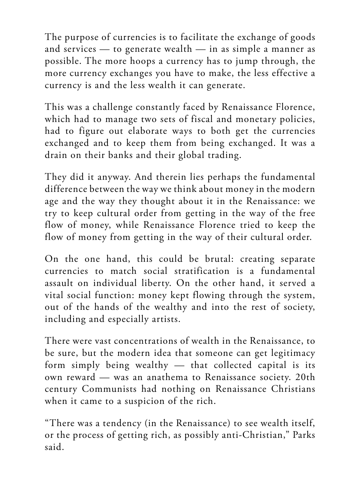The purpose of currencies is to facilitate the exchange of goods and services — to generate wealth — in as simple a manner as possible. The more hoops a currency has to jump through, the more currency exchanges you have to make, the less effective a currency is and the less wealth it can generate.

This was a challenge constantly faced by Renaissance Florence, which had to manage two sets of fiscal and monetary policies, had to figure out elaborate ways to both get the currencies exchanged and to keep them from being exchanged. It was a drain on their banks and their global trading.

They did it anyway. And therein lies perhaps the fundamental difference between the way we think about money in the modern age and the way they thought about it in the Renaissance: we try to keep cultural order from getting in the way of the free flow of money, while Renaissance Florence tried to keep the flow of money from getting in the way of their cultural order.

On the one hand, this could be brutal: creating separate currencies to match social stratification is a fundamental assault on individual liberty. On the other hand, it served a vital social function: money kept flowing through the system, out of the hands of the wealthy and into the rest of society, including and especially artists.

There were vast concentrations of wealth in the Renaissance, to be sure, but the modern idea that someone can get legitimacy form simply being wealthy — that collected capital is its own reward — was an anathema to Renaissance society. 20th century Communists had nothing on Renaissance Christians when it came to a suspicion of the rich.

"There was a tendency (in the Renaissance) to see wealth itself, or the process of getting rich, as possibly anti-Christian," Parks said.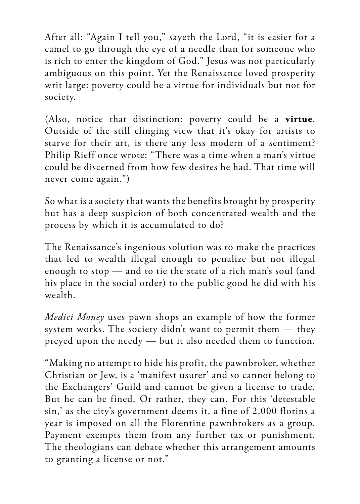After all: "Again I tell you," sayeth the Lord, "it is easier for a camel to go through the eye of a needle than for someone who is rich to enter the kingdom of God." Jesus was not particularly ambiguous on this point. Yet the Renaissance loved prosperity writ large: poverty could be a virtue for individuals but not for society.

(Also, notice that distinction: poverty could be a **virtue**. Outside of the still clinging view that it's okay for artists to starve for their art, is there any less modern of a sentiment? Philip Rieff once wrote: "There was a time when a man's virtue could be discerned from how few desires he had. That time will never come again.")

So what is a society that wants the benefits brought by prosperity but has a deep suspicion of both concentrated wealth and the process by which it is accumulated to do?

The Renaissance's ingenious solution was to make the practices that led to wealth illegal enough to penalize but not illegal enough to stop — and to tie the state of a rich man's soul (and his place in the social order) to the public good he did with his wealth.

*Medici Money* uses pawn shops an example of how the former system works. The society didn't want to permit them — they preyed upon the needy — but it also needed them to function.

"Making no attempt to hide his profit, the pawnbroker, whether Christian or Jew, is a 'manifest usurer' and so cannot belong to the Exchangers' Guild and cannot be given a license to trade. But he can be fined. Or rather, they can. For this 'detestable sin,' as the city's government deems it, a fine of 2,000 florins a year is imposed on all the Florentine pawnbrokers as a group. Payment exempts them from any further tax or punishment. The theologians can debate whether this arrangement amounts to granting a license or not."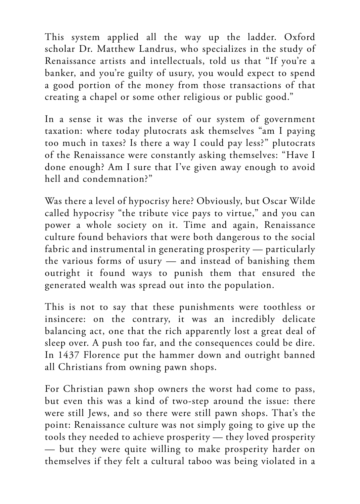This system applied all the way up the ladder. Oxford scholar Dr. Matthew Landrus, who specializes in the study of Renaissance artists and intellectuals, told us that "If you're a banker, and you're guilty of usury, you would expect to spend a good portion of the money from those transactions of that creating a chapel or some other religious or public good."

In a sense it was the inverse of our system of government taxation: where today plutocrats ask themselves "am I paying too much in taxes? Is there a way I could pay less?" plutocrats of the Renaissance were constantly asking themselves: "Have I done enough? Am I sure that I've given away enough to avoid hell and condemnation?"

Was there a level of hypocrisy here? Obviously, but Oscar Wilde called hypocrisy "the tribute vice pays to virtue," and you can power a whole society on it. Time and again, Renaissance culture found behaviors that were both dangerous to the social fabric and instrumental in generating prosperity — particularly the various forms of usury — and instead of banishing them outright it found ways to punish them that ensured the generated wealth was spread out into the population.

This is not to say that these punishments were toothless or insincere: on the contrary, it was an incredibly delicate balancing act, one that the rich apparently lost a great deal of sleep over. A push too far, and the consequences could be dire. In 1437 Florence put the hammer down and outright banned all Christians from owning pawn shops.

For Christian pawn shop owners the worst had come to pass, but even this was a kind of two-step around the issue: there were still Jews, and so there were still pawn shops. That's the point: Renaissance culture was not simply going to give up the tools they needed to achieve prosperity — they loved prosperity — but they were quite willing to make prosperity harder on themselves if they felt a cultural taboo was being violated in a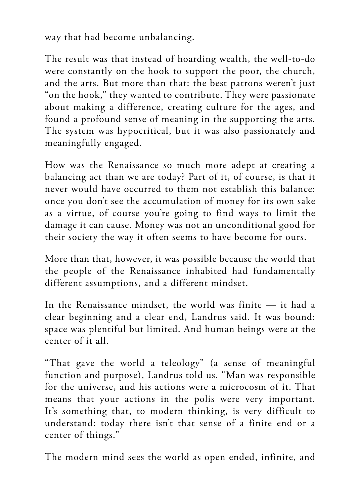way that had become unbalancing.

The result was that instead of hoarding wealth, the well-to-do were constantly on the hook to support the poor, the church, and the arts. But more than that: the best patrons weren't just "on the hook," they wanted to contribute. They were passionate about making a difference, creating culture for the ages, and found a profound sense of meaning in the supporting the arts. The system was hypocritical, but it was also passionately and meaningfully engaged.

How was the Renaissance so much more adept at creating a balancing act than we are today? Part of it, of course, is that it never would have occurred to them not establish this balance: once you don't see the accumulation of money for its own sake as a virtue, of course you're going to find ways to limit the damage it can cause. Money was not an unconditional good for their society the way it often seems to have become for ours.

More than that, however, it was possible because the world that the people of the Renaissance inhabited had fundamentally different assumptions, and a different mindset.

In the Renaissance mindset, the world was finite — it had a clear beginning and a clear end, Landrus said. It was bound: space was plentiful but limited. And human beings were at the center of it all.

"That gave the world a teleology" (a sense of meaningful function and purpose), Landrus told us. "Man was responsible for the universe, and his actions were a microcosm of it. That means that your actions in the polis were very important. It's something that, to modern thinking, is very difficult to understand: today there isn't that sense of a finite end or a center of things."

The modern mind sees the world as open ended, infinite, and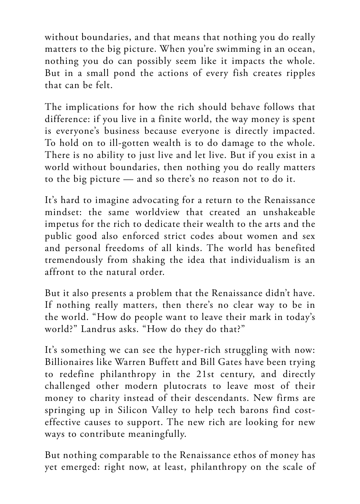without boundaries, and that means that nothing you do really matters to the big picture. When you're swimming in an ocean, nothing you do can possibly seem like it impacts the whole. But in a small pond the actions of every fish creates ripples that can be felt.

The implications for how the rich should behave follows that difference: if you live in a finite world, the way money is spent is everyone's business because everyone is directly impacted. To hold on to ill-gotten wealth is to do damage to the whole. There is no ability to just live and let live. But if you exist in a world without boundaries, then nothing you do really matters to the big picture — and so there's no reason not to do it.

It's hard to imagine advocating for a return to the Renaissance mindset: the same worldview that created an unshakeable impetus for the rich to dedicate their wealth to the arts and the public good also enforced strict codes about women and sex and personal freedoms of all kinds. The world has benefited tremendously from shaking the idea that individualism is an affront to the natural order.

But it also presents a problem that the Renaissance didn't have. If nothing really matters, then there's no clear way to be in the world. "How do people want to leave their mark in today's world?" Landrus asks. "How do they do that?"

It's something we can see the hyper-rich struggling with now: Billionaires like Warren Buffett and Bill Gates have been trying to redefine philanthropy in the 21st century, and directly challenged other modern plutocrats to leave most of their money to charity instead of their descendants. New firms are springing up in Silicon Valley to help tech barons find costeffective causes to support. The new rich are looking for new ways to contribute meaningfully.

But nothing comparable to the Renaissance ethos of money has yet emerged: right now, at least, philanthropy on the scale of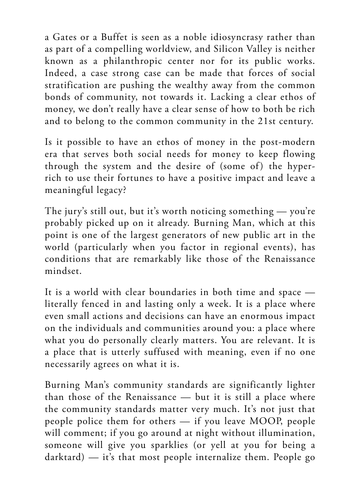a Gates or a Buffet is seen as a noble idiosyncrasy rather than as part of a compelling worldview, and Silicon Valley is neither known as a philanthropic center nor for its public works. Indeed, a case strong case can be made that forces of social stratification are pushing the wealthy away from the common bonds of community, not towards it. Lacking a clear ethos of money, we don't really have a clear sense of how to both be rich and to belong to the common community in the 21st century.

Is it possible to have an ethos of money in the post-modern era that serves both social needs for money to keep flowing through the system and the desire of (some of) the hyperrich to use their fortunes to have a positive impact and leave a meaningful legacy?

The jury's still out, but it's worth noticing something — you're probably picked up on it already. Burning Man, which at this point is one of the largest generators of new public art in the world (particularly when you factor in regional events), has conditions that are remarkably like those of the Renaissance mindset.

It is a world with clear boundaries in both time and space literally fenced in and lasting only a week. It is a place where even small actions and decisions can have an enormous impact on the individuals and communities around you: a place where what you do personally clearly matters. You are relevant. It is a place that is utterly suffused with meaning, even if no one necessarily agrees on what it is.

Burning Man's community standards are significantly lighter than those of the Renaissance — but it is still a place where the community standards matter very much. It's not just that people police them for others — if you leave MOOP, people will comment; if you go around at night without illumination, someone will give you sparklies (or yell at you for being a darktard) — it's that most people internalize them. People go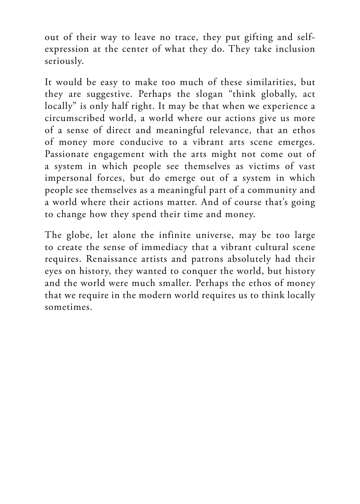out of their way to leave no trace, they put gifting and selfexpression at the center of what they do. They take inclusion seriously.

It would be easy to make too much of these similarities, but they are suggestive. Perhaps the slogan "think globally, act locally" is only half right. It may be that when we experience a circumscribed world, a world where our actions give us more of a sense of direct and meaningful relevance, that an ethos of money more conducive to a vibrant arts scene emerges. Passionate engagement with the arts might not come out of a system in which people see themselves as victims of vast impersonal forces, but do emerge out of a system in which people see themselves as a meaningful part of a community and a world where their actions matter. And of course that's going to change how they spend their time and money.

The globe, let alone the infinite universe, may be too large to create the sense of immediacy that a vibrant cultural scene requires. Renaissance artists and patrons absolutely had their eyes on history, they wanted to conquer the world, but history and the world were much smaller. Perhaps the ethos of money that we require in the modern world requires us to think locally sometimes.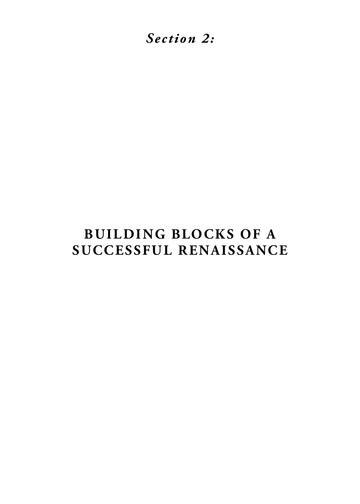<span id="page-26-0"></span>*Section 2:*

# **BUILDING BLOCKS OF A SUCCESSFUL RENAISSANCE**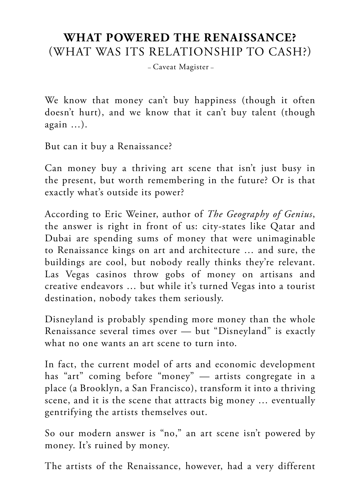#### <span id="page-27-0"></span>**WHAT POWERED THE RENAISSANCE?** (WHAT WAS ITS RELATIONSHIP TO CASH?)

– Caveat Magister –

We know that money can't buy happiness (though it often doesn't hurt), and we know that it can't buy talent (though again …).

But can it buy a Renaissance?

Can money buy a thriving art scene that isn't just busy in the present, but worth remembering in the future? Or is that exactly what's outside its power?

According to Eric Weiner, author of *The Geography of Genius*, the answer is right in front of us: city-states like Qatar and Dubai are spending sums of money that were unimaginable to Renaissance kings on art and architecture … and sure, the buildings are cool, but nobody really thinks they're relevant. Las Vegas casinos throw gobs of money on artisans and creative endeavors … but while it's turned Vegas into a tourist destination, nobody takes them seriously.

Disneyland is probably spending more money than the whole Renaissance several times over — but "Disneyland" is exactly what no one wants an art scene to turn into.

In fact, the current model of arts and economic development has "art" coming before "money" — artists congregate in a place (a Brooklyn, a San Francisco), transform it into a thriving scene, and it is the scene that attracts big money … eventually gentrifying the artists themselves out.

So our modern answer is "no," an art scene isn't powered by money. It's ruined by money.

The artists of the Renaissance, however, had a very different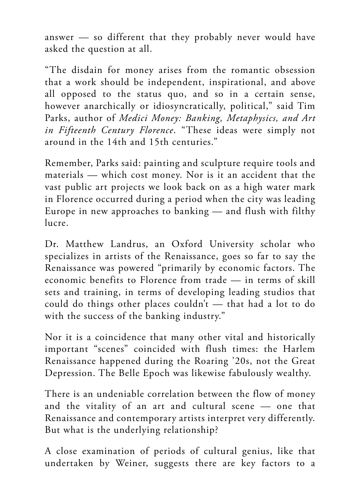answer — so different that they probably never would have asked the question at all.

"The disdain for money arises from the romantic obsession that a work should be independent, inspirational, and above all opposed to the status quo, and so in a certain sense, however anarchically or idiosyncratically, political," said Tim Parks, author of *Medici Money: Banking, Metaphysics, and Art in Fifteenth Century Florence*. "These ideas were simply not around in the 14th and 15th centuries."

Remember, Parks said: painting and sculpture require tools and materials — which cost money. Nor is it an accident that the vast public art projects we look back on as a high water mark in Florence occurred during a period when the city was leading Europe in new approaches to banking — and flush with filthy lucre.

Dr. Matthew Landrus, an Oxford University scholar who specializes in artists of the Renaissance, goes so far to say the Renaissance was powered "primarily by economic factors. The economic benefits to Florence from trade — in terms of skill sets and training, in terms of developing leading studios that could do things other places couldn't — that had a lot to do with the success of the banking industry."

Nor it is a coincidence that many other vital and historically important "scenes" coincided with flush times: the Harlem Renaissance happened during the Roaring '20s, not the Great Depression. The Belle Epoch was likewise fabulously wealthy.

There is an undeniable correlation between the flow of money and the vitality of an art and cultural scene — one that Renaissance and contemporary artists interpret very differently. But what is the underlying relationship?

A close examination of periods of cultural genius, like that undertaken by Weiner, suggests there are key factors to a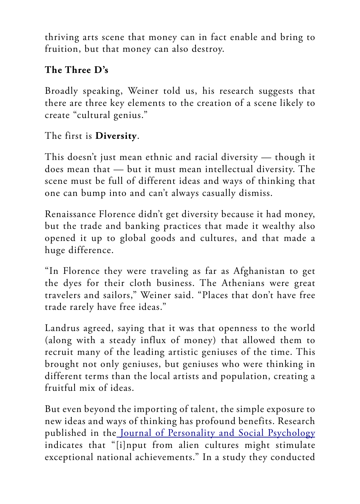thriving arts scene that money can in fact enable and bring to fruition, but that money can also destroy.

#### **The Three D's**

Broadly speaking, Weiner told us, his research suggests that there are three key elements to the creation of a scene likely to create "cultural genius."

#### The first is **Diversity**.

This doesn't just mean ethnic and racial diversity — though it does mean that — but it must mean intellectual diversity. The scene must be full of different ideas and ways of thinking that one can bump into and can't always casually dismiss.

Renaissance Florence didn't get diversity because it had money, but the trade and banking practices that made it wealthy also opened it up to global goods and cultures, and that made a huge difference.

"In Florence they were traveling as far as Afghanistan to get the dyes for their cloth business. The Athenians were great travelers and sailors," Weiner said. "Places that don't have free trade rarely have free ideas."

Landrus agreed, saying that it was that openness to the world (along with a steady influx of money) that allowed them to recruit many of the leading artistic geniuses of the time. This brought not only geniuses, but geniuses who were thinking in different terms than the local artists and population, creating a fruitful mix of ideas.

But even beyond the importing of talent, the simple exposure to new ideas and ways of thinking has profound benefits. Research published in the [Journal of Personality and Social Psychology](http://psycnet.apa.org/record/1997-02176-007) indicates that "[i]nput from alien cultures might stimulate exceptional national achievements." In a study they conducted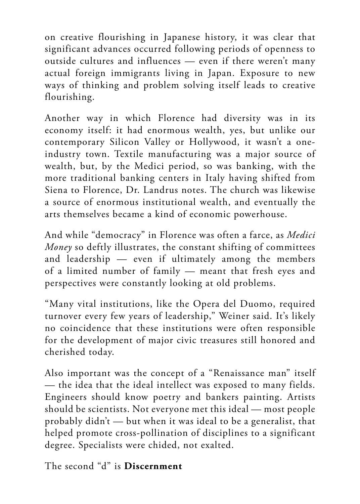on creative flourishing in Japanese history, it was clear that significant advances occurred following periods of openness to outside cultures and influences — even if there weren't many actual foreign immigrants living in Japan. Exposure to new ways of thinking and problem solving itself leads to creative flourishing.

Another way in which Florence had diversity was in its economy itself: it had enormous wealth, yes, but unlike our contemporary Silicon Valley or Hollywood, it wasn't a oneindustry town. Textile manufacturing was a major source of wealth, but, by the Medici period, so was banking, with the more traditional banking centers in Italy having shifted from Siena to Florence, Dr. Landrus notes. The church was likewise a source of enormous institutional wealth, and eventually the arts themselves became a kind of economic powerhouse.

And while "democracy" in Florence was often a farce, as *Medici Money* so deftly illustrates, the constant shifting of committees and leadership — even if ultimately among the members of a limited number of family — meant that fresh eyes and perspectives were constantly looking at old problems.

"Many vital institutions, like the Opera del Duomo, required turnover every few years of leadership," Weiner said. It's likely no coincidence that these institutions were often responsible for the development of major civic treasures still honored and cherished today.

Also important was the concept of a "Renaissance man" itself — the idea that the ideal intellect was exposed to many fields. Engineers should know poetry and bankers painting. Artists should be scientists. Not everyone met this ideal — most people probably didn't — but when it was ideal to be a generalist, that helped promote cross-pollination of disciplines to a significant degree. Specialists were chided, not exalted.

The second "d" is **Discernment**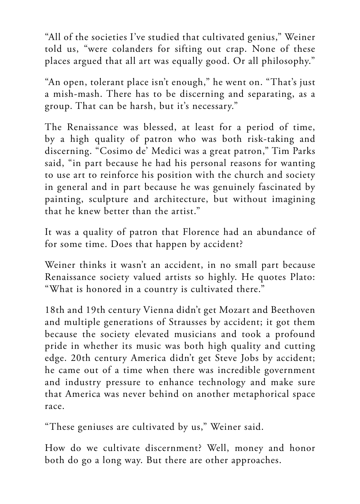"All of the societies I've studied that cultivated genius," Weiner told us, "were colanders for sifting out crap. None of these places argued that all art was equally good. Or all philosophy."

"An open, tolerant place isn't enough," he went on. "That's just a mish-mash. There has to be discerning and separating, as a group. That can be harsh, but it's necessary."

The Renaissance was blessed, at least for a period of time, by a high quality of patron who was both risk-taking and discerning. "Cosimo de' Medici was a great patron," Tim Parks said, "in part because he had his personal reasons for wanting to use art to reinforce his position with the church and society in general and in part because he was genuinely fascinated by painting, sculpture and architecture, but without imagining that he knew better than the artist."

It was a quality of patron that Florence had an abundance of for some time. Does that happen by accident?

Weiner thinks it wasn't an accident, in no small part because Renaissance society valued artists so highly. He quotes Plato: "What is honored in a country is cultivated there."

18th and 19th century Vienna didn't get Mozart and Beethoven and multiple generations of Strausses by accident; it got them because the society elevated musicians and took a profound pride in whether its music was both high quality and cutting edge. 20th century America didn't get Steve Jobs by accident; he came out of a time when there was incredible government and industry pressure to enhance technology and make sure that America was never behind on another metaphorical space race.

"These geniuses are cultivated by us," Weiner said.

How do we cultivate discernment? Well, money and honor both do go a long way. But there are other approaches.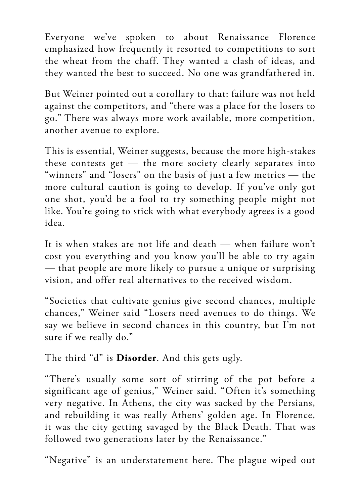Everyone we've spoken to about Renaissance Florence emphasized how frequently it resorted to competitions to sort the wheat from the chaff. They wanted a clash of ideas, and they wanted the best to succeed. No one was grandfathered in.

But Weiner pointed out a corollary to that: failure was not held against the competitors, and "there was a place for the losers to go." There was always more work available, more competition, another avenue to explore.

This is essential, Weiner suggests, because the more high-stakes these contests get — the more society clearly separates into "winners" and "losers" on the basis of just a few metrics — the more cultural caution is going to develop. If you've only got one shot, you'd be a fool to try something people might not like. You're going to stick with what everybody agrees is a good idea.

It is when stakes are not life and death — when failure won't cost you everything and you know you'll be able to try again — that people are more likely to pursue a unique or surprising vision, and offer real alternatives to the received wisdom.

"Societies that cultivate genius give second chances, multiple chances," Weiner said "Losers need avenues to do things. We say we believe in second chances in this country, but I'm not sure if we really do."

The third "d" is **Disorder**. And this gets ugly.

"There's usually some sort of stirring of the pot before a significant age of genius," Weiner said. "Often it's something very negative. In Athens, the city was sacked by the Persians, and rebuilding it was really Athens' golden age. In Florence, it was the city getting savaged by the Black Death. That was followed two generations later by the Renaissance."

"Negative" is an understatement here. The plague wiped out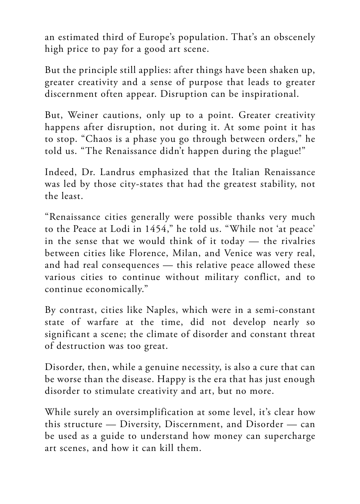an estimated third of Europe's population. That's an obscenely high price to pay for a good art scene.

But the principle still applies: after things have been shaken up, greater creativity and a sense of purpose that leads to greater discernment often appear. Disruption can be inspirational.

But, Weiner cautions, only up to a point. Greater creativity happens after disruption, not during it. At some point it has to stop. "Chaos is a phase you go through between orders," he told us. "The Renaissance didn't happen during the plague!"

Indeed, Dr. Landrus emphasized that the Italian Renaissance was led by those city-states that had the greatest stability, not the least.

"Renaissance cities generally were possible thanks very much to the Peace at Lodi in 1454," he told us. "While not 'at peace' in the sense that we would think of it today — the rivalries between cities like Florence, Milan, and Venice was very real, and had real consequences — this relative peace allowed these various cities to continue without military conflict, and to continue economically."

By contrast, cities like Naples, which were in a semi-constant state of warfare at the time, did not develop nearly so significant a scene; the climate of disorder and constant threat of destruction was too great.

Disorder, then, while a genuine necessity, is also a cure that can be worse than the disease. Happy is the era that has just enough disorder to stimulate creativity and art, but no more.

While surely an oversimplification at some level, it's clear how this structure — Diversity, Discernment, and Disorder — can be used as a guide to understand how money can supercharge art scenes, and how it can kill them.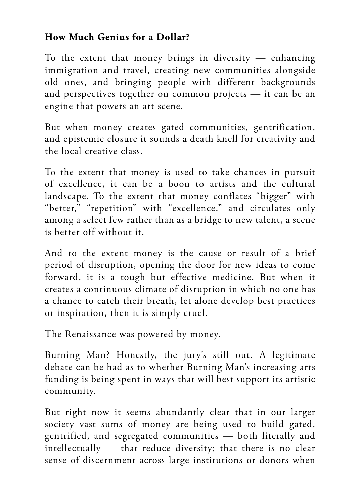#### **How Much Genius for a Dollar?**

To the extent that money brings in diversity  $-$  enhancing immigration and travel, creating new communities alongside old ones, and bringing people with different backgrounds and perspectives together on common projects — it can be an engine that powers an art scene.

But when money creates gated communities, gentrification, and epistemic closure it sounds a death knell for creativity and the local creative class.

To the extent that money is used to take chances in pursuit of excellence, it can be a boon to artists and the cultural landscape. To the extent that money conflates "bigger" with "better," "repetition" with "excellence," and circulates only among a select few rather than as a bridge to new talent, a scene is better off without it.

And to the extent money is the cause or result of a brief period of disruption, opening the door for new ideas to come forward, it is a tough but effective medicine. But when it creates a continuous climate of disruption in which no one has a chance to catch their breath, let alone develop best practices or inspiration, then it is simply cruel.

The Renaissance was powered by money.

Burning Man? Honestly, the jury's still out. A legitimate debate can be had as to whether Burning Man's increasing arts funding is being spent in ways that will best support its artistic community.

But right now it seems abundantly clear that in our larger society vast sums of money are being used to build gated, gentrified, and segregated communities — both literally and intellectually — that reduce diversity; that there is no clear sense of discernment across large institutions or donors when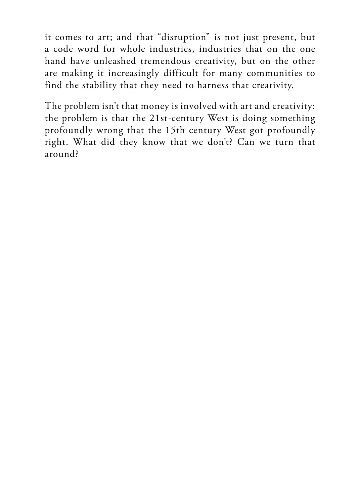it comes to art; and that "disruption" is not just present, but a code word for whole industries, industries that on the one hand have unleashed tremendous creativity, but on the other are making it increasingly difficult for many communities to find the stability that they need to harness that creativity.

The problem isn't that money is involved with art and creativity: the problem is that the 21st-century West is doing something profoundly wrong that the 15th century West got profoundly right. What did they know that we don't? Can we turn that around?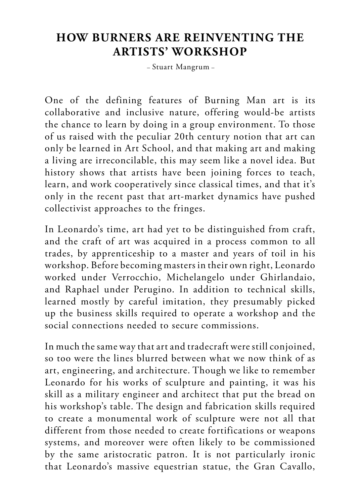### **HOW BURNERS ARE REINVENTING THE ARTISTS' WORKSHOP**

– Stuart Mangrum –

One of the defining features of Burning Man art is its collaborative and inclusive nature, offering would-be artists the chance to learn by doing in a group environment. To those of us raised with the peculiar 20th century notion that art can only be learned in Art School, and that making art and making a living are irreconcilable, this may seem like a novel idea. But history shows that artists have been joining forces to teach, learn, and work cooperatively since classical times, and that it's only in the recent past that art-market dynamics have pushed collectivist approaches to the fringes.

In Leonardo's time, art had yet to be distinguished from craft, and the craft of art was acquired in a process common to all trades, by apprenticeship to a master and years of toil in his workshop. Before becoming masters in their own right, Leonardo worked under Verrocchio, Michelangelo under Ghirlandaio, and Raphael under Perugino. In addition to technical skills, learned mostly by careful imitation, they presumably picked up the business skills required to operate a workshop and the social connections needed to secure commissions.

In much the same way that art and tradecraft were still conjoined, so too were the lines blurred between what we now think of as art, engineering, and architecture. Though we like to remember Leonardo for his works of sculpture and painting, it was his skill as a military engineer and architect that put the bread on his workshop's table. The design and fabrication skills required to create a monumental work of sculpture were not all that different from those needed to create fortifications or weapons systems, and moreover were often likely to be commissioned by the same aristocratic patron. It is not particularly ironic that Leonardo's massive equestrian statue, the Gran Cavallo,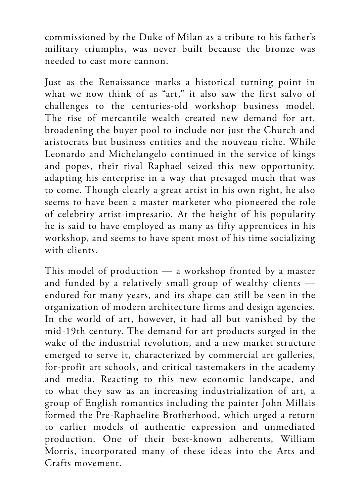commissioned by the Duke of Milan as a tribute to his father's military triumphs, was never built because the bronze was needed to cast more cannon.

Just as the Renaissance marks a historical turning point in what we now think of as "art," it also saw the first salvo of challenges to the centuries-old workshop business model. The rise of mercantile wealth created new demand for art, broadening the buyer pool to include not just the Church and aristocrats but business entities and the nouveau riche. While Leonardo and Michelangelo continued in the service of kings and popes, their rival Raphael seized this new opportunity, adapting his enterprise in a way that presaged much that was to come. Though clearly a great artist in his own right, he also seems to have been a master marketer who pioneered the role of celebrity artist-impresario. At the height of his popularity he is said to have employed as many as fifty apprentices in his workshop, and seems to have spent most of his time socializing with clients.

This model of production — a workshop fronted by a master and funded by a relatively small group of wealthy clients endured for many years, and its shape can still be seen in the organization of modern architecture firms and design agencies. In the world of art, however, it had all but vanished by the mid-19th century. The demand for art products surged in the wake of the industrial revolution, and a new market structure emerged to serve it, characterized by commercial art galleries, for-profit art schools, and critical tastemakers in the academy and media. Reacting to this new economic landscape, and to what they saw as an increasing industrialization of art, a group of English romantics including the painter John Millais formed the Pre-Raphaelite Brotherhood, which urged a return to earlier models of authentic expression and unmediated production. One of their best-known adherents, William Morris, incorporated many of these ideas into the Arts and Crafts movement.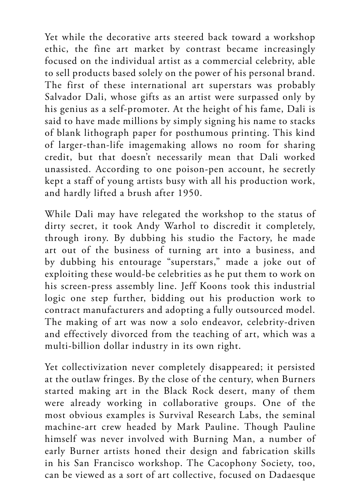Yet while the decorative arts steered back toward a workshop ethic, the fine art market by contrast became increasingly focused on the individual artist as a commercial celebrity, able to sell products based solely on the power of his personal brand. The first of these international art superstars was probably Salvador Dali, whose gifts as an artist were surpassed only by his genius as a self-promoter. At the height of his fame, Dali is said to have made millions by simply signing his name to stacks of blank lithograph paper for posthumous printing. This kind of larger-than-life imagemaking allows no room for sharing credit, but that doesn't necessarily mean that Dali worked unassisted. According to one poison-pen account, he secretly kept a staff of young artists busy with all his production work, and hardly lifted a brush after 1950.

While Dali may have relegated the workshop to the status of dirty secret, it took Andy Warhol to discredit it completely, through irony. By dubbing his studio the Factory, he made art out of the business of turning art into a business, and by dubbing his entourage "superstars," made a joke out of exploiting these would-be celebrities as he put them to work on his screen-press assembly line. Jeff Koons took this industrial logic one step further, bidding out his production work to contract manufacturers and adopting a fully outsourced model. The making of art was now a solo endeavor, celebrity-driven and effectively divorced from the teaching of art, which was a multi-billion dollar industry in its own right.

Yet collectivization never completely disappeared; it persisted at the outlaw fringes. By the close of the century, when Burners started making art in the Black Rock desert, many of them were already working in collaborative groups. One of the most obvious examples is Survival Research Labs, the seminal machine-art crew headed by Mark Pauline. Though Pauline himself was never involved with Burning Man, a number of early Burner artists honed their design and fabrication skills in his San Francisco workshop. The Cacophony Society, too, can be viewed as a sort of art collective, focused on Dadaesque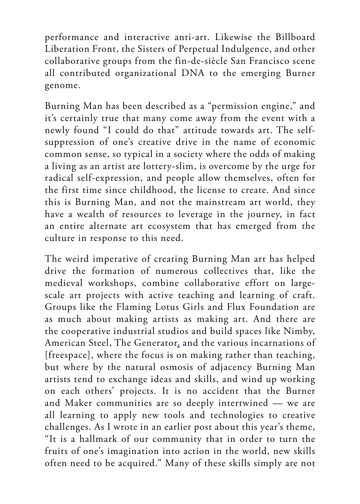performance and interactive anti-art. Likewise the Billboard Liberation Front, the Sisters of Perpetual Indulgence, and other collaborative groups from the fin-de-siècle San Francisco scene all contributed organizational DNA to the emerging Burner genome.

Burning Man has been described as a "permission engine," and it's certainly true that many come away from the event with a newly found "I could do that" attitude towards art. The selfsuppression of one's creative drive in the name of economic common sense, so typical in a society where the odds of making a living as an artist are lottery-slim, is overcome by the urge for radical self-expression, and people allow themselves, often for the first time since childhood, the license to create. And since this is Burning Man, and not the mainstream art world, they have a wealth of resources to leverage in the journey, in fact an entire alternate art ecosystem that has emerged from the culture in response to this need.

The weird imperative of creating Burning Man art has helped drive the formation of numerous collectives that, like the medieval workshops, combine collaborative effort on largescale art projects with active teaching and learning of craft. Groups like the Flaming Lotus Girls and Flux Foundation are as much about making artists as making art. And there are the cooperative industrial studios and build spaces like Nimby, American Steel, The Generato[r,](https://journal.burningman.org/renaissance/) and the various incarnations of [freespace], where the focus is on making rather than teaching, but where by the natural osmosis of adjacency Burning Man artists tend to exchange ideas and skills, and wind up working on each others' projects. It is no accident that the Burner and Maker communities are so deeply intertwined — we are all learning to apply new tools and technologies to creative challenges. As I wrote in an earlier post about this year's theme, "It is a hallmark of our community that in order to turn the fruits of one's imagination into action in the world, new skills often need to be acquired." Many of these skills simply are not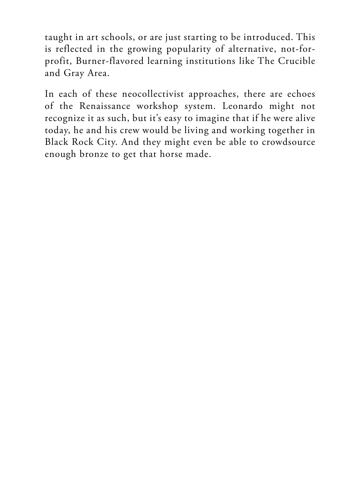taught in art schools, or are just starting to be introduced. This is reflected in the growing popularity of alternative, not-forprofit, Burner-flavored learning institutions like The Crucible and Gray Area.

In each of these neocollectivist approaches, there are echoes of the Renaissance workshop system. Leonardo might not recognize it as such, but it's easy to imagine that if he were alive today, he and his crew would be living and working together in Black Rock City. And they might even be able to crowdsource enough bronze to get that horse made.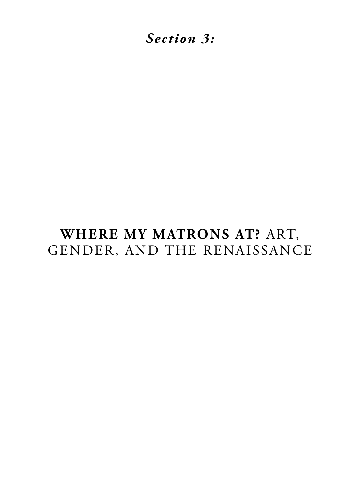*Section 3:*

# **WHERE MY MATRONS AT?** ART, GENDER, AND THE RENAISSANCE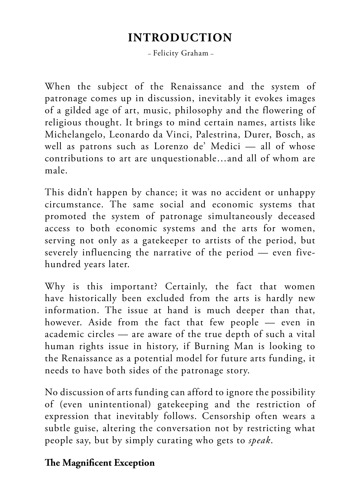# **INTRODUCTION**

– Felicity Graham –

When the subject of the Renaissance and the system of patronage comes up in discussion, inevitably it evokes images of a gilded age of art, music, philosophy and the flowering of religious thought. It brings to mind certain names, artists like Michelangelo, Leonardo da Vinci, Palestrina, Durer, Bosch, as well as patrons such as Lorenzo de' Medici — all of whose contributions to art are unquestionable…and all of whom are male.

This didn't happen by chance; it was no accident or unhappy circumstance. The same social and economic systems that promoted the system of patronage simultaneously deceased access to both economic systems and the arts for women, serving not only as a gatekeeper to artists of the period, but severely influencing the narrative of the period — even fivehundred years later.

Why is this important? Certainly, the fact that women have historically been excluded from the arts is hardly new information. The issue at hand is much deeper than that, however. Aside from the fact that few people — even in academic circles — are aware of the true depth of such a vital human rights issue in history, if Burning Man is looking to the Renaissance as a potential model for future arts funding, it needs to have both sides of the patronage story.

No discussion of arts funding can afford to ignore the possibility of (even unintentional) gatekeeping and the restriction of expression that inevitably follows. Censorship often wears a subtle guise, altering the conversation not by restricting what people say, but by simply curating who gets to *speak*.

#### **The Magnificent Exception**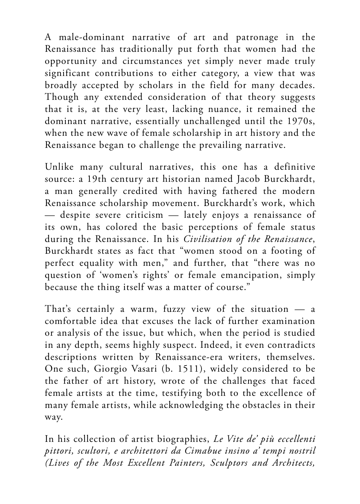A male-dominant narrative of art and patronage in the Renaissance has traditionally put forth that women had the opportunity and circumstances yet simply never made truly significant contributions to either category, a view that was broadly accepted by scholars in the field for many decades. Though any extended consideration of that theory suggests that it is, at the very least, lacking nuance, it remained the dominant narrative, essentially unchallenged until the 1970s, when the new wave of female scholarship in art history and the Renaissance began to challenge the prevailing narrative.

Unlike many cultural narratives, this one has a definitive source: a 19th century art historian named Jacob Burckhardt, a man generally credited with having fathered the modern Renaissance scholarship movement. Burckhardt's work, which — despite severe criticism — lately enjoys a renaissance of its own, has colored the basic perceptions of female status during the Renaissance. In his *Civilisation of the Renaissance*, Burckhardt states as fact that "women stood on a footing of perfect equality with men," and further, that "there was no question of 'women's rights' or female emancipation, simply because the thing itself was a matter of course."

That's certainly a warm, fuzzy view of the situation — a comfortable idea that excuses the lack of further examination or analysis of the issue, but which, when the period is studied in any depth, seems highly suspect. Indeed, it even contradicts descriptions written by Renaissance-era writers, themselves. One such, Giorgio Vasari (b. 1511), widely considered to be the father of art history, wrote of the challenges that faced female artists at the time, testifying both to the excellence of many female artists, while acknowledging the obstacles in their way.

In his collection of artist biographies, *Le Vite de' più eccellenti pittori, scultori, e architettori da Cimabue insino a' tempi nostril (Lives of the Most Excellent Painters, Sculptors and Architects,*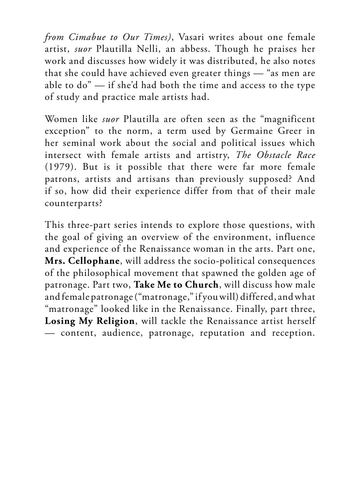*from Cimabue to Our Times)*, Vasari writes about one female artist, *suor* Plautilla Nelli, an abbess. Though he praises her work and discusses how widely it was distributed, he also notes that she could have achieved even greater things — "as men are able to do" — if she'd had both the time and access to the type of study and practice male artists had.

Women like *suor* Plautilla are often seen as the "magnificent exception" to the norm, a term used by Germaine Greer in her seminal work about the social and political issues which intersect with female artists and artistry, *The Obstacle Race* (1979). But is it possible that there were far more female patrons, artists and artisans than previously supposed? And if so, how did their experience differ from that of their male counterparts?

This three-part series intends to explore those questions, with the goal of giving an overview of the environment, influence and experience of the Renaissance woman in the arts. Part one, **Mrs. Cellophane**, will address the socio-political consequences of the philosophical movement that spawned the golden age of patronage. Part two, **Take Me to Church**, will discuss how male and female patronage ("matronage," if you will) differed, and what "matronage" looked like in the Renaissance. Finally, part three, **Losing My Religion**, will tackle the Renaissance artist herself — content, audience, patronage, reputation and reception.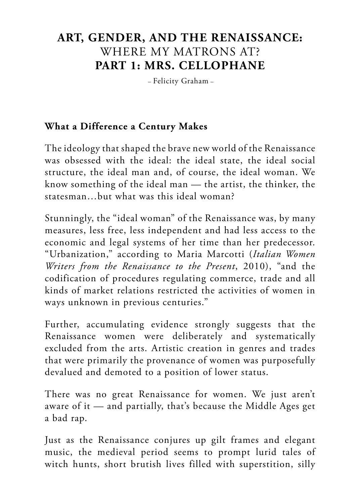# **ART, GENDER, AND THE RENAISSANCE:** WHERE MY MATRONS AT? **PART 1: MRS. CELLOPHANE**

– Felicity Graham –

#### **What a Difference a Century Makes**

The ideology that shaped the brave new world of the Renaissance was obsessed with the ideal: the ideal state, the ideal social structure, the ideal man and, of course, the ideal woman. We know something of the ideal man — the artist, the thinker, the statesman…but what was this ideal woman?

Stunningly, the "ideal woman" of the Renaissance was, by many measures, less free, less independent and had less access to the economic and legal systems of her time than her predecessor. "Urbanization," according to Maria Marcotti (*Italian Women Writers from the Renaissance to the Present*, 2010), "and the codification of procedures regulating commerce, trade and all kinds of market relations restricted the activities of women in ways unknown in previous centuries."

Further, accumulating evidence strongly suggests that the Renaissance women were deliberately and systematically excluded from the arts. Artistic creation in genres and trades that were primarily the provenance of women was purposefully devalued and demoted to a position of lower status.

There was no great Renaissance for women. We just aren't aware of it — and partially, that's because the Middle Ages get a bad rap.

Just as the Renaissance conjures up gilt frames and elegant music, the medieval period seems to prompt lurid tales of witch hunts, short brutish lives filled with superstition, silly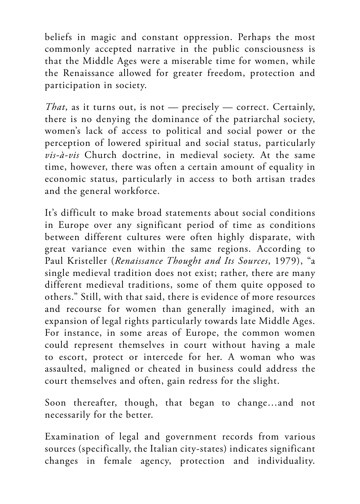beliefs in magic and constant oppression. Perhaps the most commonly accepted narrative in the public consciousness is that the Middle Ages were a miserable time for women, while the Renaissance allowed for greater freedom, protection and participation in society.

*That*, as it turns out, is not — precisely — correct. Certainly, there is no denying the dominance of the patriarchal society, women's lack of access to political and social power or the perception of lowered spiritual and social status, particularly *vis-à-vis* Church doctrine, in medieval society. At the same time, however, there was often a certain amount of equality in economic status, particularly in access to both artisan trades and the general workforce.

It's difficult to make broad statements about social conditions in Europe over any significant period of time as conditions between different cultures were often highly disparate, with great variance even within the same regions. According to Paul Kristeller (*Renaissance Thought and Its Sources*, 1979), "a single medieval tradition does not exist; rather, there are many different medieval traditions, some of them quite opposed to others." Still, with that said, there is evidence of more resources and recourse for women than generally imagined, with an expansion of legal rights particularly towards late Middle Ages. For instance, in some areas of Europe, the common women could represent themselves in court without having a male to escort, protect or intercede for her. A woman who was assaulted, maligned or cheated in business could address the court themselves and often, gain redress for the slight.

Soon thereafter, though, that began to change…and not necessarily for the better.

Examination of legal and government records from various sources (specifically, the Italian city-states) indicates significant changes in female agency, protection and individuality.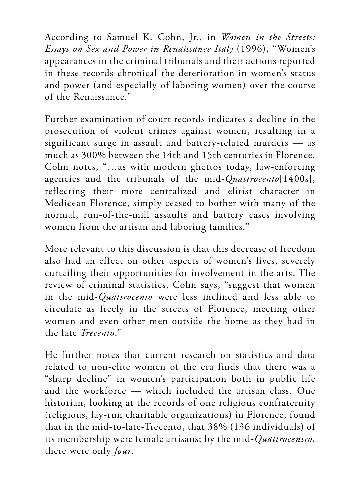According to Samuel K. Cohn, Jr., in *Women in the Streets: Essays on Sex and Power in Renaissance Italy* (1996), "Women's appearances in the criminal tribunals and their actions reported in these records chronical the deterioration in women's status and power (and especially of laboring women) over the course of the Renaissance."

Further examination of court records indicates a decline in the prosecution of violent crimes against women, resulting in a significant surge in assault and battery-related murders — as much as 300% between the 14th and 15th centuries in Florence. Cohn notes, "…as with modern ghettos today, law-enforcing agencies and the tribunals of the mid-*Quattrocento*[1400s], reflecting their more centralized and elitist character in Medicean Florence, simply ceased to bother with many of the normal, run-of-the-mill assaults and battery cases involving women from the artisan and laboring families."

More relevant to this discussion is that this decrease of freedom also had an effect on other aspects of women's lives, severely curtailing their opportunities for involvement in the arts. The review of criminal statistics, Cohn says, "suggest that women in the mid-*Quattrocento* were less inclined and less able to circulate as freely in the streets of Florence, meeting other women and even other men outside the home as they had in the late *Trecento*."

He further notes that current research on statistics and data related to non-elite women of the era finds that there was a "sharp decline" in women's participation both in public life and the workforce — which included the artisan class. One historian, looking at the records of one religious confraternity (religious, lay-run charitable organizations) in Florence, found that in the mid-to-late-Trecento, that 38% (136 individuals) of its membership were female artisans; by the mid-*Quattrocentro*, there were only *four*.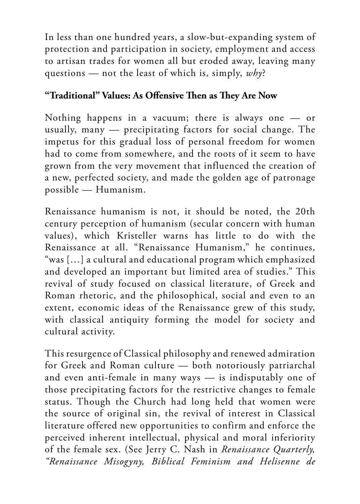In less than one hundred years, a slow-but-expanding system of protection and participation in society, employment and access to artisan trades for women all but eroded away, leaving many questions — not the least of which is, simply, *why*?

#### **"Traditional" Values: As Offensive Then as They Are Now**

Nothing happens in a vacuum; there is always one — or usually, many — precipitating factors for social change. The impetus for this gradual loss of personal freedom for women had to come from somewhere, and the roots of it seem to have grown from the very movement that influenced the creation of a new, perfected society, and made the golden age of patronage possible — Humanism.

Renaissance humanism is not, it should be noted, the 20th century perception of humanism (secular concern with human values), which Kristeller warns has little to do with the Renaissance at all. "Renaissance Humanism," he continues, "was […] a cultural and educational program which emphasized and developed an important but limited area of studies." This revival of study focused on classical literature, of Greek and Roman rhetoric, and the philosophical, social and even to an extent, economic ideas of the Renaissance grew of this study, with classical antiquity forming the model for society and cultural activity.

This resurgence of Classical philosophy and renewed admiration for Greek and Roman culture — both notoriously patriarchal and even anti-female in many ways — is indisputably one of those precipitating factors for the restrictive changes to female status. Though the Church had long held that women were the source of original sin, the revival of interest in Classical literature offered new opportunities to confirm and enforce the perceived inherent intellectual, physical and moral inferiority of the female sex. (See Jerry C. Nash in *Renaissance Quarterly, "Renaissance Misogyny, Biblical Feminism and Helisenne de*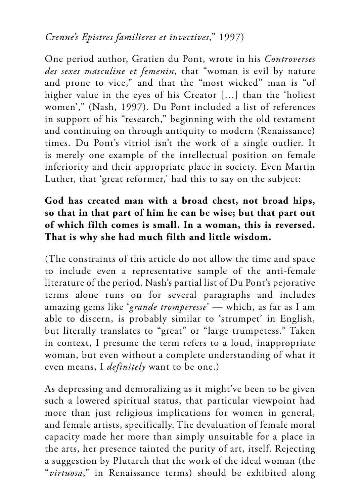#### *Crenne's Epistres familieres et invectives*," 1997)

One period author, Gratien du Pont, wrote in his *Controverses des sexes masculine et femenin*, that "woman is evil by nature and prone to vice," and that the "most wicked" man is "of higher value in the eyes of his Creator […] than the 'holiest women'," (Nash, 1997). Du Pont included a list of references in support of his "research," beginning with the old testament and continuing on through antiquity to modern (Renaissance) times. Du Pont's vitriol isn't the work of a single outlier. It is merely one example of the intellectual position on female inferiority and their appropriate place in society. Even Martin Luther, that 'great reformer,' had this to say on the subject:

#### **God has created man with a broad chest, not broad hips, so that in that part of him he can be wise; but that part out of which filth comes is small. In a woman, this is reversed. That is why she had much filth and little wisdom.**

(The constraints of this article do not allow the time and space to include even a representative sample of the anti-female literature of the period. Nash's partial list of Du Pont's pejorative terms alone runs on for several paragraphs and includes amazing gems like '*grande tromperesse*' — which, as far as I am able to discern, is probably similar to 'strumpet' in English, but literally translates to "great" or "large trumpetess." Taken in context, I presume the term refers to a loud, inappropriate woman, but even without a complete understanding of what it even means, I *definitely* want to be one.)

As depressing and demoralizing as it might've been to be given such a lowered spiritual status, that particular viewpoint had more than just religious implications for women in general, and female artists, specifically. The devaluation of female moral capacity made her more than simply unsuitable for a place in the arts, her presence tainted the purity of art, itself. Rejecting a suggestion by Plutarch that the work of the ideal woman (the "*virtuosa*," in Renaissance terms) should be exhibited along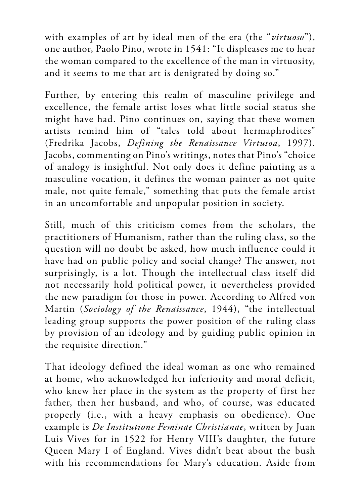with examples of art by ideal men of the era (the "*virtuoso*"), one author, Paolo Pino, wrote in 1541: "It displeases me to hear the woman compared to the excellence of the man in virtuosity, and it seems to me that art is denigrated by doing so."

Further, by entering this realm of masculine privilege and excellence, the female artist loses what little social status she might have had. Pino continues on, saying that these women artists remind him of "tales told about hermaphrodites" (Fredrika Jacobs, *Defining the Renaissance Virtusoa*, 1997). Jacobs, commenting on Pino's writings, notes that Pino's "choice of analogy is insightful. Not only does it define painting as a masculine vocation, it defines the woman painter as not quite male, not quite female," something that puts the female artist in an uncomfortable and unpopular position in society.

Still, much of this criticism comes from the scholars, the practitioners of Humanism, rather than the ruling class, so the question will no doubt be asked, how much influence could it have had on public policy and social change? The answer, not surprisingly, is a lot. Though the intellectual class itself did not necessarily hold political power, it nevertheless provided the new paradigm for those in power. According to Alfred von Martin (*Sociology of the Renaissance*, 1944), "the intellectual leading group supports the power position of the ruling class by provision of an ideology and by guiding public opinion in the requisite direction."

That ideology defined the ideal woman as one who remained at home, who acknowledged her inferiority and moral deficit, who knew her place in the system as the property of first her father, then her husband, and who, of course, was educated properly (i.e., with a heavy emphasis on obedience). One example is *De Institutione Feminae Christianae*, written by Juan Luis Vives for in 1522 for Henry VIII's daughter, the future Queen Mary I of England. Vives didn't beat about the bush with his recommendations for Mary's education. Aside from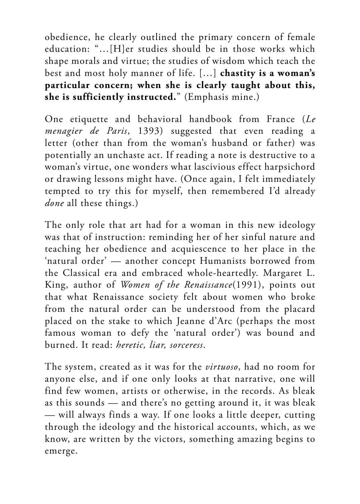obedience, he clearly outlined the primary concern of female education: "…[H]er studies should be in those works which shape morals and virtue; the studies of wisdom which teach the best and most holy manner of life. […] **chastity is a woman's particular concern; when she is clearly taught about this, she is sufficiently instructed.**" (Emphasis mine.)

One etiquette and behavioral handbook from France (*Le menagier de Paris*, 1393) suggested that even reading a letter (other than from the woman's husband or father) was potentially an unchaste act. If reading a note is destructive to a woman's virtue, one wonders what lascivious effect harpsichord or drawing lessons might have. (Once again, I felt immediately tempted to try this for myself, then remembered I'd already *done* all these things.)

The only role that art had for a woman in this new ideology was that of instruction: reminding her of her sinful nature and teaching her obedience and acquiescence to her place in the 'natural order' — another concept Humanists borrowed from the Classical era and embraced whole-heartedly. Margaret L. King, author of *Women of the Renaissance*(1991), points out that what Renaissance society felt about women who broke from the natural order can be understood from the placard placed on the stake to which Jeanne d'Arc (perhaps the most famous woman to defy the 'natural order') was bound and burned. It read: *heretic, liar, sorceress*.

The system, created as it was for the *virtuoso*, had no room for anyone else, and if one only looks at that narrative, one will find few women, artists or otherwise, in the records. As bleak as this sounds — and there's no getting around it, it was bleak — will always finds a way. If one looks a little deeper, cutting through the ideology and the historical accounts, which, as we know, are written by the victors, something amazing begins to emerge.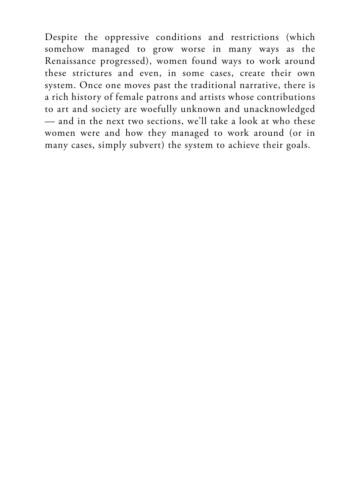Despite the oppressive conditions and restrictions (which somehow managed to grow worse in many ways as the Renaissance progressed), women found ways to work around these strictures and even, in some cases, create their own system. Once one moves past the traditional narrative, there is a rich history of female patrons and artists whose contributions to art and society are woefully unknown and unacknowledged — and in the next two sections, we'll take a look at who these women were and how they managed to work around (or in many cases, simply subvert) the system to achieve their goals.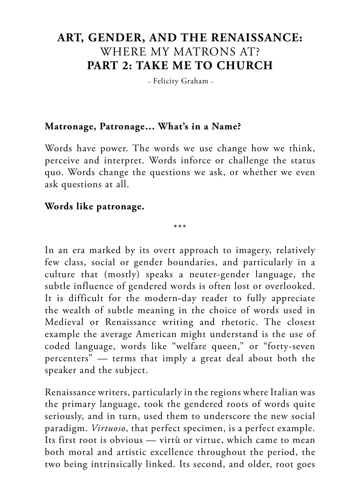### **ART, GENDER, AND THE RENAISSANCE:** WHERE MY MATRONS AT? **PART 2: TAKE ME TO CHURCH**

– Felicity Graham –

#### **Matronage, Patronage… What's in a Name?**

Words have power. The words we use change how we think, perceive and interpret. Words inforce or challenge the status quo. Words change the questions we ask, or whether we even ask questions at all.

#### **Words like patronage.**

\*\*\*

In an era marked by its overt approach to imagery, relatively few class, social or gender boundaries, and particularly in a culture that (mostly) speaks a neuter-gender language, the subtle influence of gendered words is often lost or overlooked. It is difficult for the modern-day reader to fully appreciate the wealth of subtle meaning in the choice of words used in Medieval or Renaissance writing and rhetoric. The closest example the average American might understand is the use of coded language, words like "welfare queen," or "forty-seven percenters" — terms that imply a great deal about both the speaker and the subject.

Renaissance writers, particularly in the regions where Italian was the primary language, took the gendered roots of words quite seriously, and in turn, used them to underscore the new social paradigm. *Virtuoso*, that perfect specimen, is a perfect example. Its first root is obvious — virtù or virtue, which came to mean both moral and artistic excellence throughout the period, the two being intrinsically linked. Its second, and older, root goes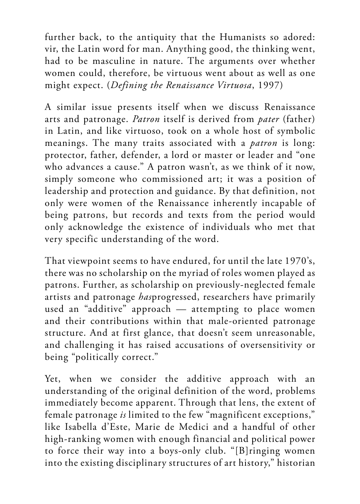further back, to the antiquity that the Humanists so adored: vir, the Latin word for man. Anything good, the thinking went, had to be masculine in nature. The arguments over whether women could, therefore, be virtuous went about as well as one might expect. (*Defining the Renaissance Virtuosa*, 1997)

A similar issue presents itself when we discuss Renaissance arts and patronage. *Patron* itself is derived from *pater* (father) in Latin, and like virtuoso, took on a whole host of symbolic meanings. The many traits associated with a *patron* is long: protector, father, defender, a lord or master or leader and "one who advances a cause." A patron wasn't, as we think of it now, simply someone who commissioned art; it was a position of leadership and protection and guidance. By that definition, not only were women of the Renaissance inherently incapable of being patrons, but records and texts from the period would only acknowledge the existence of individuals who met that very specific understanding of the word.

That viewpoint seems to have endured, for until the late 1970's, there was no scholarship on the myriad of roles women played as patrons. Further, as scholarship on previously-neglected female artists and patronage *has*progressed, researchers have primarily used an "additive" approach — attempting to place women and their contributions within that male-oriented patronage structure. And at first glance, that doesn't seem unreasonable, and challenging it has raised accusations of oversensitivity or being "politically correct."

Yet, when we consider the additive approach with an understanding of the original definition of the word, problems immediately become apparent. Through that lens, the extent of female patronage *is* limited to the few "magnificent exceptions," like Isabella d'Este, Marie de Medici and a handful of other high-ranking women with enough financial and political power to force their way into a boys-only club. "[B]ringing women into the existing disciplinary structures of art history," historian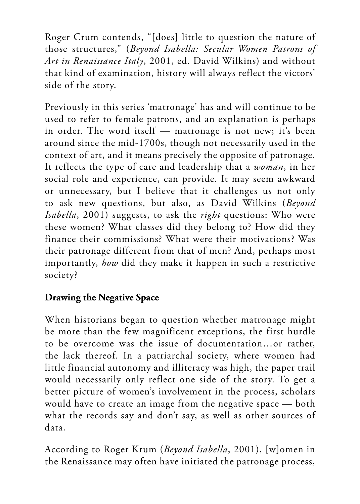Roger Crum contends, "[does] little to question the nature of those structures," (*Beyond Isabella: Secular Women Patrons of Art in Renaissance Italy*, 2001, ed. David Wilkins) and without that kind of examination, history will always reflect the victors' side of the story.

Previously in this series 'matronage' has and will continue to be used to refer to female patrons, and an explanation is perhaps in order. The word itself — matronage is not new; it's been around since the mid-1700s, though not necessarily used in the context of art, and it means precisely the opposite of patronage. It reflects the type of care and leadership that a *woman*, in her social role and experience, can provide. It may seem awkward or unnecessary, but I believe that it challenges us not only to ask new questions, but also, as David Wilkins (*Beyond Isabella*, 2001) suggests, to ask the *right* questions: Who were these women? What classes did they belong to? How did they finance their commissions? What were their motivations? Was their patronage different from that of men? And, perhaps most importantly, *how* did they make it happen in such a restrictive society?

#### **Drawing the Negative Space**

When historians began to question whether matronage might be more than the few magnificent exceptions, the first hurdle to be overcome was the issue of documentation…or rather, the lack thereof. In a patriarchal society, where women had little financial autonomy and illiteracy was high, the paper trail would necessarily only reflect one side of the story. To get a better picture of women's involvement in the process, scholars would have to create an image from the negative space — both what the records say and don't say, as well as other sources of data.

According to Roger Krum (*Beyond Isabella*, 2001), [w]omen in the Renaissance may often have initiated the patronage process,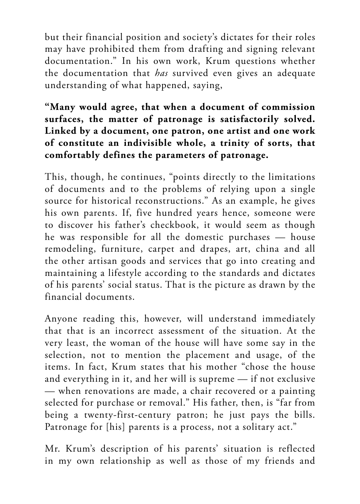but their financial position and society's dictates for their roles may have prohibited them from drafting and signing relevant documentation." In his own work, Krum questions whether the documentation that *has* survived even gives an adequate understanding of what happened, saying,

#### **"Many would agree, that when a document of commission surfaces, the matter of patronage is satisfactorily solved. Linked by a document, one patron, one artist and one work of constitute an indivisible whole, a trinity of sorts, that comfortably defines the parameters of patronage.**

This, though, he continues, "points directly to the limitations of documents and to the problems of relying upon a single source for historical reconstructions." As an example, he gives his own parents. If, five hundred years hence, someone were to discover his father's checkbook, it would seem as though he was responsible for all the domestic purchases — house remodeling, furniture, carpet and drapes, art, china and all the other artisan goods and services that go into creating and maintaining a lifestyle according to the standards and dictates of his parents' social status. That is the picture as drawn by the financial documents.

Anyone reading this, however, will understand immediately that that is an incorrect assessment of the situation. At the very least, the woman of the house will have some say in the selection, not to mention the placement and usage, of the items. In fact, Krum states that his mother "chose the house and everything in it, and her will is supreme — if not exclusive — when renovations are made, a chair recovered or a painting selected for purchase or removal." His father, then, is "far from being a twenty-first-century patron; he just pays the bills. Patronage for [his] parents is a process, not a solitary act."

Mr. Krum's description of his parents' situation is reflected in my own relationship as well as those of my friends and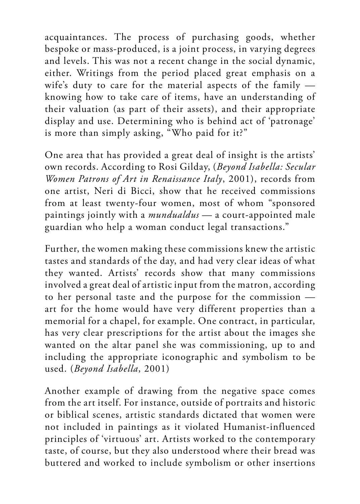acquaintances. The process of purchasing goods, whether bespoke or mass-produced, is a joint process, in varying degrees and levels. This was not a recent change in the social dynamic, either. Writings from the period placed great emphasis on a wife's duty to care for the material aspects of the family knowing how to take care of items, have an understanding of their valuation (as part of their assets), and their appropriate display and use. Determining who is behind act of 'patronage' is more than simply asking, "Who paid for it?"

One area that has provided a great deal of insight is the artists' own records. According to Rosi Gilday, (*Beyond Isabella: Secular Women Patrons of Art in Renaissance Italy*, 2001), records from one artist, Neri di Bicci, show that he received commissions from at least twenty-four women, most of whom "sponsored paintings jointly with a *mundualdus* — a court-appointed male guardian who help a woman conduct legal transactions."

Further, the women making these commissions knew the artistic tastes and standards of the day, and had very clear ideas of what they wanted. Artists' records show that many commissions involved a great deal of artistic input from the matron, according to her personal taste and the purpose for the commission art for the home would have very different properties than a memorial for a chapel, for example. One contract, in particular, has very clear prescriptions for the artist about the images she wanted on the altar panel she was commissioning, up to and including the appropriate iconographic and symbolism to be used. (*Beyond Isabella*, 2001)

Another example of drawing from the negative space comes from the art itself. For instance, outside of portraits and historic or biblical scenes, artistic standards dictated that women were not included in paintings as it violated Humanist-influenced principles of 'virtuous' art. Artists worked to the contemporary taste, of course, but they also understood where their bread was buttered and worked to include symbolism or other insertions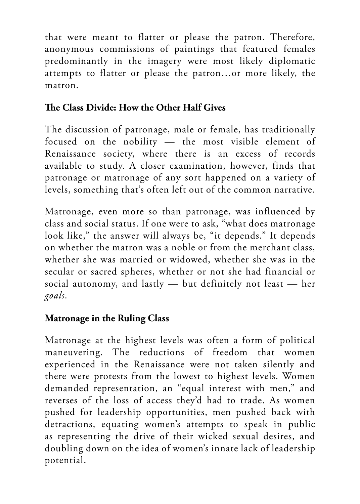that were meant to flatter or please the patron. Therefore, anonymous commissions of paintings that featured females predominantly in the imagery were most likely diplomatic attempts to flatter or please the patron…or more likely, the matron.

#### **The Class Divide: How the Other Half Gives**

The discussion of patronage, male or female, has traditionally focused on the nobility — the most visible element of Renaissance society, where there is an excess of records available to study. A closer examination, however, finds that patronage or matronage of any sort happened on a variety of levels, something that's often left out of the common narrative.

Matronage, even more so than patronage, was influenced by class and social status. If one were to ask, "what does matronage look like," the answer will always be, "it depends." It depends on whether the matron was a noble or from the merchant class, whether she was married or widowed, whether she was in the secular or sacred spheres, whether or not she had financial or social autonomy, and lastly — but definitely not least — her *goals*.

### **Matronage in the Ruling Class**

Matronage at the highest levels was often a form of political maneuvering. The reductions of freedom that women experienced in the Renaissance were not taken silently and there were protests from the lowest to highest levels. Women demanded representation, an "equal interest with men," and reverses of the loss of access they'd had to trade. As women pushed for leadership opportunities, men pushed back with detractions, equating women's attempts to speak in public as representing the drive of their wicked sexual desires, and doubling down on the idea of women's innate lack of leadership potential.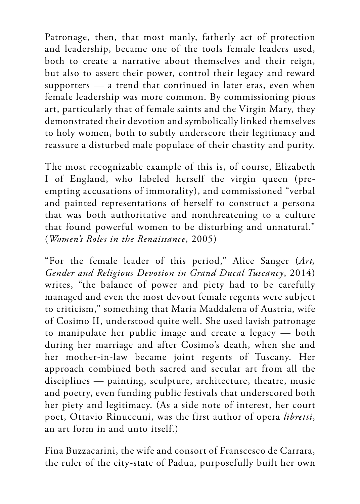Patronage, then, that most manly, fatherly act of protection and leadership, became one of the tools female leaders used, both to create a narrative about themselves and their reign, but also to assert their power, control their legacy and reward supporters — a trend that continued in later eras, even when female leadership was more common. By commissioning pious art, particularly that of female saints and the Virgin Mary, they demonstrated their devotion and symbolically linked themselves to holy women, both to subtly underscore their legitimacy and reassure a disturbed male populace of their chastity and purity.

The most recognizable example of this is, of course, Elizabeth I of England, who labeled herself the virgin queen (preempting accusations of immorality), and commissioned "verbal and painted representations of herself to construct a persona that was both authoritative and nonthreatening to a culture that found powerful women to be disturbing and unnatural." (*Women's Roles in the Renaissance*, 2005)

"For the female leader of this period," Alice Sanger (*Art, Gender and Religious Devotion in Grand Ducal Tuscancy*, 2014) writes, "the balance of power and piety had to be carefully managed and even the most devout female regents were subject to criticism," something that Maria Maddalena of Austria, wife of Cosimo II, understood quite well. She used lavish patronage to manipulate her public image and create a legacy — both during her marriage and after Cosimo's death, when she and her mother-in-law became joint regents of Tuscany. Her approach combined both sacred and secular art from all the disciplines — painting, sculpture, architecture, theatre, music and poetry, even funding public festivals that underscored both her piety and legitimacy. (As a side note of interest, her court poet, Ottavio Rinuccuni, was the first author of opera *libretti*, an art form in and unto itself.)

Fina Buzzacarini, the wife and consort of Franscesco de Carrara, the ruler of the city-state of Padua, purposefully built her own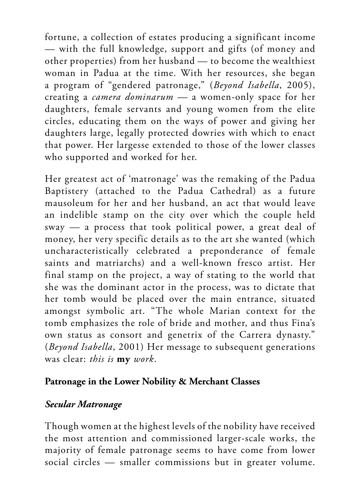fortune, a collection of estates producing a significant income — with the full knowledge, support and gifts (of money and other properties) from her husband — to become the wealthiest woman in Padua at the time. With her resources, she began a program of "gendered patronage," (*Beyond Isabella*, 2005), creating a *camera dominarum* — a women-only space for her daughters, female servants and young women from the elite circles, educating them on the ways of power and giving her daughters large, legally protected dowries with which to enact that power. Her largesse extended to those of the lower classes who supported and worked for her.

Her greatest act of 'matronage' was the remaking of the Padua Baptistery (attached to the Padua Cathedral) as a future mausoleum for her and her husband, an act that would leave an indelible stamp on the city over which the couple held sway — a process that took political power, a great deal of money, her very specific details as to the art she wanted (which uncharacteristically celebrated a preponderance of female saints and matriarchs) and a well-known fresco artist. Her final stamp on the project, a way of stating to the world that she was the dominant actor in the process, was to dictate that her tomb would be placed over the main entrance, situated amongst symbolic art. "The whole Marian context for the tomb emphasizes the role of bride and mother, and thus Fina's own status as consort and genetrix of the Carrera dynasty." (*Beyond Isabella*, 2001) Her message to subsequent generations was clear: *this is* **my** *work*.

#### **Patronage in the Lower Nobility & Merchant Classes**

#### *Secular Matronage*

Though women at the highest levels of the nobility have received the most attention and commissioned larger-scale works, the majority of female patronage seems to have come from lower social circles — smaller commissions but in greater volume.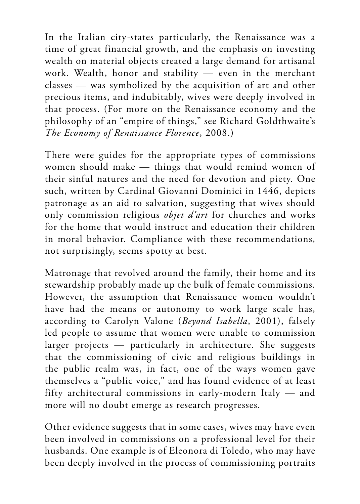In the Italian city-states particularly, the Renaissance was a time of great financial growth, and the emphasis on investing wealth on material objects created a large demand for artisanal work. Wealth, honor and stability — even in the merchant classes — was symbolized by the acquisition of art and other precious items, and indubitably, wives were deeply involved in that process. (For more on the Renaissance economy and the philosophy of an "empire of things," see Richard Goldthwaite's *The Economy of Renaissance Florence*, 2008.)

There were guides for the appropriate types of commissions women should make — things that would remind women of their sinful natures and the need for devotion and piety. One such, written by Cardinal Giovanni Dominici in 1446, depicts patronage as an aid to salvation, suggesting that wives should only commission religious *objet d'art* for churches and works for the home that would instruct and education their children in moral behavior. Compliance with these recommendations, not surprisingly, seems spotty at best.

Matronage that revolved around the family, their home and its stewardship probably made up the bulk of female commissions. However, the assumption that Renaissance women wouldn't have had the means or autonomy to work large scale has, according to Carolyn Valone (*Beyond Isabella*, 2001), falsely led people to assume that women were unable to commission larger projects — particularly in architecture. She suggests that the commissioning of civic and religious buildings in the public realm was, in fact, one of the ways women gave themselves a "public voice," and has found evidence of at least fifty architectural commissions in early-modern Italy — and more will no doubt emerge as research progresses.

Other evidence suggests that in some cases, wives may have even been involved in commissions on a professional level for their husbands. One example is of Eleonora di Toledo, who may have been deeply involved in the process of commissioning portraits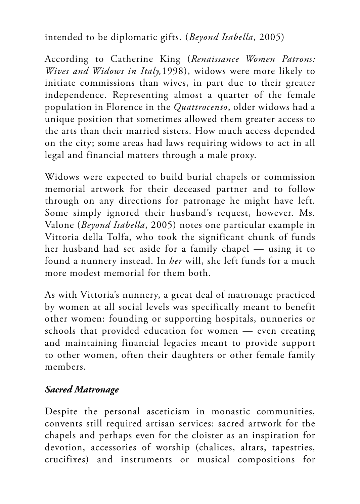intended to be diplomatic gifts. (*Beyond Isabella*, 2005)

According to Catherine King (*Renaissance Women Patrons: Wives and Widows in Italy,*1998), widows were more likely to initiate commissions than wives, in part due to their greater independence. Representing almost a quarter of the female population in Florence in the *Quattrocento*, older widows had a unique position that sometimes allowed them greater access to the arts than their married sisters. How much access depended on the city; some areas had laws requiring widows to act in all legal and financial matters through a male proxy.

Widows were expected to build burial chapels or commission memorial artwork for their deceased partner and to follow through on any directions for patronage he might have left. Some simply ignored their husband's request, however. Ms. Valone (*Beyond Isabella*, 2005) notes one particular example in Vittoria della Tolfa, who took the significant chunk of funds her husband had set aside for a family chapel — using it to found a nunnery instead. In *her* will, she left funds for a much more modest memorial for them both.

As with Vittoria's nunnery, a great deal of matronage practiced by women at all social levels was specifically meant to benefit other women: founding or supporting hospitals, nunneries or schools that provided education for women — even creating and maintaining financial legacies meant to provide support to other women, often their daughters or other female family members.

#### *Sacred Matronage*

Despite the personal asceticism in monastic communities, convents still required artisan services: sacred artwork for the chapels and perhaps even for the cloister as an inspiration for devotion, accessories of worship (chalices, altars, tapestries, crucifixes) and instruments or musical compositions for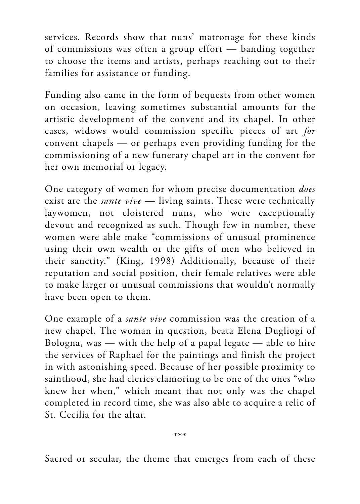services. Records show that nuns' matronage for these kinds of commissions was often a group effort — banding together to choose the items and artists, perhaps reaching out to their families for assistance or funding.

Funding also came in the form of bequests from other women on occasion, leaving sometimes substantial amounts for the artistic development of the convent and its chapel. In other cases, widows would commission specific pieces of art *for* convent chapels — or perhaps even providing funding for the commissioning of a new funerary chapel art in the convent for her own memorial or legacy.

One category of women for whom precise documentation *does* exist are the *sante vive* — living saints. These were technically laywomen, not cloistered nuns, who were exceptionally devout and recognized as such. Though few in number, these women were able make "commissions of unusual prominence using their own wealth or the gifts of men who believed in their sanctity." (King, 1998) Additionally, because of their reputation and social position, their female relatives were able to make larger or unusual commissions that wouldn't normally have been open to them.

One example of a *sante vive* commission was the creation of a new chapel. The woman in question, beata Elena Dugliogi of Bologna, was — with the help of a papal legate — able to hire the services of Raphael for the paintings and finish the project in with astonishing speed. Because of her possible proximity to sainthood, she had clerics clamoring to be one of the ones "who knew her when," which meant that not only was the chapel completed in record time, she was also able to acquire a relic of St. Cecilia for the altar.

\*\*\*

Sacred or secular, the theme that emerges from each of these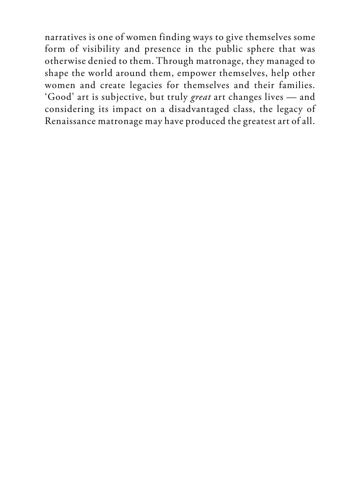narratives is one of women finding ways to give themselves some form of visibility and presence in the public sphere that was otherwise denied to them. Through matronage, they managed to shape the world around them, empower themselves, help other women and create legacies for themselves and their families. 'Good' art is subjective, but truly *great* art changes lives — and considering its impact on a disadvantaged class, the legacy of Renaissance matronage may have produced the greatest art of all.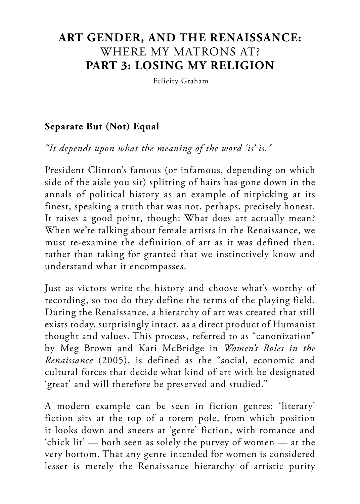## **ART GENDER, AND THE RENAISSANCE:** WHERE MY MATRONS AT? **PART 3: LOSING MY RELIGION**

– Felicity Graham –

#### **Separate But (Not) Equal**

*"It depends upon what the meaning of the word 'is' is."* 

President Clinton's famous (or infamous, depending on which side of the aisle you sit) splitting of hairs has gone down in the annals of political history as an example of nitpicking at its finest, speaking a truth that was not, perhaps, precisely honest. It raises a good point, though: What does art actually mean? When we're talking about female artists in the Renaissance, we must re-examine the definition of art as it was defined then, rather than taking for granted that we instinctively know and understand what it encompasses.

Just as victors write the history and choose what's worthy of recording, so too do they define the terms of the playing field. During the Renaissance, a hierarchy of art was created that still exists today, surprisingly intact, as a direct product of Humanist thought and values. This process, referred to as "canonization" by Meg Brown and Kari McBridge in *Women's Roles in the Renaissance* (2005), is defined as the "social, economic and cultural forces that decide what kind of art with be designated 'great' and will therefore be preserved and studied."

A modern example can be seen in fiction genres: 'literary' fiction sits at the top of a totem pole, from which position it looks down and sneers at 'genre' fiction, with romance and 'chick lit' — both seen as solely the purvey of women — at the very bottom. That any genre intended for women is considered lesser is merely the Renaissance hierarchy of artistic purity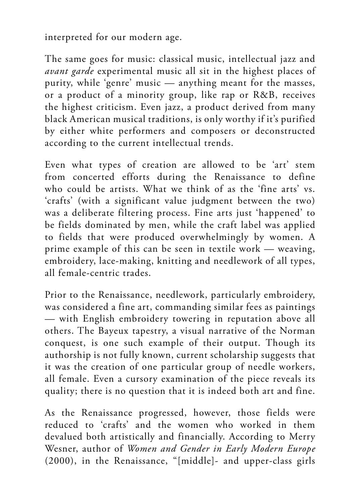interpreted for our modern age.

The same goes for music: classical music, intellectual jazz and *avant garde* experimental music all sit in the highest places of purity, while 'genre' music — anything meant for the masses, or a product of a minority group, like rap or R&B, receives the highest criticism. Even jazz, a product derived from many black American musical traditions, is only worthy if it's purified by either white performers and composers or deconstructed according to the current intellectual trends.

Even what types of creation are allowed to be 'art' stem from concerted efforts during the Renaissance to define who could be artists. What we think of as the 'fine arts' vs. 'crafts' (with a significant value judgment between the two) was a deliberate filtering process. Fine arts just 'happened' to be fields dominated by men, while the craft label was applied to fields that were produced overwhelmingly by women. A prime example of this can be seen in textile work — weaving, embroidery, lace-making, knitting and needlework of all types, all female-centric trades.

Prior to the Renaissance, needlework, particularly embroidery, was considered a fine art, commanding similar fees as paintings — with English embroidery towering in reputation above all others. The Bayeux tapestry, a visual narrative of the Norman conquest, is one such example of their output. Though its authorship is not fully known, current scholarship suggests that it was the creation of one particular group of needle workers, all female. Even a cursory examination of the piece reveals its quality; there is no question that it is indeed both art and fine.

As the Renaissance progressed, however, those fields were reduced to 'crafts' and the women who worked in them devalued both artistically and financially. According to Merry Wesner, author of *Women and Gender in Early Modern Europe* (2000), in the Renaissance, "[middle]- and upper-class girls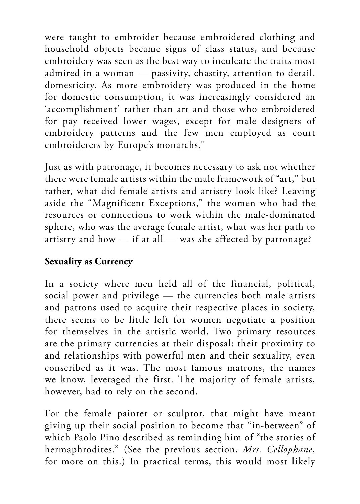were taught to embroider because embroidered clothing and household objects became signs of class status, and because embroidery was seen as the best way to inculcate the traits most admired in a woman — passivity, chastity, attention to detail, domesticity. As more embroidery was produced in the home for domestic consumption, it was increasingly considered an 'accomplishment' rather than art and those who embroidered for pay received lower wages, except for male designers of embroidery patterns and the few men employed as court embroiderers by Europe's monarchs."

Just as with patronage, it becomes necessary to ask not whether there were female artists within the male framework of "art," but rather, what did female artists and artistry look like? Leaving aside the "Magnificent Exceptions," the women who had the resources or connections to work within the male-dominated sphere, who was the average female artist, what was her path to artistry and how — if at all — was she affected by patronage?

#### **Sexuality as Currency**

In a society where men held all of the financial, political, social power and privilege — the currencies both male artists and patrons used to acquire their respective places in society, there seems to be little left for women negotiate a position for themselves in the artistic world. Two primary resources are the primary currencies at their disposal: their proximity to and relationships with powerful men and their sexuality, even conscribed as it was. The most famous matrons, the names we know, leveraged the first. The majority of female artists, however, had to rely on the second.

For the female painter or sculptor, that might have meant giving up their social position to become that "in-between" of which Paolo Pino described as reminding him of "the stories of hermaphrodites." (See the previous section, *Mrs. Cellophane*, for more on this.) In practical terms, this would most likely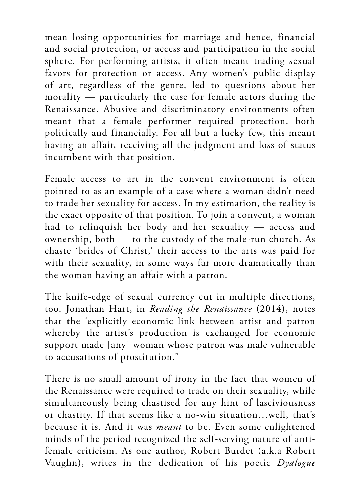mean losing opportunities for marriage and hence, financial and social protection, or access and participation in the social sphere. For performing artists, it often meant trading sexual favors for protection or access. Any women's public display of art, regardless of the genre, led to questions about her morality — particularly the case for female actors during the Renaissance. Abusive and discriminatory environments often meant that a female performer required protection, both politically and financially. For all but a lucky few, this meant having an affair, receiving all the judgment and loss of status incumbent with that position.

Female access to art in the convent environment is often pointed to as an example of a case where a woman didn't need to trade her sexuality for access. In my estimation, the reality is the exact opposite of that position. To join a convent, a woman had to relinquish her body and her sexuality — access and ownership, both — to the custody of the male-run church. As chaste 'brides of Christ,' their access to the arts was paid for with their sexuality, in some ways far more dramatically than the woman having an affair with a patron.

The knife-edge of sexual currency cut in multiple directions, too. Jonathan Hart, in *Reading the Renaissance* (2014), notes that the 'explicitly economic link between artist and patron whereby the artist's production is exchanged for economic support made [any] woman whose patron was male vulnerable to accusations of prostitution."

There is no small amount of irony in the fact that women of the Renaissance were required to trade on their sexuality, while simultaneously being chastised for any hint of lasciviousness or chastity. If that seems like a no-win situation…well, that's because it is. And it was *meant* to be. Even some enlightened minds of the period recognized the self-serving nature of antifemale criticism. As one author, Robert Burdet (a.k.a Robert Vaughn), writes in the dedication of his poetic *Dyalogue*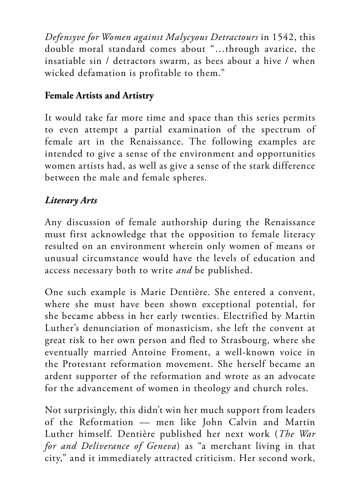*Defensyve for Women against Malycyous Detractours* in 1542, this double moral standard comes about "…through avarice, the insatiable sin / detractors swarm, as bees about a hive / when wicked defamation is profitable to them."

#### **Female Artists and Artistry**

It would take far more time and space than this series permits to even attempt a partial examination of the spectrum of female art in the Renaissance. The following examples are intended to give a sense of the environment and opportunities women artists had, as well as give a sense of the stark difference between the male and female spheres.

### *Literary Arts*

Any discussion of female authorship during the Renaissance must first acknowledge that the opposition to female literacy resulted on an environment wherein only women of means or unusual circumstance would have the levels of education and access necessary both to write *and* be published.

One such example is Marie Dentière. She entered a convent, where she must have been shown exceptional potential, for she became abbess in her early twenties. Electrified by Martin Luther's denunciation of monasticism, she left the convent at great risk to her own person and fled to Strasbourg, where she eventually married Antoine Froment, a well-known voice in the Protestant reformation movement. She herself became an ardent supporter of the reformation and wrote as an advocate for the advancement of women in theology and church roles.

Not surprisingly, this didn't win her much support from leaders of the Reformation — men like John Calvin and Martin Luther himself. Dentière published her next work (*The War for and Deliverance of Geneva*) as "a merchant living in that city," and it immediately attracted criticism. Her second work,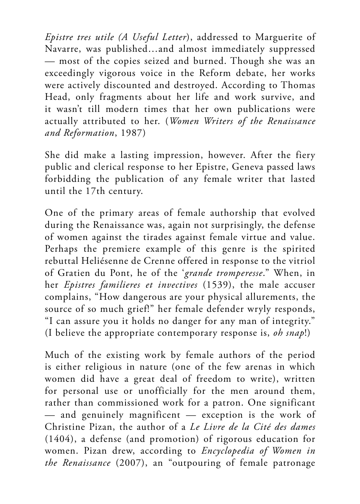*Epistre tres utile (A Useful Letter*), addressed to Marguerite of Navarre, was published…and almost immediately suppressed — most of the copies seized and burned. Though she was an exceedingly vigorous voice in the Reform debate, her works were actively discounted and destroyed. According to Thomas Head, only fragments about her life and work survive, and it wasn't till modern times that her own publications were actually attributed to her. (*Women Writers of the Renaissance and Reformation*, 1987)

She did make a lasting impression, however. After the fiery public and clerical response to her Epistre, Geneva passed laws forbidding the publication of any female writer that lasted until the 17th century.

One of the primary areas of female authorship that evolved during the Renaissance was, again not surprisingly, the defense of women against the tirades against female virtue and value. Perhaps the premiere example of this genre is the spirited rebuttal Heliésenne de Crenne offered in response to the vitriol of Gratien du Pont, he of the '*grande tromperesse*." When, in her *Epistres familieres et invectives* (1539), the male accuser complains, "How dangerous are your physical allurements, the source of so much grief!" her female defender wryly responds, "I can assure you it holds no danger for any man of integrity." (I believe the appropriate contemporary response is, *oh snap*!)

Much of the existing work by female authors of the period is either religious in nature (one of the few arenas in which women did have a great deal of freedom to write), written for personal use or unofficially for the men around them, rather than commissioned work for a patron. One significant  $-$  and genuinely magnificent  $-$  exception is the work of Christine Pizan, the author of a *Le Livre de la Cité des dames* (1404), a defense (and promotion) of rigorous education for women. Pizan drew, according to *Encyclopedia of Women in the Renaissance* (2007), an "outpouring of female patronage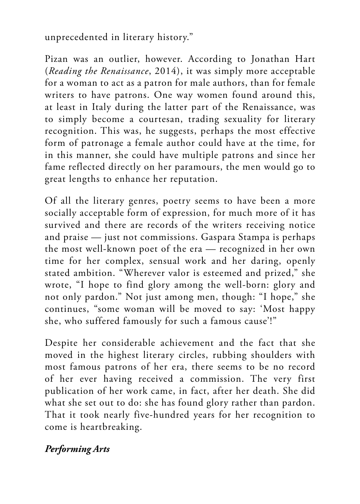unprecedented in literary history."

Pizan was an outlier, however. According to Jonathan Hart (*Reading the Renaissance*, 2014), it was simply more acceptable for a woman to act as a patron for male authors, than for female writers to have patrons. One way women found around this, at least in Italy during the latter part of the Renaissance, was to simply become a courtesan, trading sexuality for literary recognition. This was, he suggests, perhaps the most effective form of patronage a female author could have at the time, for in this manner, she could have multiple patrons and since her fame reflected directly on her paramours, the men would go to great lengths to enhance her reputation.

Of all the literary genres, poetry seems to have been a more socially acceptable form of expression, for much more of it has survived and there are records of the writers receiving notice and praise — just not commissions. Gaspara Stampa is perhaps the most well-known poet of the era — recognized in her own time for her complex, sensual work and her daring, openly stated ambition. "Wherever valor is esteemed and prized," she wrote, "I hope to find glory among the well-born: glory and not only pardon." Not just among men, though: "I hope," she continues, "some woman will be moved to say: 'Most happy she, who suffered famously for such a famous cause'!"

Despite her considerable achievement and the fact that she moved in the highest literary circles, rubbing shoulders with most famous patrons of her era, there seems to be no record of her ever having received a commission. The very first publication of her work came, in fact, after her death. She did what she set out to do: she has found glory rather than pardon. That it took nearly five-hundred years for her recognition to come is heartbreaking.

#### *Performing Arts*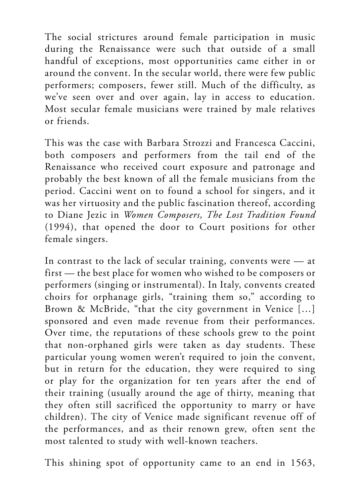The social strictures around female participation in music during the Renaissance were such that outside of a small handful of exceptions, most opportunities came either in or around the convent. In the secular world, there were few public performers; composers, fewer still. Much of the difficulty, as we've seen over and over again, lay in access to education. Most secular female musicians were trained by male relatives or friends.

This was the case with Barbara Strozzi and Francesca Caccini, both composers and performers from the tail end of the Renaissance who received court exposure and patronage and probably the best known of all the female musicians from the period. Caccini went on to found a school for singers, and it was her virtuosity and the public fascination thereof, according to Diane Jezic in *Women Composers, The Lost Tradition Found* (1994), that opened the door to Court positions for other female singers.

In contrast to the lack of secular training, convents were — at first — the best place for women who wished to be composers or performers (singing or instrumental). In Italy, convents created choirs for orphanage girls, "training them so," according to Brown & McBride, "that the city government in Venice […] sponsored and even made revenue from their performances. Over time, the reputations of these schools grew to the point that non-orphaned girls were taken as day students. These particular young women weren't required to join the convent, but in return for the education, they were required to sing or play for the organization for ten years after the end of their training (usually around the age of thirty, meaning that they often still sacrificed the opportunity to marry or have children). The city of Venice made significant revenue off of the performances, and as their renown grew, often sent the most talented to study with well-known teachers.

This shining spot of opportunity came to an end in 1563,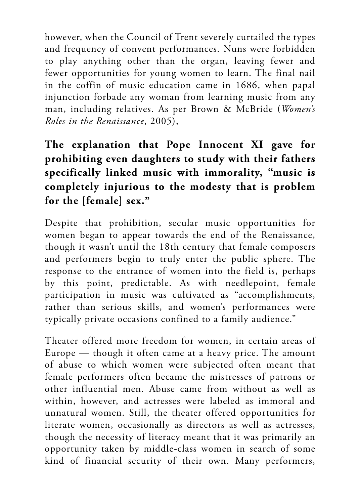however, when the Council of Trent severely curtailed the types and frequency of convent performances. Nuns were forbidden to play anything other than the organ, leaving fewer and fewer opportunities for young women to learn. The final nail in the coffin of music education came in 1686, when papal injunction forbade any woman from learning music from any man, including relatives. As per Brown & McBride (*Women's Roles in the Renaissance*, 2005),

## **The explanation that Pope Innocent XI gave for prohibiting even daughters to study with their fathers specifically linked music with immorality, "music is completely injurious to the modesty that is problem for the [female] sex."**

Despite that prohibition, secular music opportunities for women began to appear towards the end of the Renaissance, though it wasn't until the 18th century that female composers and performers begin to truly enter the public sphere. The response to the entrance of women into the field is, perhaps by this point, predictable. As with needlepoint, female participation in music was cultivated as "accomplishments, rather than serious skills, and women's performances were typically private occasions confined to a family audience."

Theater offered more freedom for women, in certain areas of Europe — though it often came at a heavy price. The amount of abuse to which women were subjected often meant that female performers often became the mistresses of patrons or other influential men. Abuse came from without as well as within, however, and actresses were labeled as immoral and unnatural women. Still, the theater offered opportunities for literate women, occasionally as directors as well as actresses, though the necessity of literacy meant that it was primarily an opportunity taken by middle-class women in search of some kind of financial security of their own. Many performers,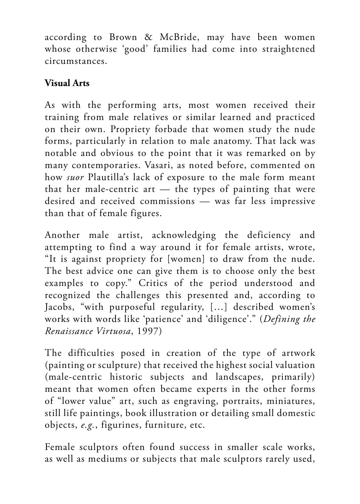according to Brown & McBride, may have been women whose otherwise 'good' families had come into straightened circumstances.

## **Visual Arts**

As with the performing arts, most women received their training from male relatives or similar learned and practiced on their own. Propriety forbade that women study the nude forms, particularly in relation to male anatomy. That lack was notable and obvious to the point that it was remarked on by many contemporaries. Vasari, as noted before, commented on how *suor* Plautilla's lack of exposure to the male form meant that her male-centric art — the types of painting that were desired and received commissions — was far less impressive than that of female figures.

Another male artist, acknowledging the deficiency and attempting to find a way around it for female artists, wrote, "It is against propriety for [women] to draw from the nude. The best advice one can give them is to choose only the best examples to copy." Critics of the period understood and recognized the challenges this presented and, according to Jacobs, "with purposeful regularity, […] described women's works with words like 'patience' and 'diligence'." (*Defining the Renaissance Virtuosa*, 1997)

The difficulties posed in creation of the type of artwork (painting or sculpture) that received the highest social valuation (male-centric historic subjects and landscapes, primarily) meant that women often became experts in the other forms of "lower value" art, such as engraving, portraits, miniatures, still life paintings, book illustration or detailing small domestic objects, *e.g.*, figurines, furniture, etc.

Female sculptors often found success in smaller scale works, as well as mediums or subjects that male sculptors rarely used,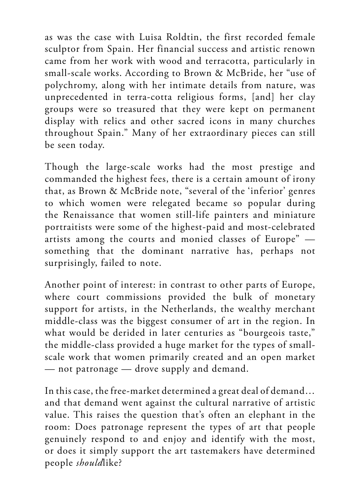as was the case with Luisa Roldtin, the first recorded female sculptor from Spain. Her financial success and artistic renown came from her work with wood and terracotta, particularly in small-scale works. According to Brown & McBride, her "use of polychromy, along with her intimate details from nature, was unprecedented in terra-cotta religious forms, [and] her clay groups were so treasured that they were kept on permanent display with relics and other sacred icons in many churches throughout Spain." Many of her extraordinary pieces can still be seen today.

Though the large-scale works had the most prestige and commanded the highest fees, there is a certain amount of irony that, as Brown & McBride note, "several of the 'inferior' genres to which women were relegated became so popular during the Renaissance that women still-life painters and miniature portraitists were some of the highest-paid and most-celebrated artists among the courts and monied classes of Europe" something that the dominant narrative has, perhaps not surprisingly, failed to note.

Another point of interest: in contrast to other parts of Europe, where court commissions provided the bulk of monetary support for artists, in the Netherlands, the wealthy merchant middle-class was the biggest consumer of art in the region. In what would be derided in later centuries as "bourgeois taste," the middle-class provided a huge market for the types of smallscale work that women primarily created and an open market — not patronage — drove supply and demand.

In this case, the free-market determined a great deal of demand… and that demand went against the cultural narrative of artistic value. This raises the question that's often an elephant in the room: Does patronage represent the types of art that people genuinely respond to and enjoy and identify with the most, or does it simply support the art tastemakers have determined people *should*like?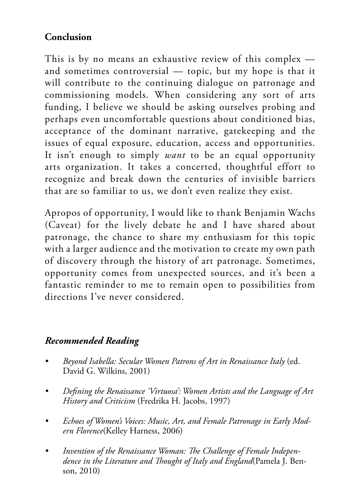### **Conclusion**

This is by no means an exhaustive review of this complex and sometimes controversial — topic, but my hope is that it will contribute to the continuing dialogue on patronage and commissioning models. When considering any sort of arts funding, I believe we should be asking ourselves probing and perhaps even uncomfortable questions about conditioned bias, acceptance of the dominant narrative, gatekeeping and the issues of equal exposure, education, access and opportunities. It isn't enough to simply *want* to be an equal opportunity arts organization. It takes a concerted, thoughtful effort to recognize and break down the centuries of invisible barriers that are so familiar to us, we don't even realize they exist.

Apropos of opportunity, I would like to thank Benjamin Wachs (Caveat) for the lively debate he and I have shared about patronage, the chance to share my enthusiasm for this topic with a larger audience and the motivation to create my own path of discovery through the history of art patronage. Sometimes, opportunity comes from unexpected sources, and it's been a fantastic reminder to me to remain open to possibilities from directions I've never considered.

#### *Recommended Reading*

- *• Beyond Isabella: Secular Women Patrons of Art in Renaissance Italy* (ed. David G. Wilkins, 2001)
- *• Defining the Renaissance 'Virtuosa': Women Artists and the Language of Art History and Criticism* (Fredrika H. Jacobs, 1997)
- *• Echoes of Women's Voices: Music, Art, and Female Patronage in Early Modern Florence*(Kelley Harness, 2006)
- *• Invention of the Renaissance Woman: The Challenge of Female Independence in the Literature and Thought of Italy and England*(Pamela J. Benson, 2010)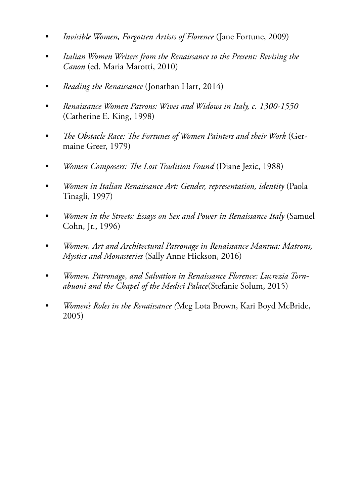- *• Invisible Women, Forgotten Artists of Florence* (Jane Fortune, 2009)
- *• Italian Women Writers from the Renaissance to the Present: Revising the Canon* (ed. Maria Marotti, 2010)
- *• Reading the Renaissance* (Jonathan Hart, 2014)
- *• Renaissance Women Patrons: Wives and Widows in Italy, c. 1300-1550* (Catherine E. King, 1998)
- *• The Obstacle Race: The Fortunes of Women Painters and their Work* (Germaine Greer, 1979)
- *• Women Composers: The Lost Tradition Found* (Diane Jezic, 1988)
- *• Women in Italian Renaissance Art: Gender, representation, identity* (Paola Tinagli, 1997)
- *• Women in the Streets: Essays on Sex and Power in Renaissance Italy* (Samuel Cohn, Jr., 1996)
- *• Women, Art and Architectural Patronage in Renaissance Mantua: Matrons, Mystics and Monasteries* (Sally Anne Hickson, 2016)
- *• Women, Patronage, and Salvation in Renaissance Florence: Lucrezia Tornabuoni and the Chapel of the Medici Palace*(Stefanie Solum, 2015)
- *• Women's Roles in the Renaissance (*Meg Lota Brown, Kari Boyd McBride, 2005)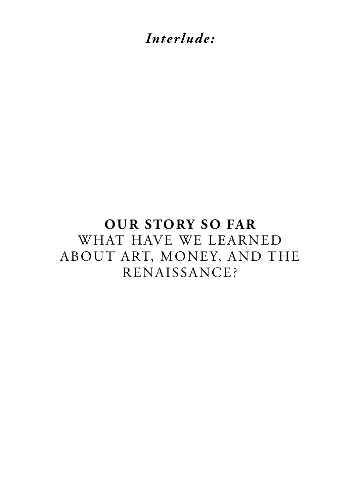*Interlude:*

# **OUR STORY SO FAR**  WHAT HAVE WE LEARNED ABOUT ART, MONEY, AND THE RENAISSANCE?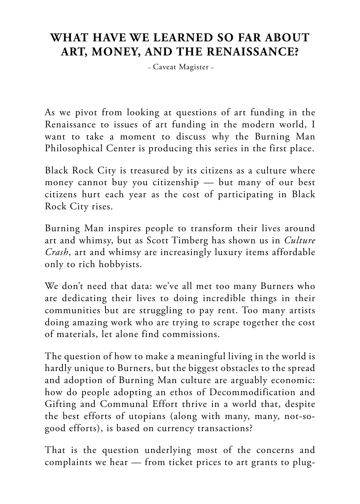## **WHAT HAVE WE LEARNED SO FAR ABOUT ART, MONEY, AND THE RENAISSANCE?**

– Caveat Magister –

As we pivot from looking at questions of art funding in the Renaissance to issues of art funding in the modern world, I want to take a moment to discuss why the Burning Man Philosophical Center is producing this series in the first place.

Black Rock City is treasured by its citizens as a culture where money cannot buy you citizenship — but many of our best citizens hurt each year as the cost of participating in Black Rock City rises.

Burning Man inspires people to transform their lives around art and whimsy, but as Scott Timberg has shown us in *Culture Crash*, art and whimsy are increasingly luxury items affordable only to rich hobbyists.

We don't need that data: we've all met too many Burners who are dedicating their lives to doing incredible things in their communities but are struggling to pay rent. Too many artists doing amazing work who are trying to scrape together the cost of materials, let alone find commissions.

The question of how to make a meaningful living in the world is hardly unique to Burners, but the biggest obstacles to the spread and adoption of Burning Man culture are arguably economic: how do people adopting an ethos of Decommodification and Gifting and Communal Effort thrive in a world that, despite the best efforts of utopians (along with many, many, not-sogood efforts), is based on currency transactions?

That is the question underlying most of the concerns and complaints we hear — from ticket prices to art grants to plug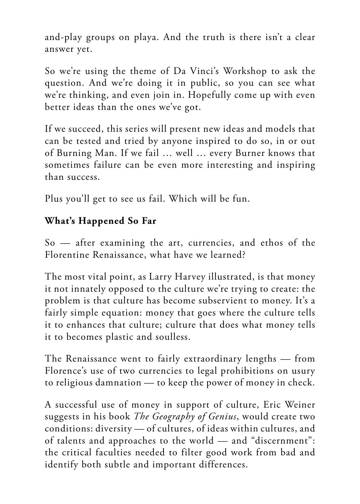and-play groups on playa. And the truth is there isn't a clear answer yet.

So we're using the theme of Da Vinci's Workshop to ask the question. And we're doing it in public, so you can see what we're thinking, and even join in. Hopefully come up with even better ideas than the ones we've got.

If we succeed, this series will present new ideas and models that can be tested and tried by anyone inspired to do so, in or out of Burning Man. If we fail … well … every Burner knows that sometimes failure can be even more interesting and inspiring than success.

Plus you'll get to see us fail. Which will be fun.

## **What's Happened So Far**

So — after examining the art, currencies, and ethos of the Florentine Renaissance, what have we learned?

The most vital point, as Larry Harvey illustrated, is that money it not innately opposed to the culture we're trying to create: the problem is that culture has become subservient to money. It's a fairly simple equation: money that goes where the culture tells it to enhances that culture; culture that does what money tells it to becomes plastic and soulless.

The Renaissance went to fairly extraordinary lengths — from Florence's use of two currencies to legal prohibitions on usury to religious damnation — to keep the power of money in check.

A successful use of money in support of culture, Eric Weiner suggests in his book *The Geography of Genius*, would create two conditions: diversity — of cultures, of ideas within cultures, and of talents and approaches to the world — and "discernment": the critical faculties needed to filter good work from bad and identify both subtle and important differences.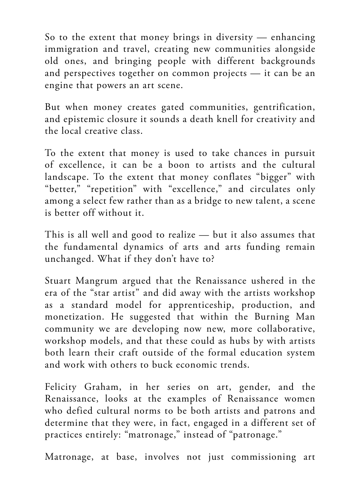So to the extent that money brings in diversity — enhancing immigration and travel, creating new communities alongside old ones, and bringing people with different backgrounds and perspectives together on common projects — it can be an engine that powers an art scene.

But when money creates gated communities, gentrification, and epistemic closure it sounds a death knell for creativity and the local creative class.

To the extent that money is used to take chances in pursuit of excellence, it can be a boon to artists and the cultural landscape. To the extent that money conflates "bigger" with "better," "repetition" with "excellence," and circulates only among a select few rather than as a bridge to new talent, a scene is better off without it.

This is all well and good to realize — but it also assumes that the fundamental dynamics of arts and arts funding remain unchanged. What if they don't have to?

Stuart Mangrum argued that the Renaissance ushered in the era of the "star artist" and did away with the artists workshop as a standard model for apprenticeship, production, and monetization. He suggested that within the Burning Man community we are developing now new, more collaborative, workshop models, and that these could as hubs by with artists both learn their craft outside of the formal education system and work with others to buck economic trends.

Felicity Graham, in her series on art, gender, and the Renaissance, looks at the examples of Renaissance women who defied cultural norms to be both artists and patrons and determine that they were, in fact, engaged in a different set of practices entirely: "matronage," instead of "patronage."

Matronage, at base, involves not just commissioning art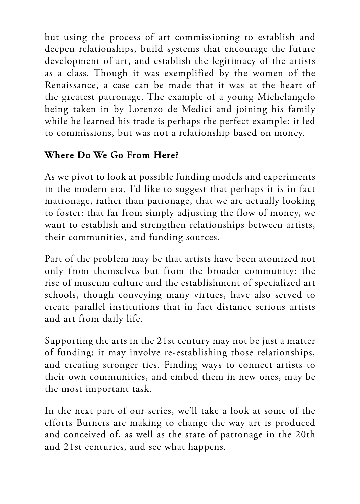but using the process of art commissioning to establish and deepen relationships, build systems that encourage the future development of art, and establish the legitimacy of the artists as a class. Though it was exemplified by the women of the Renaissance, a case can be made that it was at the heart of the greatest patronage. The example of a young Michelangelo being taken in by Lorenzo de Medici and joining his family while he learned his trade is perhaps the perfect example: it led to commissions, but was not a relationship based on money.

### **Where Do We Go From Here?**

As we pivot to look at possible funding models and experiments in the modern era, I'd like to suggest that perhaps it is in fact matronage, rather than patronage, that we are actually looking to foster: that far from simply adjusting the flow of money, we want to establish and strengthen relationships between artists, their communities, and funding sources.

Part of the problem may be that artists have been atomized not only from themselves but from the broader community: the rise of museum culture and the establishment of specialized art schools, though conveying many virtues, have also served to create parallel institutions that in fact distance serious artists and art from daily life.

Supporting the arts in the 21st century may not be just a matter of funding: it may involve re-establishing those relationships, and creating stronger ties. Finding ways to connect artists to their own communities, and embed them in new ones, may be the most important task.

In the next part of our series, we'll take a look at some of the efforts Burners are making to change the way art is produced and conceived of, as well as the state of patronage in the 20th and 21st centuries, and see what happens.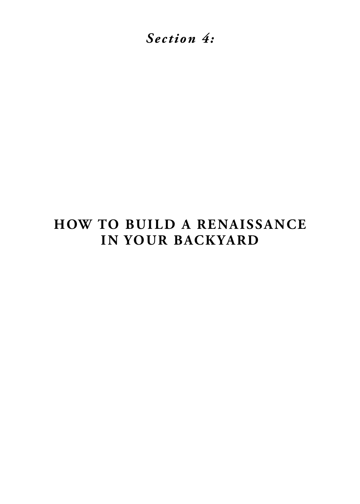*Section 4:*

# **HOW TO BUILD A RENAISSANCE IN YOUR BACKYARD**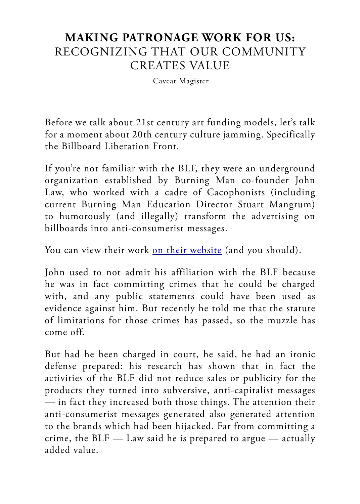## **MAKING PATRONAGE WORK FOR US:** RECOGNIZING THAT OUR COMMUNITY CREATES VALUE

– Caveat Magister –

Before we talk about 21st century art funding models, let's talk for a moment about 20th century culture jamming. Specifically the Billboard Liberation Front.

If you're not familiar with the BLF, they were an underground organization established by Burning Man co-founder John Law, who worked with a cadre of Cacophonists (including current Burning Man Education Director Stuart Mangrum) to humorously (and illegally) transform the advertising on billboards into anti-consumerist messages.

You can view their work [on their website](http://www.billboardliberation.com) (and you should).

John used to not admit his affiliation with the BLF because he was in fact committing crimes that he could be charged with, and any public statements could have been used as evidence against him. But recently he told me that the statute of limitations for those crimes has passed, so the muzzle has come off.

But had he been charged in court, he said, he had an ironic defense prepared: his research has shown that in fact the activities of the BLF did not reduce sales or publicity for the products they turned into subversive, anti-capitalist messages — in fact they increased both those things. The attention their anti-consumerist messages generated also generated attention to the brands which had been hijacked. Far from committing a crime, the  $BLF$  — Law said he is prepared to argue — actually added value.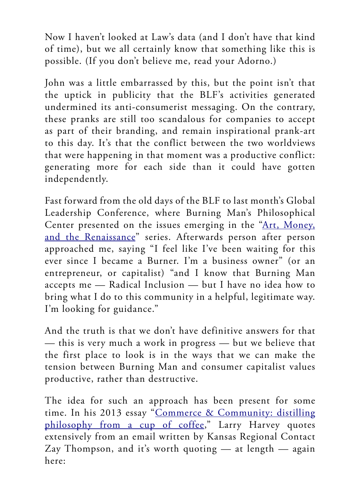Now I haven't looked at Law's data (and I don't have that kind of time), but we all certainly know that something like this is possible. (If you don't believe me, read your Adorno.)

John was a little embarrassed by this, but the point isn't that the uptick in publicity that the BLF's activities generated undermined its anti-consumerist messaging. On the contrary, these pranks are still too scandalous for companies to accept as part of their branding, and remain inspirational prank-art to this day. It's that the conflict between the two worldviews that were happening in that moment was a productive conflict: generating more for each side than it could have gotten independently.

Fast forward from the old days of the BLF to last month's Global Leadership Conference, where Burning Man's Philosophical Center presented on the issues emerging in the "[Art, Money,](https://journal.burningman.org/renaissance/) [and the Renaissance"](https://journal.burningman.org/renaissance/) series. Afterwards person after person approached me, saying "I feel like I've been waiting for this ever since I became a Burner. I'm a business owner" (or an entrepreneur, or capitalist) "and I know that Burning Man accepts me — Radical Inclusion — but I have no idea how to bring what I do to this community in a helpful, legitimate way. I'm looking for guidance."

And the truth is that we don't have definitive answers for that — this is very much a work in progress — but we believe that the first place to look is in the ways that we can make the tension between Burning Man and consumer capitalist values productive, rather than destructive.

The idea for such an approach has been present for some time. In his 2013 essay "[Commerce & Community: distilling](https://journal.burningman.org/2013/11/philosophical-center/tenprinciples/commerce-community-distilling-philosophy-from-a-cup-of-coffee/) [philosophy from a cup of coffee](https://journal.burningman.org/2013/11/philosophical-center/tenprinciples/commerce-community-distilling-philosophy-from-a-cup-of-coffee/)," Larry Harvey quotes extensively from an email written by Kansas Regional Contact Zay Thompson, and it's worth quoting — at length — again here: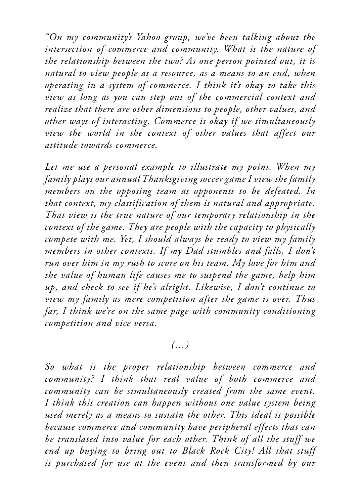*"On my community's Yahoo group, we've been talking about the intersection of commerce and community. What is the nature of the relationship between the two? As one person pointed out, it is natural to view people as a resource, as a means to an end, when operating in a system of commerce. I think it's okay to take this view as long as you can step out of the commercial context and realize that there are other dimensions to people, other values, and other ways of interacting. Commerce is okay if we simultaneously view the world in the context of other values that affect our attitude towards commerce.*

*Let me use a personal example to illustrate my point. When my family plays our annual Thanksgiving soccer game I view the family members on the opposing team as opponents to be defeated. In that context, my classification of them is natural and appropriate. That view is the true nature of our temporary relationship in the context of the game. They are people with the capacity to physically compete with me. Yet, I should always be ready to view my family members in other contexts. If my Dad stumbles and falls, I don't run over him in my rush to score on his team. My love for him and the value of human life causes me to suspend the game, help him up, and check to see if he's alright. Likewise, I don't continue to view my family as mere competition after the game is over. Thus far, I think we're on the same page with community conditioning competition and vice versa.*

#### *(…)*

*So what is the proper relationship between commerce and community? I think that real value of both commerce and community can be simultaneously created from the same event. I think this creation can happen without one value system being used merely as a means to sustain the other. This ideal is possible because commerce and community have peripheral effects that can be translated into value for each other. Think of all the stuff we end up buying to bring out to Black Rock City! All that stuff is purchased for use at the event and then transformed by our*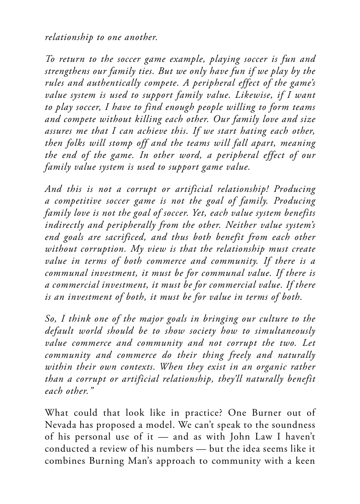*relationship to one another.*

*To return to the soccer game example, playing soccer is fun and strengthens our family ties. But we only have fun if we play by the rules and authentically compete. A peripheral effect of the game's value system is used to support family value. Likewise, if I want to play soccer, I have to find enough people willing to form teams and compete without killing each other. Our family love and size assures me that I can achieve this. If we start hating each other, then folks will stomp off and the teams will fall apart, meaning the end of the game. In other word, a peripheral effect of our family value system is used to support game value.*

*And this is not a corrupt or artificial relationship! Producing a competitive soccer game is not the goal of family. Producing family love is not the goal of soccer. Yet, each value system benefits indirectly and peripherally from the other. Neither value system's end goals are sacrificed, and thus both benefit from each other without corruption. My view is that the relationship must create value in terms of both commerce and community. If there is a communal investment, it must be for communal value. If there is a commercial investment, it must be for commercial value. If there is an investment of both, it must be for value in terms of both.*

*So, I think one of the major goals in bringing our culture to the default world should be to show society how to simultaneously value commerce and community and not corrupt the two. Let community and commerce do their thing freely and naturally within their own contexts. When they exist in an organic rather than a corrupt or artificial relationship, they'll naturally benefit each other."*

What could that look like in practice? One Burner out of Nevada has proposed a model. We can't speak to the soundness of his personal use of it — and as with John Law I haven't conducted a review of his numbers — but the idea seems like it combines Burning Man's approach to community with a keen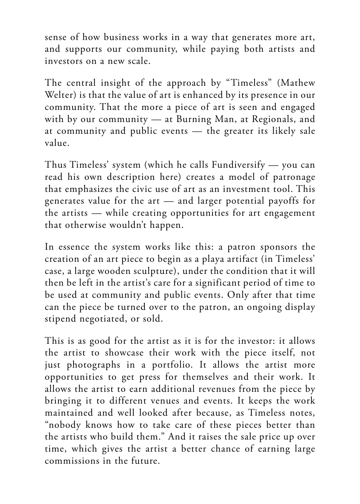sense of how business works in a way that generates more art, and supports our community, while paying both artists and investors on a new scale.

The central insight of the approach by "Timeless" (Mathew Welter) is that the value of art is enhanced by its presence in our community. That the more a piece of art is seen and engaged with by our community — at Burning Man, at Regionals, and at community and public events — the greater its likely sale value.

Thus Timeless' system (which he calls Fundiversify — you can read his own description here) creates a model of patronage that emphasizes the civic use of art as an investment tool. This generates value for the art — and larger potential payoffs for the artists — while creating opportunities for art engagement that otherwise wouldn't happen.

In essence the system works like this: a patron sponsors the creation of an art piece to begin as a playa artifact (in Timeless' case, a large wooden sculpture), under the condition that it will then be left in the artist's care for a significant period of time to be used at community and public events. Only after that time can the piece be turned over to the patron, an ongoing display stipend negotiated, or sold.

This is as good for the artist as it is for the investor: it allows the artist to showcase their work with the piece itself, not just photographs in a portfolio. It allows the artist more opportunities to get press for themselves and their work. It allows the artist to earn additional revenues from the piece by bringing it to different venues and events. It keeps the work maintained and well looked after because, as Timeless notes, "nobody knows how to take care of these pieces better than the artists who build them." And it raises the sale price up over time, which gives the artist a better chance of earning large commissions in the future.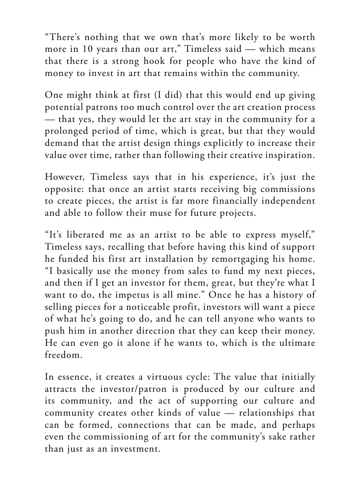"There's nothing that we own that's more likely to be worth more in 10 years than our art," Timeless said — which means that there is a strong hook for people who have the kind of money to invest in art that remains within the community.

One might think at first (I did) that this would end up giving potential patrons too much control over the art creation process — that yes, they would let the art stay in the community for a prolonged period of time, which is great, but that they would demand that the artist design things explicitly to increase their value over time, rather than following their creative inspiration.

However, Timeless says that in his experience, it's just the opposite: that once an artist starts receiving big commissions to create pieces, the artist is far more financially independent and able to follow their muse for future projects.

"It's liberated me as an artist to be able to express myself," Timeless says, recalling that before having this kind of support he funded his first art installation by remortgaging his home. "I basically use the money from sales to fund my next pieces, and then if I get an investor for them, great, but they're what I want to do, the impetus is all mine." Once he has a history of selling pieces for a noticeable profit, investors will want a piece of what he's going to do, and he can tell anyone who wants to push him in another direction that they can keep their money. He can even go it alone if he wants to, which is the ultimate freedom.

In essence, it creates a virtuous cycle: The value that initially attracts the investor/patron is produced by our culture and its community, and the act of supporting our culture and community creates other kinds of value — relationships that can be formed, connections that can be made, and perhaps even the commissioning of art for the community's sake rather than just as an investment.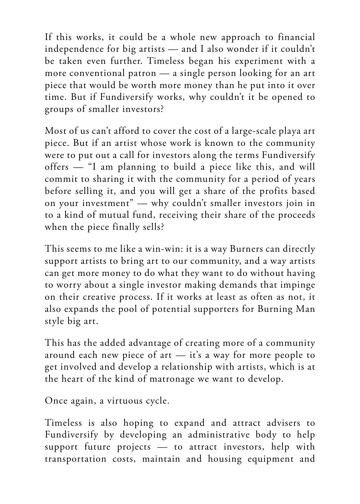If this works, it could be a whole new approach to financial independence for big artists — and I also wonder if it couldn't be taken even further. Timeless began his experiment with a more conventional patron — a single person looking for an art piece that would be worth more money than he put into it over time. But if Fundiversify works, why couldn't it be opened to groups of smaller investors?

Most of us can't afford to cover the cost of a large-scale playa art piece. But if an artist whose work is known to the community were to put out a call for investors along the terms Fundiversify offers — "I am planning to build a piece like this, and will commit to sharing it with the community for a period of years before selling it, and you will get a share of the profits based on your investment" — why couldn't smaller investors join in to a kind of mutual fund, receiving their share of the proceeds when the piece finally sells?

This seems to me like a win-win: it is a way Burners can directly support artists to bring art to our community, and a way artists can get more money to do what they want to do without having to worry about a single investor making demands that impinge on their creative process. If it works at least as often as not, it also expands the pool of potential supporters for Burning Man style big art.

This has the added advantage of creating more of a community around each new piece of art — it's a way for more people to get involved and develop a relationship with artists, which is at the heart of the kind of matronage we want to develop.

Once again, a virtuous cycle.

Timeless is also hoping to expand and attract advisers to Fundiversify by developing an administrative body to help support future projects — to attract investors, help with transportation costs, maintain and housing equipment and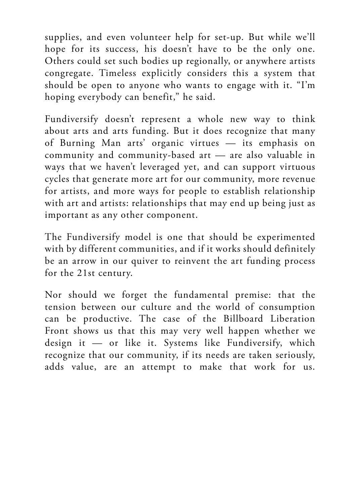supplies, and even volunteer help for set-up. But while we'll hope for its success, his doesn't have to be the only one. Others could set such bodies up regionally, or anywhere artists congregate. Timeless explicitly considers this a system that should be open to anyone who wants to engage with it. "I'm hoping everybody can benefit," he said.

Fundiversify doesn't represent a whole new way to think about arts and arts funding. But it does recognize that many of Burning Man arts' organic virtues — its emphasis on community and community-based art — are also valuable in ways that we haven't leveraged yet, and can support virtuous cycles that generate more art for our community, more revenue for artists, and more ways for people to establish relationship with art and artists: relationships that may end up being just as important as any other component.

The Fundiversify model is one that should be experimented with by different communities, and if it works should definitely be an arrow in our quiver to reinvent the art funding process for the 21st century.

Nor should we forget the fundamental premise: that the tension between our culture and the world of consumption can be productive. The case of the Billboard Liberation Front shows us that this may very well happen whether we design it — or like it. Systems like Fundiversify, which recognize that our community, if its needs are taken seriously, adds value, are an attempt to make that work for us.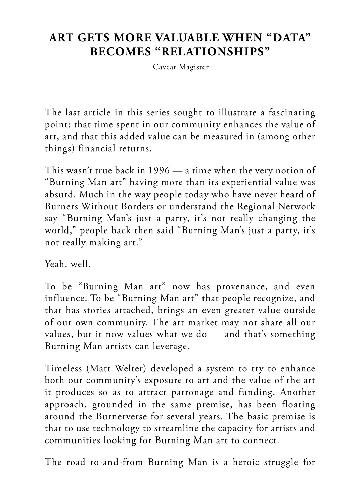## **ART GETS MORE VALUABLE WHEN "DATA" BECOMES "RELATIONSHIPS"**

– Caveat Magister –

The last article in this series sought to illustrate a fascinating point: that time spent in our community enhances the value of art, and that this added value can be measured in (among other things) financial returns.

This wasn't true back in 1996 — a time when the very notion of "Burning Man art" having more than its experiential value was absurd. Much in the way people today who have never heard of Burners Without Borders or understand the Regional Network say "Burning Man's just a party, it's not really changing the world," people back then said "Burning Man's just a party, it's not really making art."

Yeah, well.

To be "Burning Man art" now has provenance, and even influence. To be "Burning Man art" that people recognize, and that has stories attached, brings an even greater value outside of our own community. The art market may not share all our values, but it now values what we do — and that's something Burning Man artists can leverage.

Timeless (Matt Welter) developed a system to try to enhance both our community's exposure to art and the value of the art it produces so as to attract patronage and funding. Another approach, grounded in the same premise, has been floating around the Burnerverse for several years. The basic premise is that to use technology to streamline the capacity for artists and communities looking for Burning Man art to connect.

The road to-and-from Burning Man is a heroic struggle for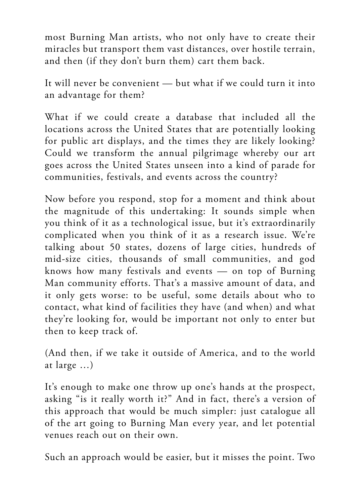most Burning Man artists, who not only have to create their miracles but transport them vast distances, over hostile terrain, and then (if they don't burn them) cart them back.

It will never be convenient — but what if we could turn it into an advantage for them?

What if we could create a database that included all the locations across the United States that are potentially looking for public art displays, and the times they are likely looking? Could we transform the annual pilgrimage whereby our art goes across the United States unseen into a kind of parade for communities, festivals, and events across the country?

Now before you respond, stop for a moment and think about the magnitude of this undertaking: It sounds simple when you think of it as a technological issue, but it's extraordinarily complicated when you think of it as a research issue. We're talking about 50 states, dozens of large cities, hundreds of mid-size cities, thousands of small communities, and god knows how many festivals and events — on top of Burning Man community efforts. That's a massive amount of data, and it only gets worse: to be useful, some details about who to contact, what kind of facilities they have (and when) and what they're looking for, would be important not only to enter but then to keep track of.

(And then, if we take it outside of America, and to the world at large …)

It's enough to make one throw up one's hands at the prospect, asking "is it really worth it?" And in fact, there's a version of this approach that would be much simpler: just catalogue all of the art going to Burning Man every year, and let potential venues reach out on their own.

Such an approach would be easier, but it misses the point. Two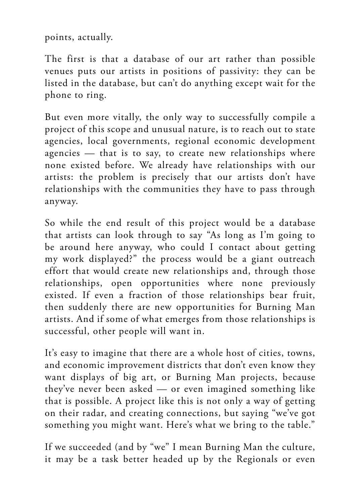points, actually.

The first is that a database of our art rather than possible venues puts our artists in positions of passivity: they can be listed in the database, but can't do anything except wait for the phone to ring.

But even more vitally, the only way to successfully compile a project of this scope and unusual nature, is to reach out to state agencies, local governments, regional economic development agencies — that is to say, to create new relationships where none existed before. We already have relationships with our artists: the problem is precisely that our artists don't have relationships with the communities they have to pass through anyway.

So while the end result of this project would be a database that artists can look through to say "As long as I'm going to be around here anyway, who could I contact about getting my work displayed?" the process would be a giant outreach effort that would create new relationships and, through those relationships, open opportunities where none previously existed. If even a fraction of those relationships bear fruit, then suddenly there are new opportunities for Burning Man artists. And if some of what emerges from those relationships is successful, other people will want in.

It's easy to imagine that there are a whole host of cities, towns, and economic improvement districts that don't even know they want displays of big art, or Burning Man projects, because they've never been asked — or even imagined something like that is possible. A project like this is not only a way of getting on their radar, and creating connections, but saying "we've got something you might want. Here's what we bring to the table."

If we succeeded (and by "we" I mean Burning Man the culture, it may be a task better headed up by the Regionals or even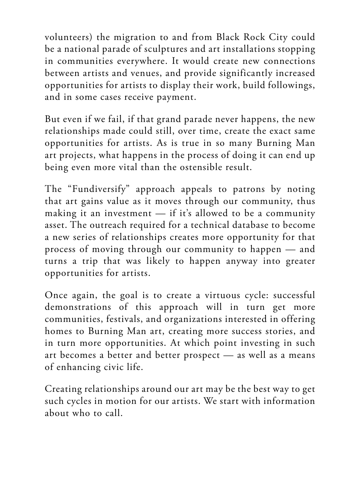volunteers) the migration to and from Black Rock City could be a national parade of sculptures and art installations stopping in communities everywhere. It would create new connections between artists and venues, and provide significantly increased opportunities for artists to display their work, build followings, and in some cases receive payment.

But even if we fail, if that grand parade never happens, the new relationships made could still, over time, create the exact same opportunities for artists. As is true in so many Burning Man art projects, what happens in the process of doing it can end up being even more vital than the ostensible result.

The "Fundiversify" approach appeals to patrons by noting that art gains value as it moves through our community, thus making it an investment — if it's allowed to be a community asset. The outreach required for a technical database to become a new series of relationships creates more opportunity for that process of moving through our community to happen — and turns a trip that was likely to happen anyway into greater opportunities for artists.

Once again, the goal is to create a virtuous cycle: successful demonstrations of this approach will in turn get more communities, festivals, and organizations interested in offering homes to Burning Man art, creating more success stories, and in turn more opportunities. At which point investing in such art becomes a better and better prospect — as well as a means of enhancing civic life.

Creating relationships around our art may be the best way to get such cycles in motion for our artists. We start with information about who to call.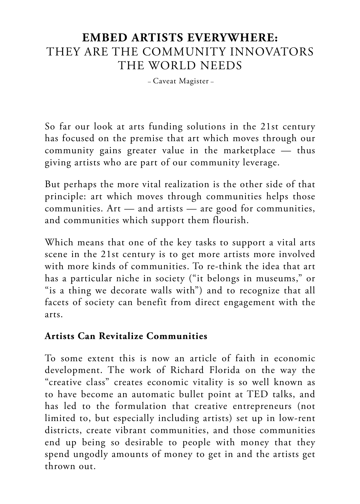## **EMBED ARTISTS EVERYWHERE:**  THEY ARE THE COMMUNITY INNOVATORS THE WORLD NEEDS

– Caveat Magister –

So far our look at arts funding solutions in the 21st century has focused on the premise that art which moves through our community gains greater value in the marketplace — thus giving artists who are part of our community leverage.

But perhaps the more vital realization is the other side of that principle: art which moves through communities helps those communities. Art — and artists — are good for communities, and communities which support them flourish.

Which means that one of the key tasks to support a vital arts scene in the 21st century is to get more artists more involved with more kinds of communities. To re-think the idea that art has a particular niche in society ("it belongs in museums," or "is a thing we decorate walls with") and to recognize that all facets of society can benefit from direct engagement with the arts.

#### **Artists Can Revitalize Communities**

To some extent this is now an article of faith in economic development. The work of Richard Florida on the way the "creative class" creates economic vitality is so well known as to have become an automatic bullet point at TED talks, and has led to the formulation that creative entrepreneurs (not limited to, but especially including artists) set up in low-rent districts, create vibrant communities, and those communities end up being so desirable to people with money that they spend ungodly amounts of money to get in and the artists get thrown out.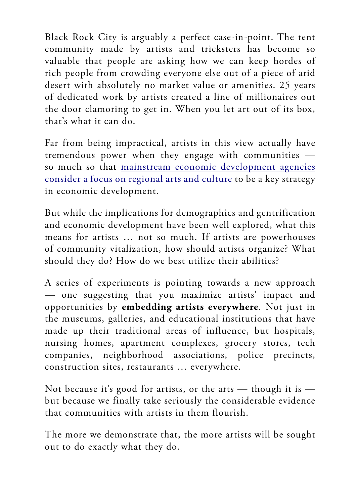Black Rock City is arguably a perfect case-in-point. The tent community made by artists and tricksters has become so valuable that people are asking how we can keep hordes of rich people from crowding everyone else out of a piece of arid desert with absolutely no market value or amenities. 25 years of dedicated work by artists created a line of millionaires out the door clamoring to get in. When you let art out of its box, that's what it can do.

Far from being impractical, artists in this view actually have tremendous power when they engage with communities so much so that [mainstream economic development agencies](https://www.planning.org/research/arts/briefingpapers/vitality.htm) [consider a focus on regional arts and culture](https://www.planning.org/research/arts/briefingpapers/vitality.htm) to be a key strategy in economic development.

But while the implications for demographics and gentrification and economic development have been well explored, what this means for artists … not so much. If artists are powerhouses of community vitalization, how should artists organize? What should they do? How do we best utilize their abilities?

A series of experiments is pointing towards a new approach — one suggesting that you maximize artists' impact and opportunities by **embedding artists everywhere**. Not just in the museums, galleries, and educational institutions that have made up their traditional areas of influence, but hospitals, nursing homes, apartment complexes, grocery stores, tech companies, neighborhood associations, police precincts, construction sites, restaurants … everywhere.

Not because it's good for artists, or the arts  $-$  though it is  $$ but because we finally take seriously the considerable evidence that communities with artists in them flourish.

The more we demonstrate that, the more artists will be sought out to do exactly what they do.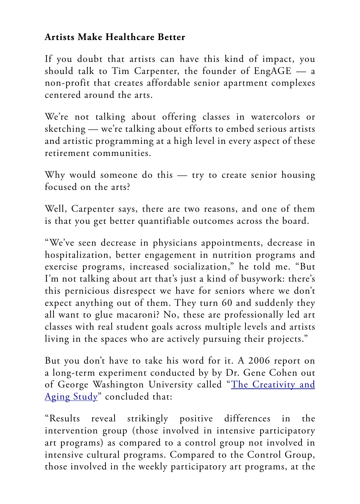### **Artists Make Healthcare Better**

If you doubt that artists can have this kind of impact, you should talk to Tim Carpenter, the founder of EngAGE — a non-profit that creates affordable senior apartment complexes centered around the arts.

We're not talking about offering classes in watercolors or sketching — we're talking about efforts to embed serious artists and artistic programming at a high level in every aspect of these retirement communities.

Why would someone do this — try to create senior housing focused on the arts?

Well, Carpenter says, there are two reasons, and one of them is that you get better quantifiable outcomes across the board.

"We've seen decrease in physicians appointments, decrease in hospitalization, better engagement in nutrition programs and exercise programs, increased socialization," he told me. "But I'm not talking about art that's just a kind of busywork: there's this pernicious disrespect we have for seniors where we don't expect anything out of them. They turn 60 and suddenly they all want to glue macaroni? No, these are professionally led art classes with real student goals across multiple levels and artists living in the spaces who are actively pursuing their projects."

But you don't have to take his word for it. A 2006 report on a long-term experiment conducted by by Dr. Gene Cohen out of George Washington University called "[The Creativity and](https://www.arts.gov/sites/default/files/CnA-Rep4-30-06.pdf) [Aging Study"](https://www.arts.gov/sites/default/files/CnA-Rep4-30-06.pdf) concluded that:

"Results reveal strikingly positive differences in the intervention group (those involved in intensive participatory art programs) as compared to a control group not involved in intensive cultural programs. Compared to the Control Group, those involved in the weekly participatory art programs, at the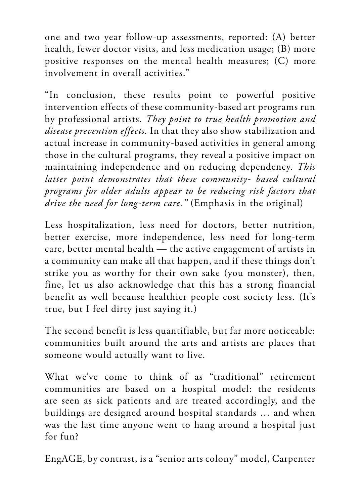one and two year follow-up assessments, reported: (A) better health, fewer doctor visits, and less medication usage; (B) more positive responses on the mental health measures; (C) more involvement in overall activities."

"In conclusion, these results point to powerful positive intervention effects of these community-based art programs run by professional artists. *They point to true health promotion and disease prevention effects.* In that they also show stabilization and actual increase in community-based activities in general among those in the cultural programs, they reveal a positive impact on maintaining independence and on reducing dependency. *This latter point demonstrates that these community- based cultural programs for older adults appear to be reducing risk factors that drive the need for long-term care."* (Emphasis in the original)

Less hospitalization, less need for doctors, better nutrition, better exercise, more independence, less need for long-term care, better mental health — the active engagement of artists in a community can make all that happen, and if these things don't strike you as worthy for their own sake (you monster), then, fine, let us also acknowledge that this has a strong financial benefit as well because healthier people cost society less. (It's true, but I feel dirty just saying it.)

The second benefit is less quantifiable, but far more noticeable: communities built around the arts and artists are places that someone would actually want to live.

What we've come to think of as "traditional" retirement communities are based on a hospital model: the residents are seen as sick patients and are treated accordingly, and the buildings are designed around hospital standards … and when was the last time anyone went to hang around a hospital just for fun?

EngAGE, by contrast, is a "senior arts colony" model, Carpenter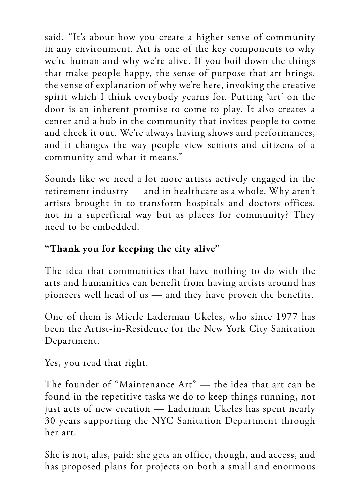said. "It's about how you create a higher sense of community in any environment. Art is one of the key components to why we're human and why we're alive. If you boil down the things that make people happy, the sense of purpose that art brings, the sense of explanation of why we're here, invoking the creative spirit which I think everybody yearns for. Putting 'art' on the door is an inherent promise to come to play. It also creates a center and a hub in the community that invites people to come and check it out. We're always having shows and performances, and it changes the way people view seniors and citizens of a community and what it means."

Sounds like we need a lot more artists actively engaged in the retirement industry — and in healthcare as a whole. Why aren't artists brought in to transform hospitals and doctors offices, not in a superficial way but as places for community? They need to be embedded.

## **"Thank you for keeping the city alive"**

The idea that communities that have nothing to do with the arts and humanities can benefit from having artists around has pioneers well head of us — and they have proven the benefits.

One of them is Mierle Laderman Ukeles, who since 1977 has been the Artist-in-Residence for the New York City Sanitation Department.

Yes, you read that right.

The founder of "Maintenance Art" — the idea that art can be found in the repetitive tasks we do to keep things running, not just acts of new creation - Laderman Ukeles has spent nearly 30 years supporting the NYC Sanitation Department through her art.

She is not, alas, paid: she gets an office, though, and access, and has proposed plans for projects on both a small and enormous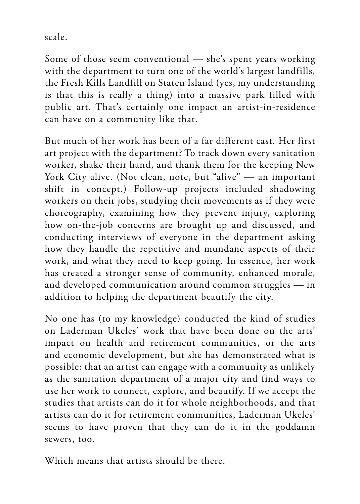scale.

Some of those seem conventional — she's spent years working with the department to turn one of the world's largest landfills, the Fresh Kills Landfill on Staten Island (yes, my understanding is that this is really a thing) into a massive park filled with public art. That's certainly one impact an artist-in-residence can have on a community like that.

But much of her work has been of a far different cast. Her first art project with the department? To track down every sanitation worker, shake their hand, and thank them for the keeping New York City alive. (Not clean, note, but "alive" — an important shift in concept.) Follow-up projects included shadowing workers on their jobs, studying their movements as if they were choreography, examining how they prevent injury, exploring how on-the-job concerns are brought up and discussed, and conducting interviews of everyone in the department asking how they handle the repetitive and mundane aspects of their work, and what they need to keep going. In essence, her work has created a stronger sense of community, enhanced morale, and developed communication around common struggles — in addition to helping the department beautify the city.

No one has (to my knowledge) conducted the kind of studies on Laderman Ukeles' work that have been done on the arts' impact on health and retirement communities, or the arts and economic development, but she has demonstrated what is possible: that an artist can engage with a community as unlikely as the sanitation department of a major city and find ways to use her work to connect, explore, and beautify. If we accept the studies that artists can do it for whole neighborhoods, and that artists can do it for retirement communities, Laderman Ukeles' seems to have proven that they can do it in the goddamn sewers, too.

Which means that artists should be there.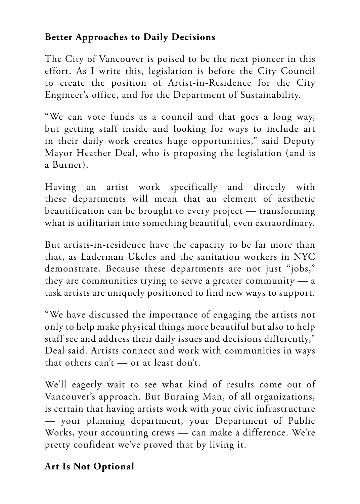### **Better Approaches to Daily Decisions**

The City of Vancouver is poised to be the next pioneer in this effort. As I write this, legislation is before the City Council to create the position of Artist-in-Residence for the City Engineer's office, and for the Department of Sustainability.

"We can vote funds as a council and that goes a long way, but getting staff inside and looking for ways to include art in their daily work creates huge opportunities," said Deputy Mayor Heather Deal, who is proposing the legislation (and is a Burner).

Having an artist work specifically and directly with these departments will mean that an element of aesthetic beautification can be brought to every project — transforming what is utilitarian into something beautiful, even extraordinary.

But artists-in-residence have the capacity to be far more than that, as Laderman Ukeles and the sanitation workers in NYC demonstrate. Because these departments are not just "jobs," they are communities trying to serve a greater community — a task artists are uniquely positioned to find new ways to support.

"We have discussed the importance of engaging the artists not only to help make physical things more beautiful but also to help staff see and address their daily issues and decisions differently," Deal said. Artists connect and work with communities in ways that others can't — or at least don't.

We'll eagerly wait to see what kind of results come out of Vancouver's approach. But Burning Man, of all organizations, is certain that having artists work with your civic infrastructure — your planning department, your Department of Public Works, your accounting crews — can make a difference. We're pretty confident we've proved that by living it.

## **Art Is Not Optional**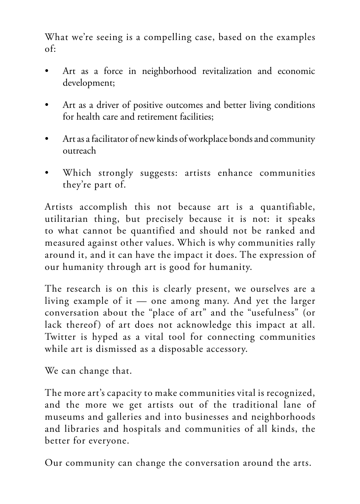What we're seeing is a compelling case, based on the examples of:

- Art as a force in neighborhood revitalization and economic development;
- Art as a driver of positive outcomes and better living conditions for health care and retirement facilities;
- Art as a facilitator of new kinds of workplace bonds and community outreach
- Which strongly suggests: artists enhance communities they're part of.

Artists accomplish this not because art is a quantifiable, utilitarian thing, but precisely because it is not: it speaks to what cannot be quantified and should not be ranked and measured against other values. Which is why communities rally around it, and it can have the impact it does. The expression of our humanity through art is good for humanity.

The research is on this is clearly present, we ourselves are a living example of it — one among many. And yet the larger conversation about the "place of art" and the "usefulness" (or lack thereof) of art does not acknowledge this impact at all. Twitter is hyped as a vital tool for connecting communities while art is dismissed as a disposable accessory.

We can change that.

The more art's capacity to make communities vital is recognized, and the more we get artists out of the traditional lane of museums and galleries and into businesses and neighborhoods and libraries and hospitals and communities of all kinds, the better for everyone.

Our community can change the conversation around the arts.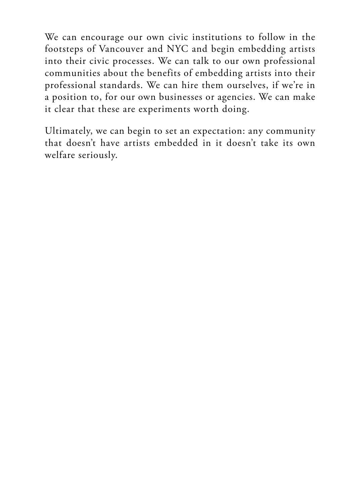We can encourage our own civic institutions to follow in the footsteps of Vancouver and NYC and begin embedding artists into their civic processes. We can talk to our own professional communities about the benefits of embedding artists into their professional standards. We can hire them ourselves, if we're in a position to, for our own businesses or agencies. We can make it clear that these are experiments worth doing.

Ultimately, we can begin to set an expectation: any community that doesn't have artists embedded in it doesn't take its own welfare seriously.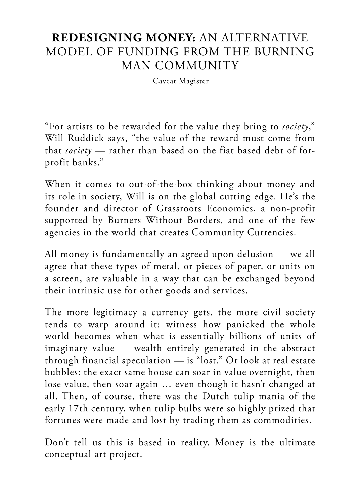## **REDESIGNING MONEY:** AN ALTERNATIVE MODEL OF FUNDING FROM THE BURNING MAN COMMUNITY

– Caveat Magister –

"For artists to be rewarded for the value they bring to *society*," Will Ruddick says, "the value of the reward must come from that *society* — rather than based on the fiat based debt of forprofit banks."

When it comes to out-of-the-box thinking about money and its role in society, Will is on the global cutting edge. He's the founder and director of Grassroots Economics, a non-profit supported by Burners Without Borders, and one of the few agencies in the world that creates Community Currencies.

All money is fundamentally an agreed upon delusion — we all agree that these types of metal, or pieces of paper, or units on a screen, are valuable in a way that can be exchanged beyond their intrinsic use for other goods and services.

The more legitimacy a currency gets, the more civil society tends to warp around it: witness how panicked the whole world becomes when what is essentially billions of units of imaginary value — wealth entirely generated in the abstract through financial speculation — is "lost." Or look at real estate bubbles: the exact same house can soar in value overnight, then lose value, then soar again … even though it hasn't changed at all. Then, of course, there was the Dutch tulip mania of the early 17th century, when tulip bulbs were so highly prized that fortunes were made and lost by trading them as commodities.

Don't tell us this is based in reality. Money is the ultimate conceptual art project.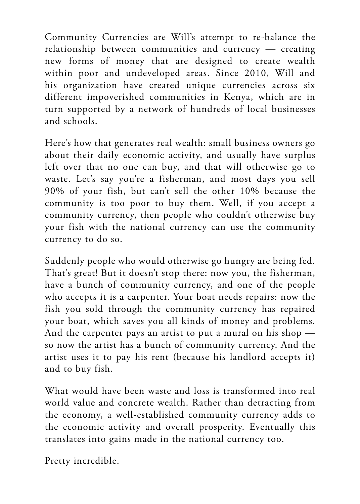Community Currencies are Will's attempt to re-balance the relationship between communities and currency — creating new forms of money that are designed to create wealth within poor and undeveloped areas. Since 2010, Will and his organization have created unique currencies across six different impoverished communities in Kenya, which are in turn supported by a network of hundreds of local businesses and schools.

Here's how that generates real wealth: small business owners go about their daily economic activity, and usually have surplus left over that no one can buy, and that will otherwise go to waste. Let's say you're a fisherman, and most days you sell 90% of your fish, but can't sell the other 10% because the community is too poor to buy them. Well, if you accept a community currency, then people who couldn't otherwise buy your fish with the national currency can use the community currency to do so.

Suddenly people who would otherwise go hungry are being fed. That's great! But it doesn't stop there: now you, the fisherman, have a bunch of community currency, and one of the people who accepts it is a carpenter. Your boat needs repairs: now the fish you sold through the community currency has repaired your boat, which saves you all kinds of money and problems. And the carpenter pays an artist to put a mural on his shop so now the artist has a bunch of community currency. And the artist uses it to pay his rent (because his landlord accepts it) and to buy fish.

What would have been waste and loss is transformed into real world value and concrete wealth. Rather than detracting from the economy, a well-established community currency adds to the economic activity and overall prosperity. Eventually this translates into gains made in the national currency too.

Pretty incredible.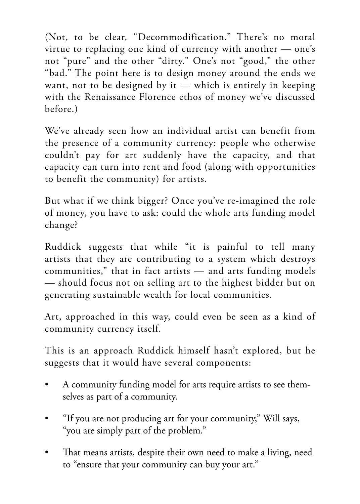(Not, to be clear, "Decommodification." There's no moral virtue to replacing one kind of currency with another — one's not "pure" and the other "dirty." One's not "good," the other "bad." The point here is to design money around the ends we want, not to be designed by it  $-$  which is entirely in keeping with the Renaissance Florence ethos of money we've discussed before.)

We've already seen how an individual artist can benefit from the presence of a community currency: people who otherwise couldn't pay for art suddenly have the capacity, and that capacity can turn into rent and food (along with opportunities to benefit the community) for artists.

But what if we think bigger? Once you've re-imagined the role of money, you have to ask: could the whole arts funding model change?

Ruddick suggests that while "it is painful to tell many artists that they are contributing to a system which destroys communities," that in fact artists — and arts funding models — should focus not on selling art to the highest bidder but on generating sustainable wealth for local communities.

Art, approached in this way, could even be seen as a kind of community currency itself.

This is an approach Ruddick himself hasn't explored, but he suggests that it would have several components:

- A community funding model for arts require artists to see themselves as part of a community.
- "If you are not producing art for your community," Will says, "you are simply part of the problem."
- That means artists, despite their own need to make a living, need to "ensure that your community can buy your art."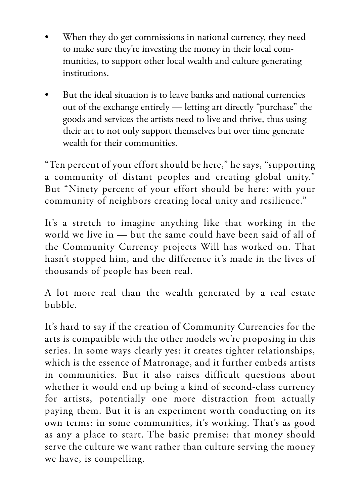- When they do get commissions in national currency, they need to make sure they're investing the money in their local communities, to support other local wealth and culture generating institutions.
- But the ideal situation is to leave banks and national currencies out of the exchange entirely — letting art directly "purchase" the goods and services the artists need to live and thrive, thus using their art to not only support themselves but over time generate wealth for their communities.

"Ten percent of your effort should be here," he says, "supporting a community of distant peoples and creating global unity." But "Ninety percent of your effort should be here: with your community of neighbors creating local unity and resilience."

It's a stretch to imagine anything like that working in the world we live in — but the same could have been said of all of the Community Currency projects Will has worked on. That hasn't stopped him, and the difference it's made in the lives of thousands of people has been real.

A lot more real than the wealth generated by a real estate bubble.

It's hard to say if the creation of Community Currencies for the arts is compatible with the other models we're proposing in this series. In some ways clearly yes: it creates tighter relationships, which is the essence of Matronage, and it further embeds artists in communities. But it also raises difficult questions about whether it would end up being a kind of second-class currency for artists, potentially one more distraction from actually paying them. But it is an experiment worth conducting on its own terms: in some communities, it's working. That's as good as any a place to start. The basic premise: that money should serve the culture we want rather than culture serving the money we have, is compelling.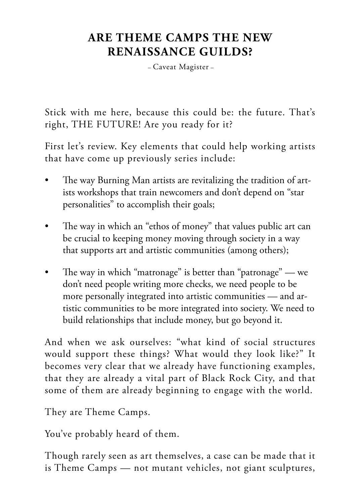# **ARE THEME CAMPS THE NEW RENAISSANCE GUILDS?**

– Caveat Magister –

Stick with me here, because this could be: the future. That's right, THE FUTURE! Are you ready for it?

First let's review. Key elements that could help working artists that have come up previously series include:

- The way Burning Man artists are revitalizing the tradition of artists workshops that train newcomers and don't depend on "star personalities" to accomplish their goals;
- The way in which an "ethos of money" that values public art can be crucial to keeping money moving through society in a way that supports art and artistic communities (among others);
- The way in which "matronage" is better than "patronage" we don't need people writing more checks, we need people to be more personally integrated into artistic communities — and artistic communities to be more integrated into society. We need to build relationships that include money, but go beyond it.

And when we ask ourselves: "what kind of social structures would support these things? What would they look like?" It becomes very clear that we already have functioning examples, that they are already a vital part of Black Rock City, and that some of them are already beginning to engage with the world.

They are Theme Camps.

You've probably heard of them.

Though rarely seen as art themselves, a case can be made that it is Theme Camps — not mutant vehicles, not giant sculptures,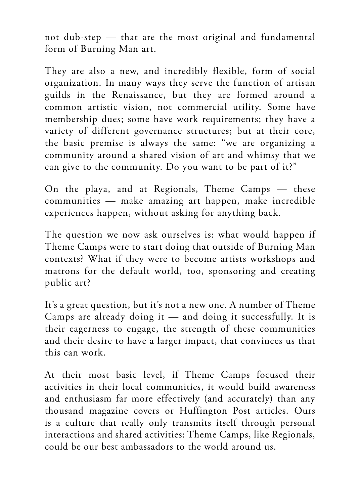not dub-step — that are the most original and fundamental form of Burning Man art.

They are also a new, and incredibly flexible, form of social organization. In many ways they serve the function of artisan guilds in the Renaissance, but they are formed around a common artistic vision, not commercial utility. Some have membership dues; some have work requirements; they have a variety of different governance structures; but at their core, the basic premise is always the same: "we are organizing a community around a shared vision of art and whimsy that we can give to the community. Do you want to be part of it?"

On the playa, and at Regionals, Theme Camps — these communities — make amazing art happen, make incredible experiences happen, without asking for anything back.

The question we now ask ourselves is: what would happen if Theme Camps were to start doing that outside of Burning Man contexts? What if they were to become artists workshops and matrons for the default world, too, sponsoring and creating public art?

It's a great question, but it's not a new one. A number of Theme Camps are already doing it — and doing it successfully. It is their eagerness to engage, the strength of these communities and their desire to have a larger impact, that convinces us that this can work.

At their most basic level, if Theme Camps focused their activities in their local communities, it would build awareness and enthusiasm far more effectively (and accurately) than any thousand magazine covers or Huffington Post articles. Ours is a culture that really only transmits itself through personal interactions and shared activities: Theme Camps, like Regionals, could be our best ambassadors to the world around us.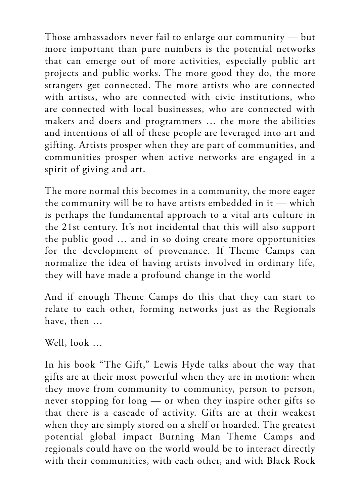Those ambassadors never fail to enlarge our community — but more important than pure numbers is the potential networks that can emerge out of more activities, especially public art projects and public works. The more good they do, the more strangers get connected. The more artists who are connected with artists, who are connected with civic institutions, who are connected with local businesses, who are connected with makers and doers and programmers … the more the abilities and intentions of all of these people are leveraged into art and gifting. Artists prosper when they are part of communities, and communities prosper when active networks are engaged in a spirit of giving and art.

The more normal this becomes in a community, the more eager the community will be to have artists embedded in it — which is perhaps the fundamental approach to a vital arts culture in the 21st century. It's not incidental that this will also support the public good … and in so doing create more opportunities for the development of provenance. If Theme Camps can normalize the idea of having artists involved in ordinary life, they will have made a profound change in the world

And if enough Theme Camps do this that they can start to relate to each other, forming networks just as the Regionals have, then …

Well, look …

In his book "The Gift," Lewis Hyde talks about the way that gifts are at their most powerful when they are in motion: when they move from community to community, person to person, never stopping for long — or when they inspire other gifts so that there is a cascade of activity. Gifts are at their weakest when they are simply stored on a shelf or hoarded. The greatest potential global impact Burning Man Theme Camps and regionals could have on the world would be to interact directly with their communities, with each other, and with Black Rock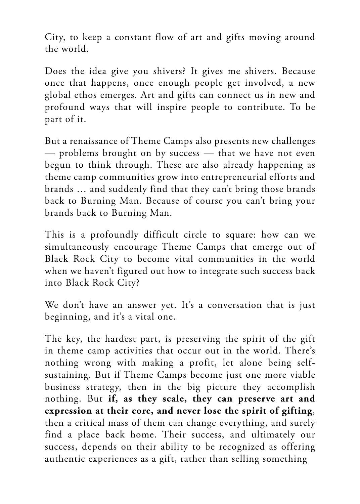City, to keep a constant flow of art and gifts moving around the world.

Does the idea give you shivers? It gives me shivers. Because once that happens, once enough people get involved, a new global ethos emerges. Art and gifts can connect us in new and profound ways that will inspire people to contribute. To be part of it.

But a renaissance of Theme Camps also presents new challenges — problems brought on by success — that we have not even begun to think through. These are also already happening as theme camp communities grow into entrepreneurial efforts and brands … and suddenly find that they can't bring those brands back to Burning Man. Because of course you can't bring your brands back to Burning Man.

This is a profoundly difficult circle to square: how can we simultaneously encourage Theme Camps that emerge out of Black Rock City to become vital communities in the world when we haven't figured out how to integrate such success back into Black Rock City?

We don't have an answer yet. It's a conversation that is just beginning, and it's a vital one.

The key, the hardest part, is preserving the spirit of the gift in theme camp activities that occur out in the world. There's nothing wrong with making a profit, let alone being selfsustaining. But if Theme Camps become just one more viable business strategy, then in the big picture they accomplish nothing. But **if, as they scale, they can preserve art and expression at their core, and never lose the spirit of gifting**, then a critical mass of them can change everything, and surely find a place back home. Their success, and ultimately our success, depends on their ability to be recognized as offering authentic experiences as a gift, rather than selling something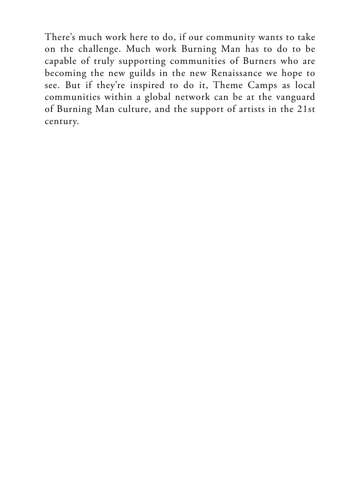There's much work here to do, if our community wants to take on the challenge. Much work Burning Man has to do to be capable of truly supporting communities of Burners who are becoming the new guilds in the new Renaissance we hope to see. But if they're inspired to do it, Theme Camps as local communities within a global network can be at the vanguard of Burning Man culture, and the support of artists in the 21st century.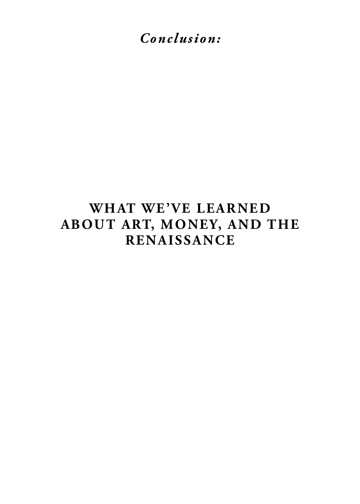*Conclusion:*

# **WHAT WE'VE LEARNED ABOUT ART, MONEY, AND THE RENAISSANCE**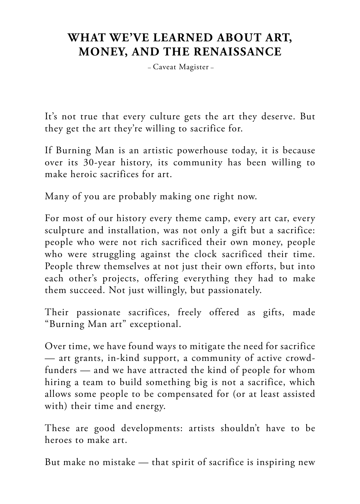# **WHAT WE'VE LEARNED ABOUT ART, MONEY, AND THE RENAISSANCE**

– Caveat Magister –

It's not true that every culture gets the art they deserve. But they get the art they're willing to sacrifice for.

If Burning Man is an artistic powerhouse today, it is because over its 30-year history, its community has been willing to make heroic sacrifices for art.

Many of you are probably making one right now.

For most of our history every theme camp, every art car, every sculpture and installation, was not only a gift but a sacrifice: people who were not rich sacrificed their own money, people who were struggling against the clock sacrificed their time. People threw themselves at not just their own efforts, but into each other's projects, offering everything they had to make them succeed. Not just willingly, but passionately.

Their passionate sacrifices, freely offered as gifts, made "Burning Man art" exceptional.

Over time, we have found ways to mitigate the need for sacrifice — art grants, in-kind support, a community of active crowdfunders — and we have attracted the kind of people for whom hiring a team to build something big is not a sacrifice, which allows some people to be compensated for (or at least assisted with) their time and energy.

These are good developments: artists shouldn't have to be heroes to make art.

But make no mistake — that spirit of sacrifice is inspiring new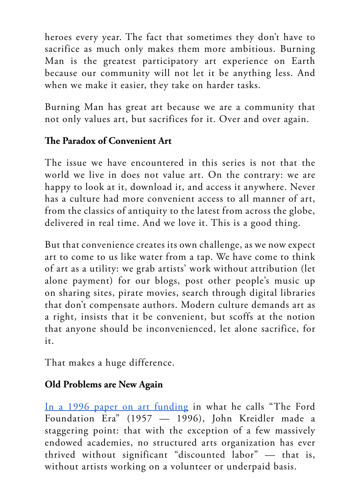heroes every year. The fact that sometimes they don't have to sacrifice as much only makes them more ambitious. Burning Man is the greatest participatory art experience on Earth because our community will not let it be anything less. And when we make it easier, they take on harder tasks.

Burning Man has great art because we are a community that not only values art, but sacrifices for it. Over and over again.

#### **The Paradox of Convenient Art**

The issue we have encountered in this series is not that the world we live in does not value art. On the contrary: we are happy to look at it, download it, and access it anywhere. Never has a culture had more convenient access to all manner of art, from the classics of antiquity to the latest from across the globe, delivered in real time. And we love it. This is a good thing.

But that convenience creates its own challenge, as we now expect art to come to us like water from a tap. We have come to think of art as a utility: we grab artists' work without attribution (let alone payment) for our blogs, post other people's music up on sharing sites, pirate movies, search through digital libraries that don't compensate authors. Modern culture demands art as a right, insists that it be convenient, but scoffs at the notion that anyone should be inconvenienced, let alone sacrifice, for it.

That makes a huge difference.

#### **Old Problems are New Again**

[In a 1996 paper on art funding](http://www.inmotionmagazine.com/lost.html) in what he calls "The Ford Foundation Era" (1957 — 1996), John Kreidler made a staggering point: that with the exception of a few massively endowed academies, no structured arts organization has ever thrived without significant "discounted labor" — that is, without artists working on a volunteer or underpaid basis.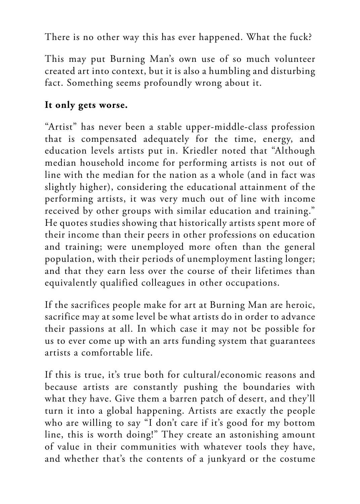There is no other way this has ever happened. What the fuck?

This may put Burning Man's own use of so much volunteer created art into context, but it is also a humbling and disturbing fact. Something seems profoundly wrong about it.

## **It only gets worse.**

"Artist" has never been a stable upper-middle-class profession that is compensated adequately for the time, energy, and education levels artists put in. Kriedler noted that "Although median household income for performing artists is not out of line with the median for the nation as a whole (and in fact was slightly higher), considering the educational attainment of the performing artists, it was very much out of line with income received by other groups with similar education and training." He quotes studies showing that historically artists spent more of their income than their peers in other professions on education and training; were unemployed more often than the general population, with their periods of unemployment lasting longer; and that they earn less over the course of their lifetimes than equivalently qualified colleagues in other occupations.

If the sacrifices people make for art at Burning Man are heroic, sacrifice may at some level be what artists do in order to advance their passions at all. In which case it may not be possible for us to ever come up with an arts funding system that guarantees artists a comfortable life.

If this is true, it's true both for cultural/economic reasons and because artists are constantly pushing the boundaries with what they have. Give them a barren patch of desert, and they'll turn it into a global happening. Artists are exactly the people who are willing to say "I don't care if it's good for my bottom line, this is worth doing!" They create an astonishing amount of value in their communities with whatever tools they have, and whether that's the contents of a junkyard or the costume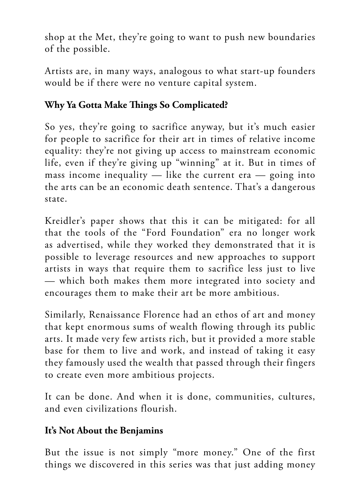shop at the Met, they're going to want to push new boundaries of the possible.

Artists are, in many ways, analogous to what start-up founders would be if there were no venture capital system.

#### **Why Ya Gotta Make Things So Complicated?**

So yes, they're going to sacrifice anyway, but it's much easier for people to sacrifice for their art in times of relative income equality: they're not giving up access to mainstream economic life, even if they're giving up "winning" at it. But in times of mass income inequality  $-$  like the current era  $-$  going into the arts can be an economic death sentence. That's a dangerous state.

Kreidler's paper shows that this it can be mitigated: for all that the tools of the "Ford Foundation" era no longer work as advertised, while they worked they demonstrated that it is possible to leverage resources and new approaches to support artists in ways that require them to sacrifice less just to live — which both makes them more integrated into society and encourages them to make their art be more ambitious.

Similarly, Renaissance Florence had an ethos of art and money that kept enormous sums of wealth flowing through its public arts. It made very few artists rich, but it provided a more stable base for them to live and work, and instead of taking it easy they famously used the wealth that passed through their fingers to create even more ambitious projects.

It can be done. And when it is done, communities, cultures, and even civilizations flourish.

#### **It's Not About the Benjamins**

But the issue is not simply "more money." One of the first things we discovered in this series was that just adding money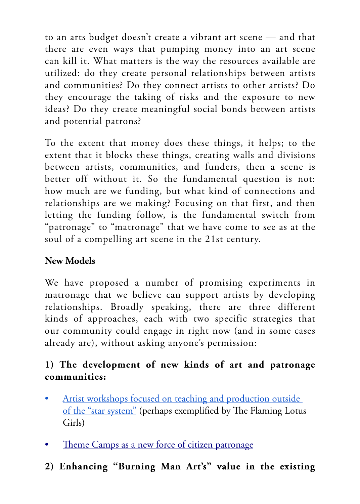to an arts budget doesn't create a vibrant art scene — and that there are even ways that pumping money into an art scene can kill it. What matters is the way the resources available are utilized: do they create personal relationships between artists and communities? Do they connect artists to other artists? Do they encourage the taking of risks and the exposure to new ideas? Do they create meaningful social bonds between artists and potential patrons?

To the extent that money does these things, it helps; to the extent that it blocks these things, creating walls and divisions between artists, communities, and funders, then a scene is better off without it. So the fundamental question is not: how much are we funding, but what kind of connections and relationships are we making? Focusing on that first, and then letting the funding follow, is the fundamental switch from "patronage" to "matronage" that we have come to see as at the soul of a compelling art scene in the 21st century.

## **New Models**

We have proposed a number of promising experiments in matronage that we believe can support artists by developing relationships. Broadly speaking, there are three different kinds of approaches, each with two specific strategies that our community could engage in right now (and in some cases already are), without asking anyone's permission:

## **1) The development of new kinds of art and patronage communities:**

- Artist workshops focused on teaching and production outside [of the "star system"](https://journal.burningman.org/2016/02/burning-man-arts/brc-art/how-burners-are-reinventing-the-artists-workshop/) (perhaps exemplified by The Flaming Lotus Girls)
- [Theme Camps as a new force of citizen patronage](https://journal.burningman.org/2016/07/philosophical-center/tenprinciples/are-theme-camps-the-new-renaissance-guilds/)
- **2) Enhancing "Burning Man Art's" value in the existing**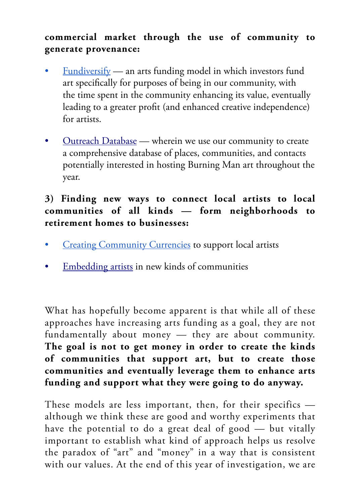#### **commercial market through the use of community to generate provenance:**

- [Fundiversify](https://journal.burningman.org/2016/05/philosophical-center/tenprinciples/making-patronage-work-for-us-recognizing-that-our-community-creates-value/)  an arts funding model in which investors fund art specifically for purposes of being in our community, with the time spent in the community enhancing its value, eventually leading to a greater profit (and enhanced creative independence) for artists.
- [Outreach Database](https://journal.burningman.org/2016/05/philosophical-center/tenprinciples/art-gets-more-valuable-when-data-becomes-relationships/)  wherein we use our community to create a comprehensive database of places, communities, and contacts potentially interested in hosting Burning Man art throughout the year.

#### **3) Finding new ways to connect local artists to local communities of all kinds — form neighborhoods to retirement homes to businesses:**

- **[Creating Community Currencies](https://journal.burningman.org/2016/07/philosophical-center/tenprinciples/redesigning-money-an-alternative-model-of-funding-from-the-burning-man-community/) to support local artists**
- [Embedding artists](https://journal.burningman.org/2016/06/philosophical-center/tenprinciples/embed-artists-everywhere-they-are-the-community-innovators-the-world-needs/) in new kinds of communities

What has hopefully become apparent is that while all of these approaches have increasing arts funding as a goal, they are not fundamentally about money — they are about community. **The goal is not to get money in order to create the kinds of communities that support art, but to create those communities and eventually leverage them to enhance arts funding and support what they were going to do anyway.**

These models are less important, then, for their specifics although we think these are good and worthy experiments that have the potential to do a great deal of good — but vitally important to establish what kind of approach helps us resolve the paradox of "art" and "money" in a way that is consistent with our values. At the end of this year of investigation, we are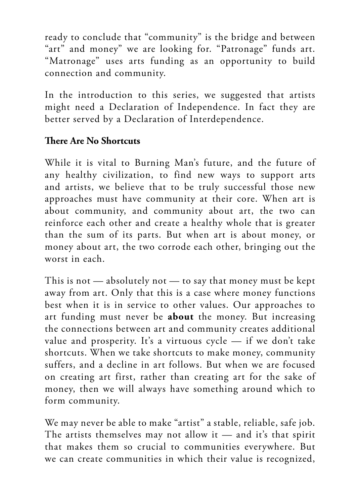ready to conclude that "community" is the bridge and between "art" and money" we are looking for. "Patronage" funds art. "Matronage" uses arts funding as an opportunity to build connection and community.

In the introduction to this series, we suggested that artists might need a Declaration of Independence. In fact they are better served by a Declaration of Interdependence.

#### **There Are No Shortcuts**

While it is vital to Burning Man's future, and the future of any healthy civilization, to find new ways to support arts and artists, we believe that to be truly successful those new approaches must have community at their core. When art is about community, and community about art, the two can reinforce each other and create a healthy whole that is greater than the sum of its parts. But when art is about money, or money about art, the two corrode each other, bringing out the worst in each.

This is not — absolutely not — to say that money must be kept away from art. Only that this is a case where money functions best when it is in service to other values. Our approaches to art funding must never be **about** the money. But increasing the connections between art and community creates additional value and prosperity. It's a virtuous cycle — if we don't take shortcuts. When we take shortcuts to make money, community suffers, and a decline in art follows. But when we are focused on creating art first, rather than creating art for the sake of money, then we will always have something around which to form community.

We may never be able to make "artist" a stable, reliable, safe job. The artists themselves may not allow it — and it's that spirit that makes them so crucial to communities everywhere. But we can create communities in which their value is recognized,